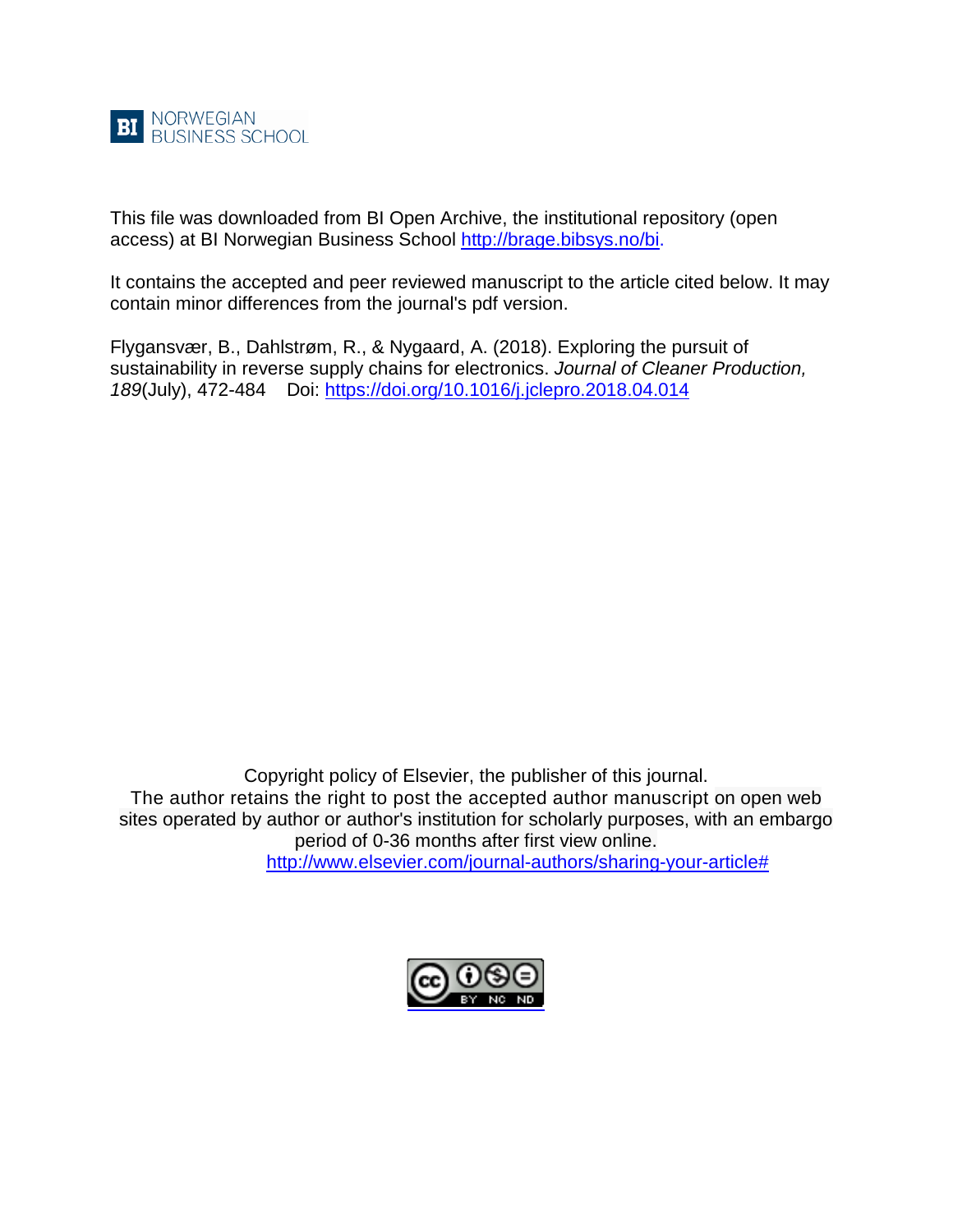

This file was downloaded from BI Open Archive, the institutional repository (open access) at BI Norwegian Business School [http://brage.bibsys.no/bi.](http://brage.bibsys.no/bi)

It contains the accepted and peer reviewed manuscript to the article cited below. It may contain minor differences from the journal's pdf version.

Flygansvær, B., Dahlstrøm, R., & Nygaard, A. (2018). Exploring the pursuit of sustainability in reverse supply chains for electronics. *Journal of Cleaner Production, 189*(July), 472-484 Doi:<https://doi.org/10.1016/j.jclepro.2018.04.014>

Copyright policy of Elsevier, the publisher of this journal. The author retains the right to post the accepted author manuscript on open web sites operated by author or author's institution for scholarly purposes, with an embargo period of 0-36 months after first view online.

[http://www.elsevier.com/journal-authors/sharing-your-article#](http://www.elsevier.com/journal-authors/sharing-your-article)

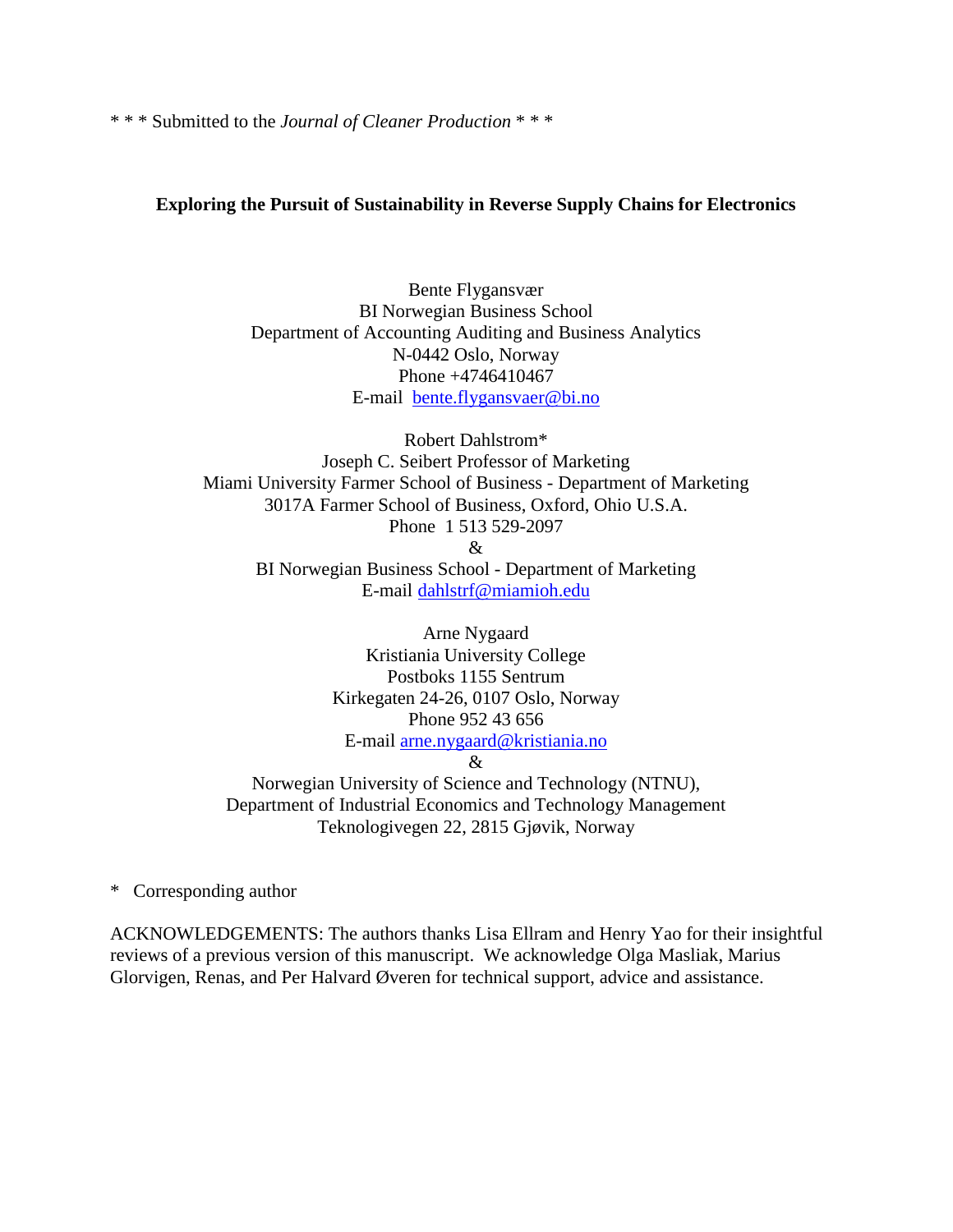\* \* \* Submitted to the *Journal of Cleaner Production* \* \* \*

## **Exploring the Pursuit of Sustainability in Reverse Supply Chains for Electronics**

Bente Flygansvær BI Norwegian Business School Department of Accounting Auditing and Business Analytics N-0442 Oslo, Norway Phone +4746410467 E-mail [bente.flygansvaer@bi.no](mailto:bente.flygansvaer@bi.no)

Robert Dahlstrom\* Joseph C. Seibert Professor of Marketing Miami University Farmer School of Business - Department of Marketing 3017A Farmer School of Business, Oxford, Ohio U.S.A. Phone 1 513 529-2097 & BI Norwegian Business School - Department of Marketing E-mail [dahlstrf@miamioh.edu](mailto:dahlstrf@miamioh.edu)

> Arne Nygaard Kristiania University College Postboks 1155 Sentrum Kirkegaten 24-26, 0107 Oslo, Norway Phone 952 43 656 E-mail [arne.nygaard@kristiania.no](mailto:arne.nygaard@kristiania.no)

&

Norwegian University of Science and Technology (NTNU), Department of Industrial Economics and Technology Management Teknologivegen 22, 2815 Gjøvik, Norway

\* Corresponding author

ACKNOWLEDGEMENTS: The authors thanks Lisa Ellram and Henry Yao for their insightful reviews of a previous version of this manuscript. We acknowledge Olga Masliak, Marius Glorvigen, Renas, and Per Halvard Øveren for technical support, advice and assistance.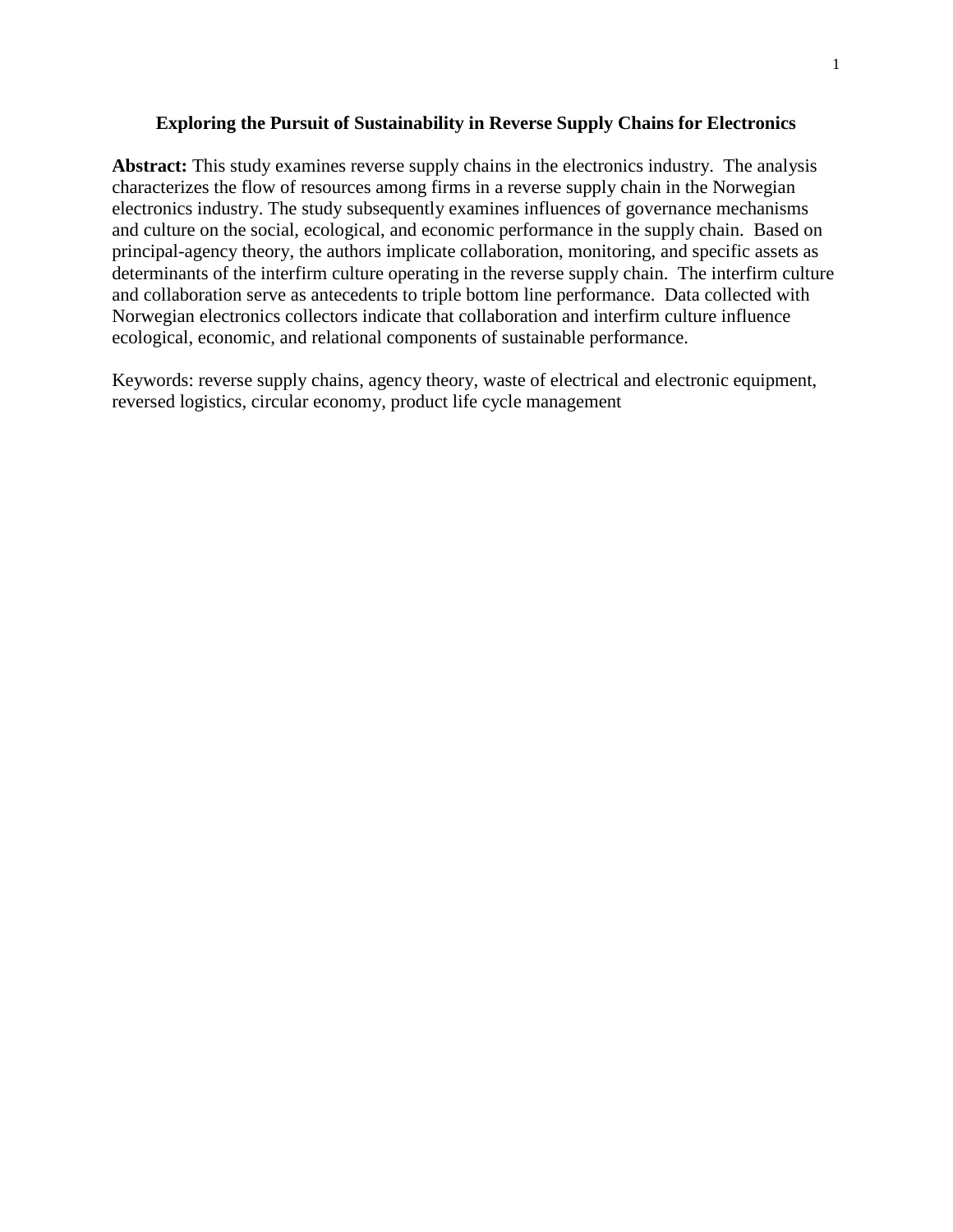### **Exploring the Pursuit of Sustainability in Reverse Supply Chains for Electronics**

**Abstract:** This study examines reverse supply chains in the electronics industry. The analysis characterizes the flow of resources among firms in a reverse supply chain in the Norwegian electronics industry. The study subsequently examines influences of governance mechanisms and culture on the social, ecological, and economic performance in the supply chain. Based on principal-agency theory, the authors implicate collaboration, monitoring, and specific assets as determinants of the interfirm culture operating in the reverse supply chain. The interfirm culture and collaboration serve as antecedents to triple bottom line performance. Data collected with Norwegian electronics collectors indicate that collaboration and interfirm culture influence ecological, economic, and relational components of sustainable performance.

Keywords: reverse supply chains, agency theory, waste of electrical and electronic equipment, reversed logistics, circular economy, product life cycle management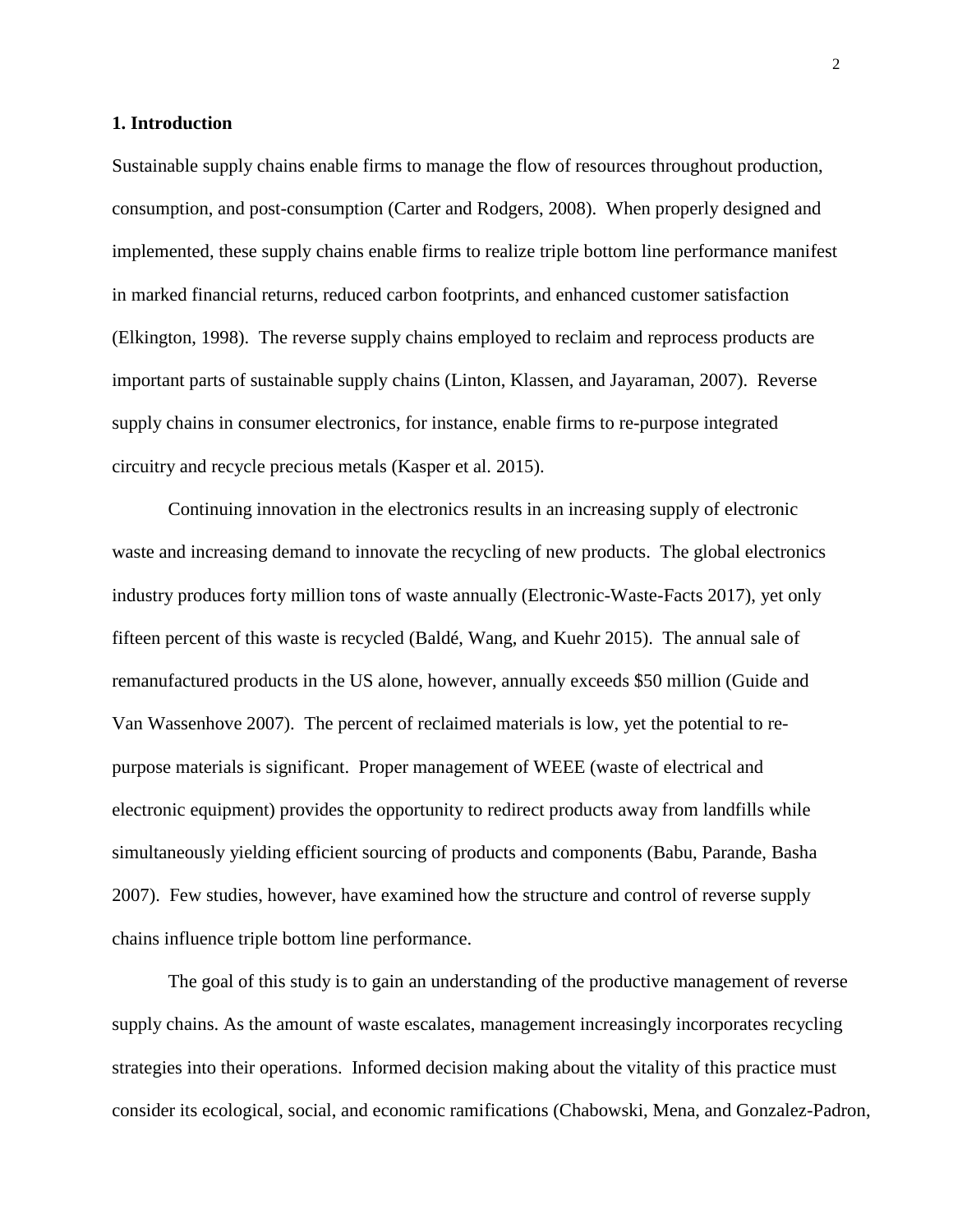#### **1. Introduction**

Sustainable supply chains enable firms to manage the flow of resources throughout production, consumption, and post-consumption (Carter and Rodgers, 2008). When properly designed and implemented, these supply chains enable firms to realize triple bottom line performance manifest in marked financial returns, reduced carbon footprints, and enhanced customer satisfaction (Elkington, 1998). The reverse supply chains employed to reclaim and reprocess products are important parts of sustainable supply chains (Linton, Klassen, and Jayaraman, 2007). Reverse supply chains in consumer electronics, for instance, enable firms to re-purpose integrated circuitry and recycle precious metals (Kasper et al. 2015).

Continuing innovation in the electronics results in an increasing supply of electronic waste and increasing demand to innovate the recycling of new products. The global electronics industry produces forty million tons of waste annually (Electronic-Waste-Facts 2017), yet only fifteen percent of this waste is recycled (Baldé, Wang, and Kuehr 2015). The annual sale of remanufactured products in the US alone, however, annually exceeds \$50 million (Guide and Van Wassenhove 2007). The percent of reclaimed materials is low, yet the potential to repurpose materials is significant. Proper management of WEEE (waste of electrical and electronic equipment) provides the opportunity to redirect products away from landfills while simultaneously yielding efficient sourcing of products and components (Babu, Parande, Basha 2007). Few studies, however, have examined how the structure and control of reverse supply chains influence triple bottom line performance.

The goal of this study is to gain an understanding of the productive management of reverse supply chains. As the amount of waste escalates, management increasingly incorporates recycling strategies into their operations. Informed decision making about the vitality of this practice must consider its ecological, social, and economic ramifications (Chabowski, Mena, and Gonzalez-Padron,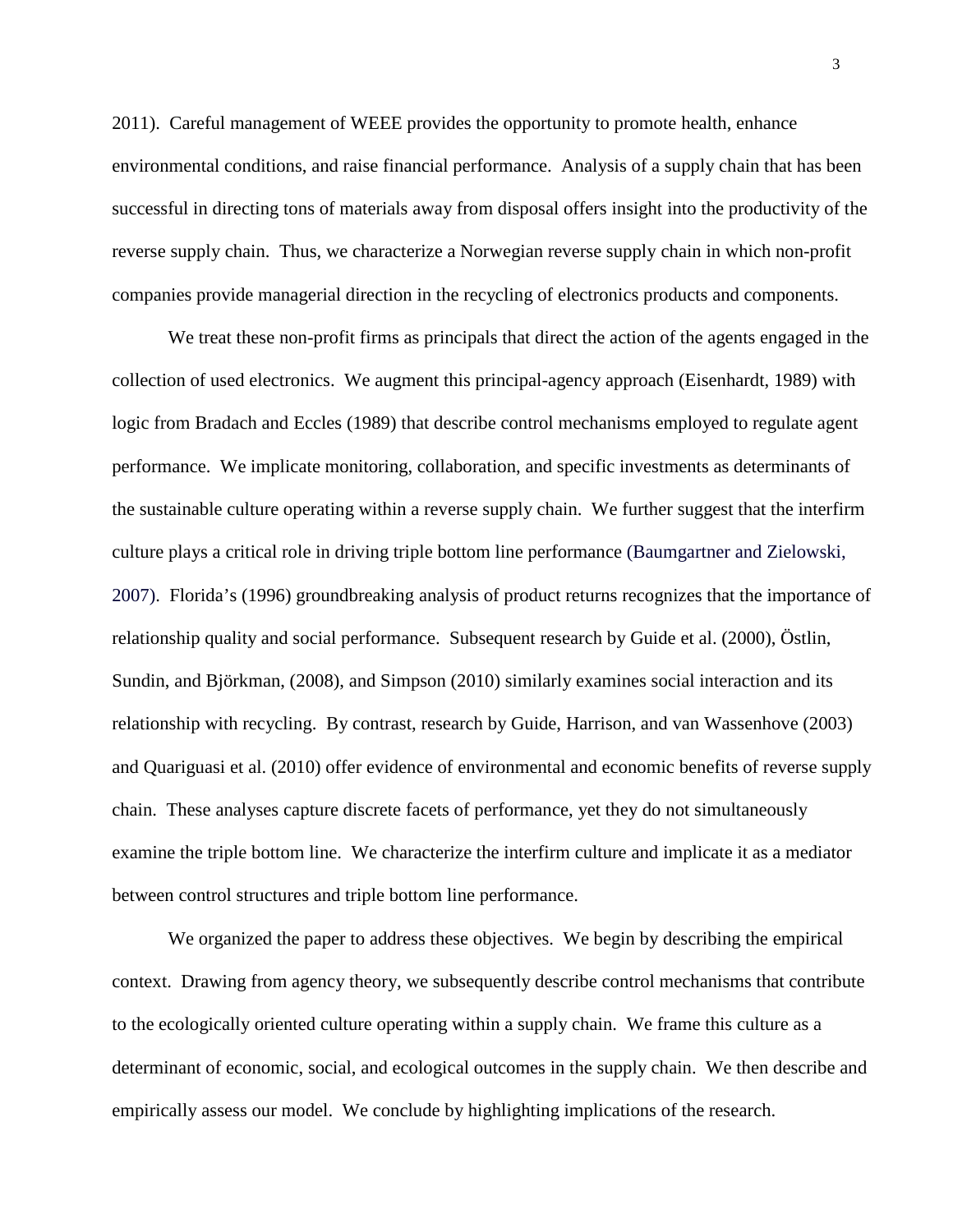2011). Careful management of WEEE provides the opportunity to promote health, enhance environmental conditions, and raise financial performance. Analysis of a supply chain that has been successful in directing tons of materials away from disposal offers insight into the productivity of the reverse supply chain. Thus, we characterize a Norwegian reverse supply chain in which non-profit companies provide managerial direction in the recycling of electronics products and components.

We treat these non-profit firms as principals that direct the action of the agents engaged in the collection of used electronics. We augment this principal-agency approach (Eisenhardt, 1989) with logic from Bradach and Eccles (1989) that describe control mechanisms employed to regulate agent performance. We implicate monitoring, collaboration, and specific investments as determinants of the sustainable culture operating within a reverse supply chain. We further suggest that the interfirm culture plays a critical role in driving triple bottom line performance (Baumgartner and Zielowski, 2007). Florida's (1996) groundbreaking analysis of product returns recognizes that the importance of relationship quality and social performance. Subsequent research by Guide et al. (2000), Östlin, Sundin, and Björkman, (2008), and Simpson (2010) similarly examines social interaction and its relationship with recycling. By contrast, research by Guide, Harrison, and van Wassenhove (2003) and Quariguasi et al. (2010) offer evidence of environmental and economic benefits of reverse supply chain. These analyses capture discrete facets of performance, yet they do not simultaneously examine the triple bottom line. We characterize the interfirm culture and implicate it as a mediator between control structures and triple bottom line performance.

We organized the paper to address these objectives. We begin by describing the empirical context. Drawing from agency theory, we subsequently describe control mechanisms that contribute to the ecologically oriented culture operating within a supply chain. We frame this culture as a determinant of economic, social, and ecological outcomes in the supply chain. We then describe and empirically assess our model. We conclude by highlighting implications of the research.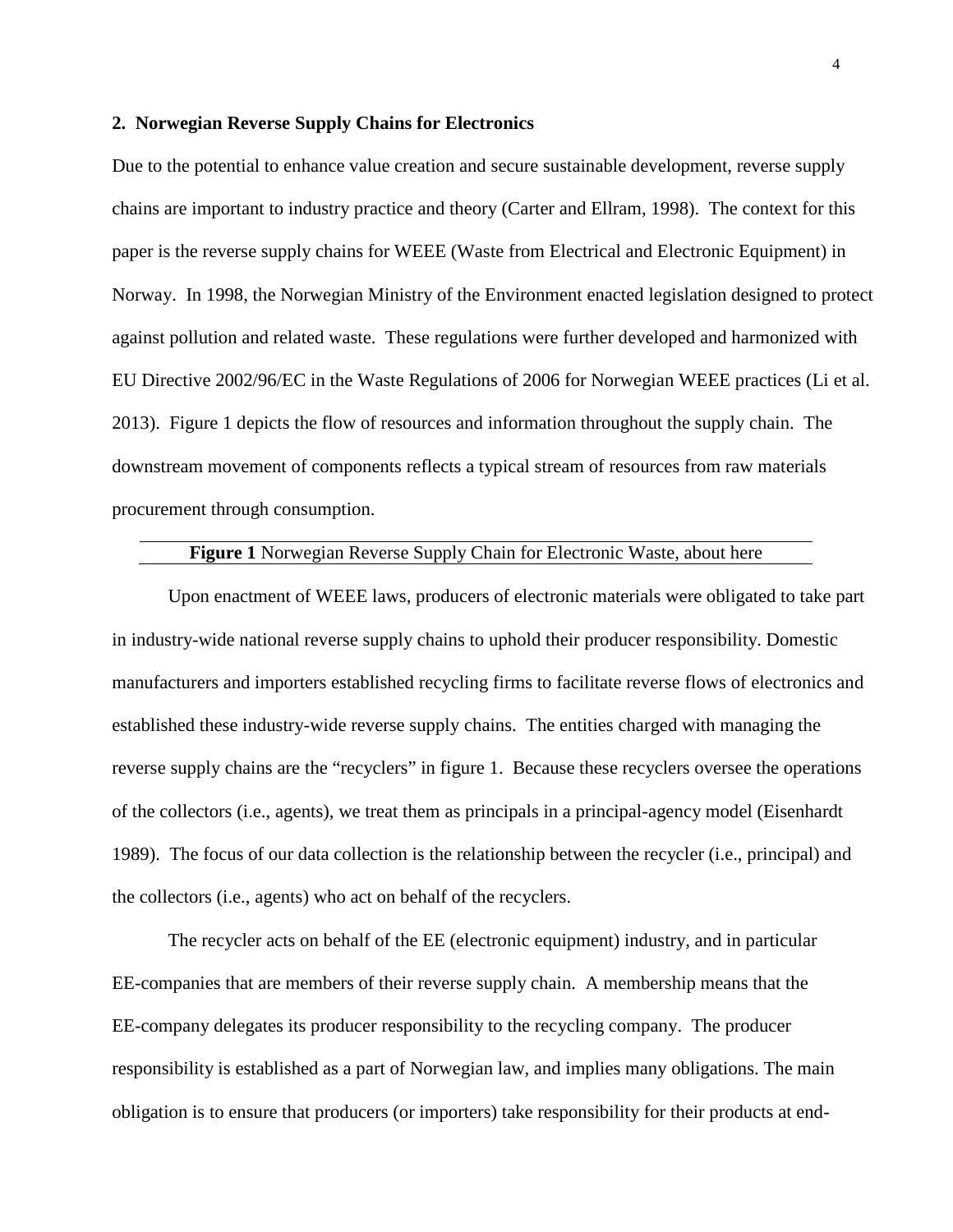#### **2. Norwegian Reverse Supply Chains for Electronics**

Due to the potential to enhance value creation and secure sustainable development, reverse supply chains are important to industry practice and theory (Carter and Ellram, 1998). The context for this paper is the reverse supply chains for WEEE (Waste from Electrical and Electronic Equipment) in Norway. In 1998, the Norwegian Ministry of the Environment enacted legislation designed to protect against pollution and related waste. These regulations were further developed and harmonized with EU Directive 2002/96/EC in the Waste Regulations of 2006 for Norwegian WEEE practices (Li et al. 2013). Figure 1 depicts the flow of resources and information throughout the supply chain. The downstream movement of components reflects a typical stream of resources from raw materials procurement through consumption.

## **Figure 1** Norwegian Reverse Supply Chain for Electronic Waste, about here

Upon enactment of WEEE laws, producers of electronic materials were obligated to take part in industry-wide national reverse supply chains to uphold their producer responsibility. Domestic manufacturers and importers established recycling firms to facilitate reverse flows of electronics and established these industry-wide reverse supply chains. The entities charged with managing the reverse supply chains are the "recyclers" in figure 1. Because these recyclers oversee the operations of the collectors (i.e., agents), we treat them as principals in a principal-agency model (Eisenhardt 1989). The focus of our data collection is the relationship between the recycler (i.e., principal) and the collectors (i.e., agents) who act on behalf of the recyclers.

The recycler acts on behalf of the EE (electronic equipment) industry, and in particular EE-companies that are members of their reverse supply chain. A membership means that the EE-company delegates its producer responsibility to the recycling company. The producer responsibility is established as a part of Norwegian law, and implies many obligations. The main obligation is to ensure that producers (or importers) take responsibility for their products at end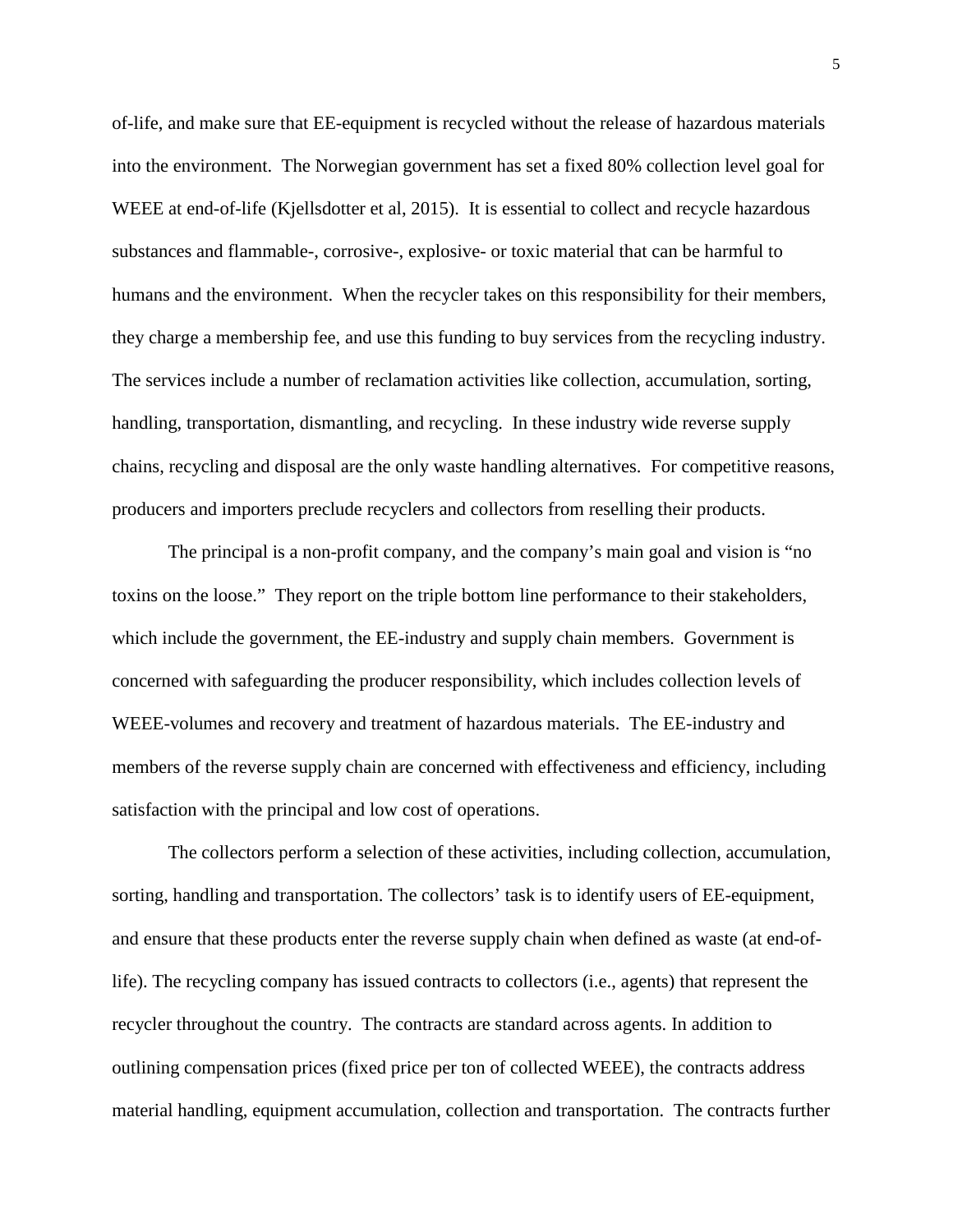of-life, and make sure that EE-equipment is recycled without the release of hazardous materials into the environment. The Norwegian government has set a fixed 80% collection level goal for WEEE at end-of-life (Kjellsdotter et al, 2015). It is essential to collect and recycle hazardous substances and flammable-, corrosive-, explosive- or toxic material that can be harmful to humans and the environment. When the recycler takes on this responsibility for their members, they charge a membership fee, and use this funding to buy services from the recycling industry. The services include a number of reclamation activities like collection, accumulation, sorting, handling, transportation, dismantling, and recycling. In these industry wide reverse supply chains, recycling and disposal are the only waste handling alternatives. For competitive reasons, producers and importers preclude recyclers and collectors from reselling their products.

The principal is a non-profit company, and the company's main goal and vision is "no toxins on the loose." They report on the triple bottom line performance to their stakeholders, which include the government, the EE-industry and supply chain members. Government is concerned with safeguarding the producer responsibility, which includes collection levels of WEEE-volumes and recovery and treatment of hazardous materials. The EE-industry and members of the reverse supply chain are concerned with effectiveness and efficiency, including satisfaction with the principal and low cost of operations.

The collectors perform a selection of these activities, including collection, accumulation, sorting, handling and transportation. The collectors' task is to identify users of EE-equipment, and ensure that these products enter the reverse supply chain when defined as waste (at end-oflife). The recycling company has issued contracts to collectors (i.e., agents) that represent the recycler throughout the country. The contracts are standard across agents. In addition to outlining compensation prices (fixed price per ton of collected WEEE), the contracts address material handling, equipment accumulation, collection and transportation. The contracts further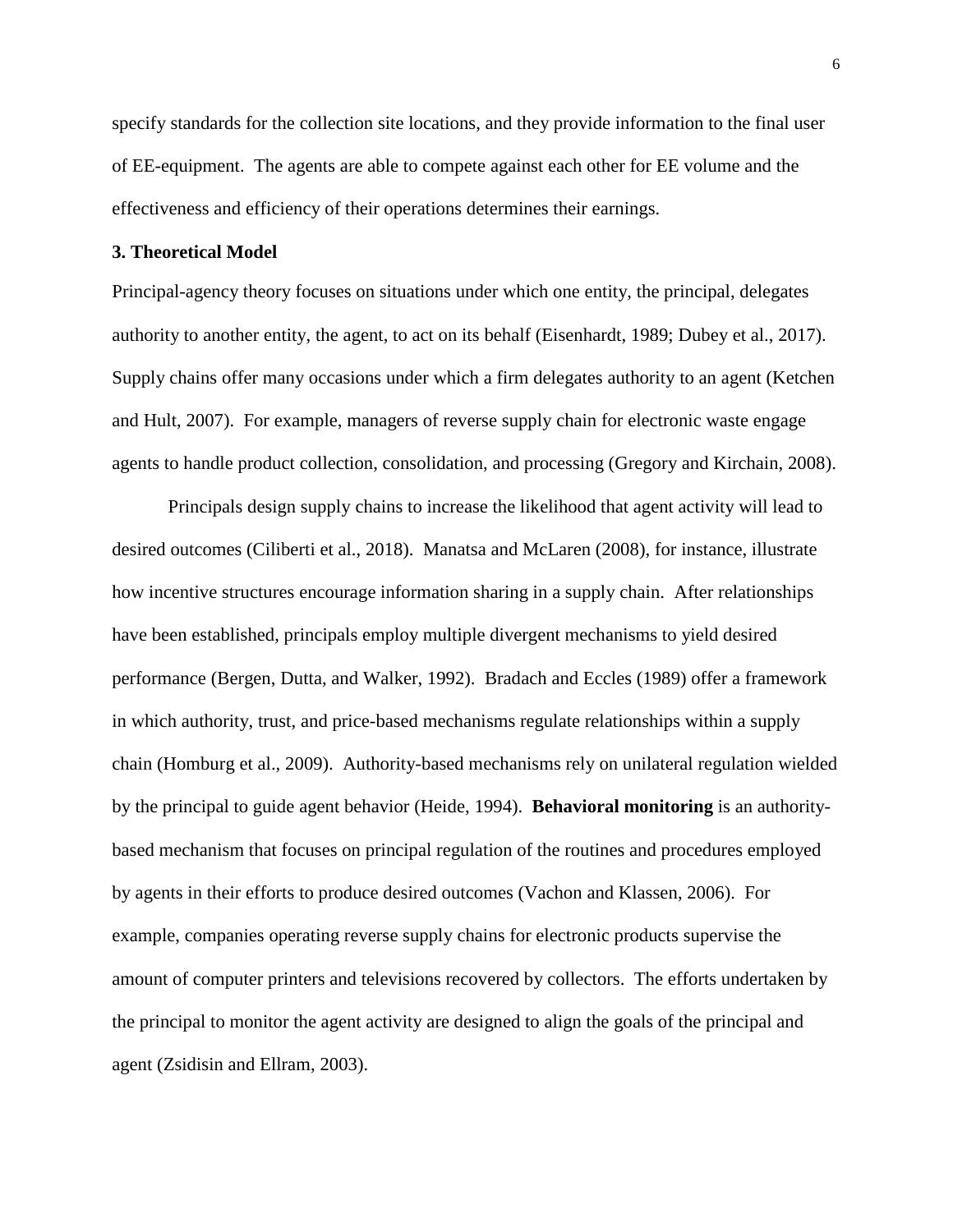specify standards for the collection site locations, and they provide information to the final user of EE-equipment. The agents are able to compete against each other for EE volume and the effectiveness and efficiency of their operations determines their earnings.

## **3. Theoretical Model**

Principal-agency theory focuses on situations under which one entity, the principal, delegates authority to another entity, the agent, to act on its behalf (Eisenhardt, 1989; Dubey et al., 2017). Supply chains offer many occasions under which a firm delegates authority to an agent (Ketchen and Hult, 2007). For example, managers of reverse supply chain for electronic waste engage agents to handle product collection, consolidation, and processing (Gregory and Kirchain, 2008).

Principals design supply chains to increase the likelihood that agent activity will lead to desired outcomes (Ciliberti et al., 2018). Manatsa and McLaren (2008), for instance, illustrate how incentive structures encourage information sharing in a supply chain. After relationships have been established, principals employ multiple divergent mechanisms to yield desired performance (Bergen, Dutta, and Walker, 1992). Bradach and Eccles (1989) offer a framework in which authority, trust, and price-based mechanisms regulate relationships within a supply chain (Homburg et al.*,* 2009). Authority-based mechanisms rely on unilateral regulation wielded by the principal to guide agent behavior (Heide, 1994). **Behavioral monitoring** is an authoritybased mechanism that focuses on principal regulation of the routines and procedures employed by agents in their efforts to produce desired outcomes (Vachon and Klassen, 2006). For example, companies operating reverse supply chains for electronic products supervise the amount of computer printers and televisions recovered by collectors. The efforts undertaken by the principal to monitor the agent activity are designed to align the goals of the principal and agent (Zsidisin and Ellram, 2003).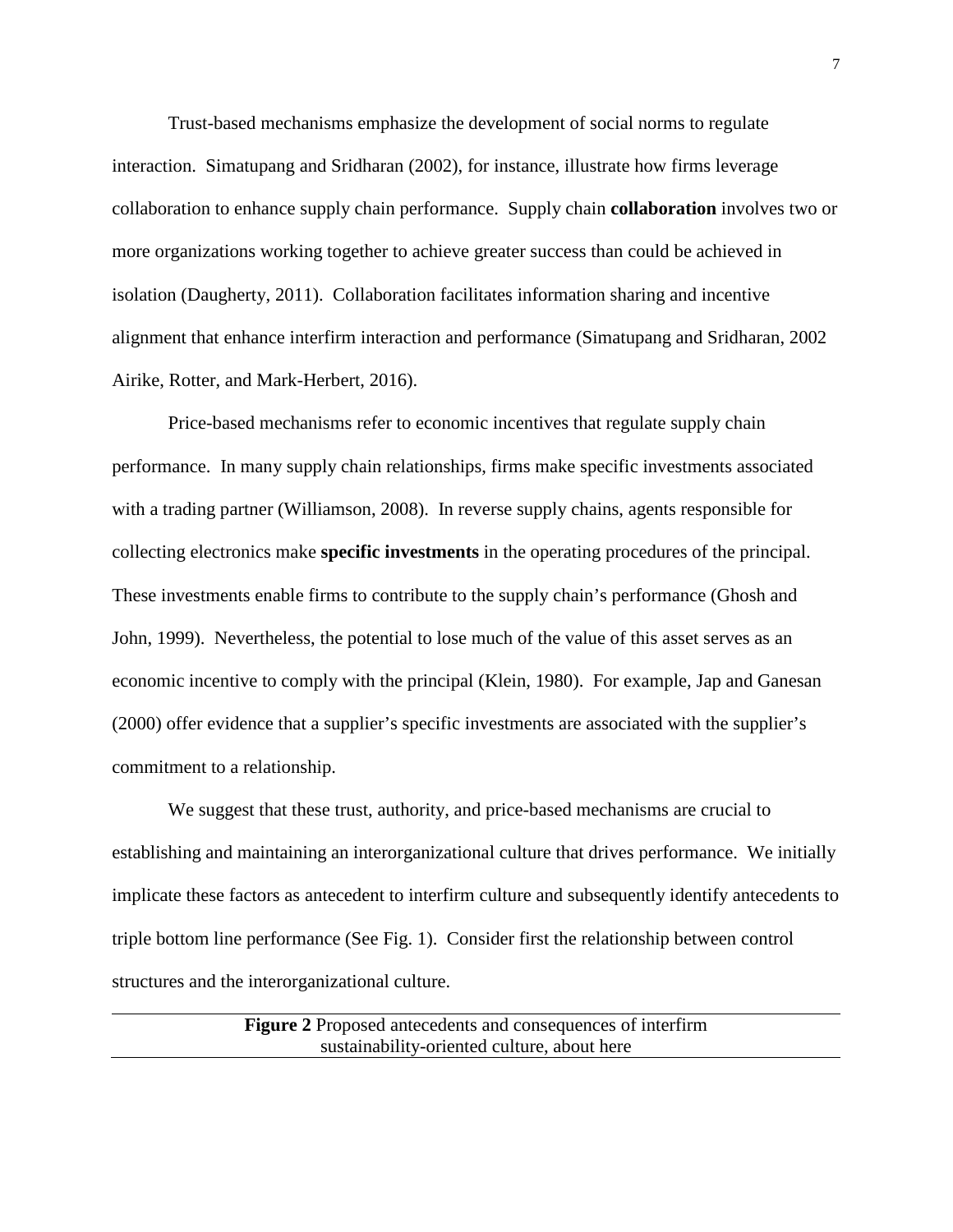Trust-based mechanisms emphasize the development of social norms to regulate interaction. Simatupang and Sridharan (2002), for instance, illustrate how firms leverage collaboration to enhance supply chain performance. Supply chain **collaboration** involves two or more organizations working together to achieve greater success than could be achieved in isolation (Daugherty, 2011). Collaboration facilitates information sharing and incentive alignment that enhance interfirm interaction and performance (Simatupang and Sridharan, 2002 Airike, Rotter, and Mark-Herbert, 2016).

Price-based mechanisms refer to economic incentives that regulate supply chain performance. In many supply chain relationships, firms make specific investments associated with a trading partner (Williamson, 2008). In reverse supply chains, agents responsible for collecting electronics make **specific investments** in the operating procedures of the principal. These investments enable firms to contribute to the supply chain's performance (Ghosh and John, 1999). Nevertheless, the potential to lose much of the value of this asset serves as an economic incentive to comply with the principal (Klein, 1980). For example, Jap and Ganesan (2000) offer evidence that a supplier's specific investments are associated with the supplier's commitment to a relationship.

We suggest that these trust, authority, and price-based mechanisms are crucial to establishing and maintaining an interorganizational culture that drives performance. We initially implicate these factors as antecedent to interfirm culture and subsequently identify antecedents to triple bottom line performance (See Fig. 1). Consider first the relationship between control structures and the interorganizational culture.

> **Figure 2** Proposed antecedents and consequences of interfirm sustainability-oriented culture, about here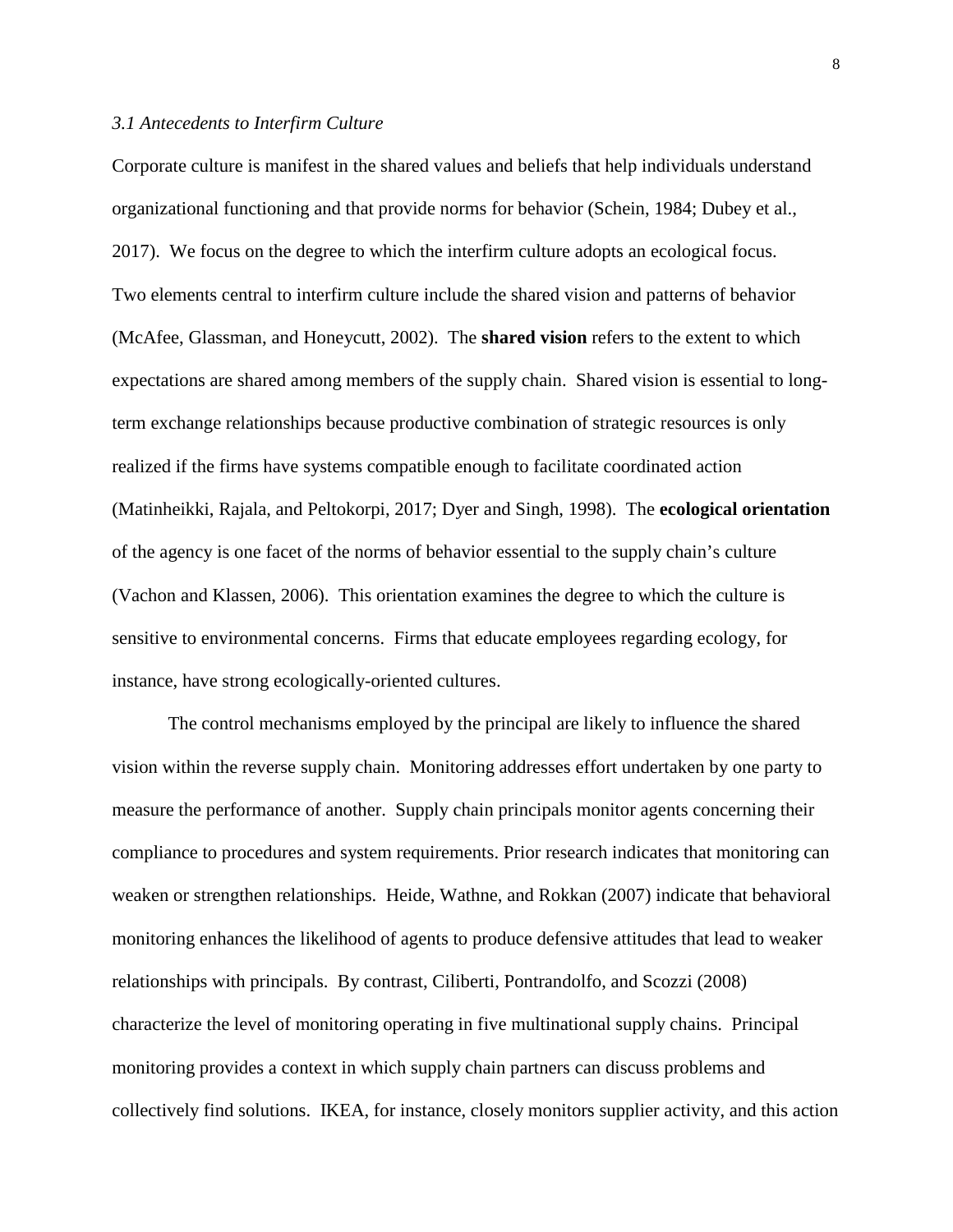### *3.1 Antecedents to Interfirm Culture*

Corporate culture is manifest in the shared values and beliefs that help individuals understand organizational functioning and that provide norms for behavior (Schein, 1984; Dubey et al., 2017). We focus on the degree to which the interfirm culture adopts an ecological focus. Two elements central to interfirm culture include the shared vision and patterns of behavior (McAfee, Glassman, and Honeycutt, 2002). The **shared vision** refers to the extent to which expectations are shared among members of the supply chain. Shared vision is essential to longterm exchange relationships because productive combination of strategic resources is only realized if the firms have systems compatible enough to facilitate coordinated action (Matinheikki, Rajala, and Peltokorpi, 2017; Dyer and Singh, 1998). The **ecological orientation** of the agency is one facet of the norms of behavior essential to the supply chain's culture (Vachon and Klassen, 2006). This orientation examines the degree to which the culture is sensitive to environmental concerns. Firms that educate employees regarding ecology, for instance, have strong ecologically-oriented cultures.

The control mechanisms employed by the principal are likely to influence the shared vision within the reverse supply chain. Monitoring addresses effort undertaken by one party to measure the performance of another. Supply chain principals monitor agents concerning their compliance to procedures and system requirements. Prior research indicates that monitoring can weaken or strengthen relationships. Heide, Wathne, and Rokkan (2007) indicate that behavioral monitoring enhances the likelihood of agents to produce defensive attitudes that lead to weaker relationships with principals. By contrast, Ciliberti, Pontrandolfo, and Scozzi (2008) characterize the level of monitoring operating in five multinational supply chains. Principal monitoring provides a context in which supply chain partners can discuss problems and collectively find solutions. IKEA, for instance, closely monitors supplier activity, and this action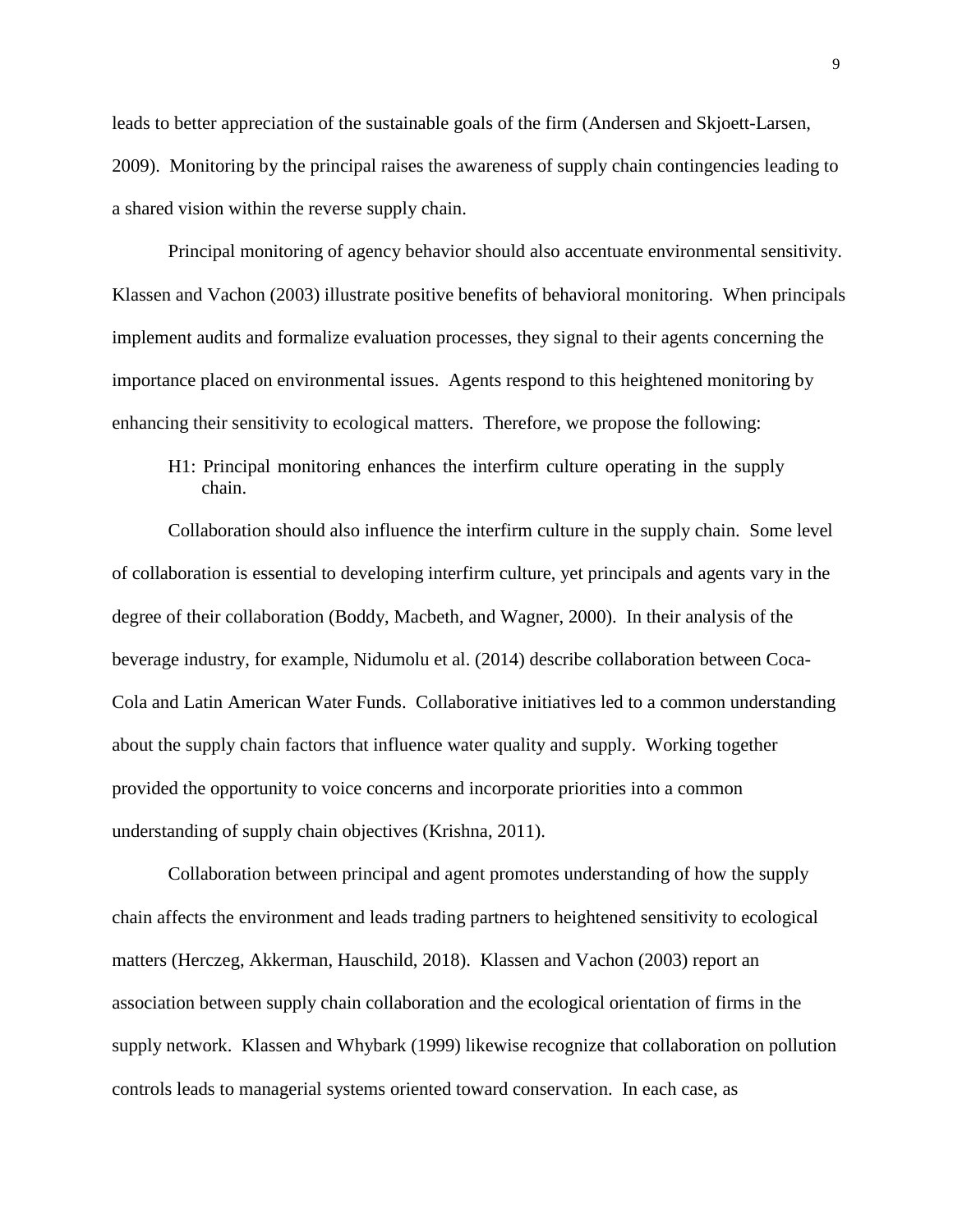leads to better appreciation of the sustainable goals of the firm (Andersen and Skjoett-Larsen, 2009). Monitoring by the principal raises the awareness of supply chain contingencies leading to a shared vision within the reverse supply chain.

Principal monitoring of agency behavior should also accentuate environmental sensitivity. Klassen and Vachon (2003) illustrate positive benefits of behavioral monitoring. When principals implement audits and formalize evaluation processes, they signal to their agents concerning the importance placed on environmental issues. Agents respond to this heightened monitoring by enhancing their sensitivity to ecological matters. Therefore, we propose the following:

H1: Principal monitoring enhances the interfirm culture operating in the supply chain.

Collaboration should also influence the interfirm culture in the supply chain. Some level of collaboration is essential to developing interfirm culture, yet principals and agents vary in the degree of their collaboration (Boddy, Macbeth, and Wagner, 2000). In their analysis of the beverage industry, for example, Nidumolu et al. (2014) describe collaboration between Coca-Cola and Latin American Water Funds. Collaborative initiatives led to a common understanding about the supply chain factors that influence water quality and supply. Working together provided the opportunity to voice concerns and incorporate priorities into a common understanding of supply chain objectives (Krishna, 2011).

Collaboration between principal and agent promotes understanding of how the supply chain affects the environment and leads trading partners to heightened sensitivity to ecological matters (Herczeg, Akkerman, Hauschild, 2018). Klassen and Vachon (2003) report an association between supply chain collaboration and the ecological orientation of firms in the supply network. Klassen and Whybark (1999) likewise recognize that collaboration on pollution controls leads to managerial systems oriented toward conservation. In each case, as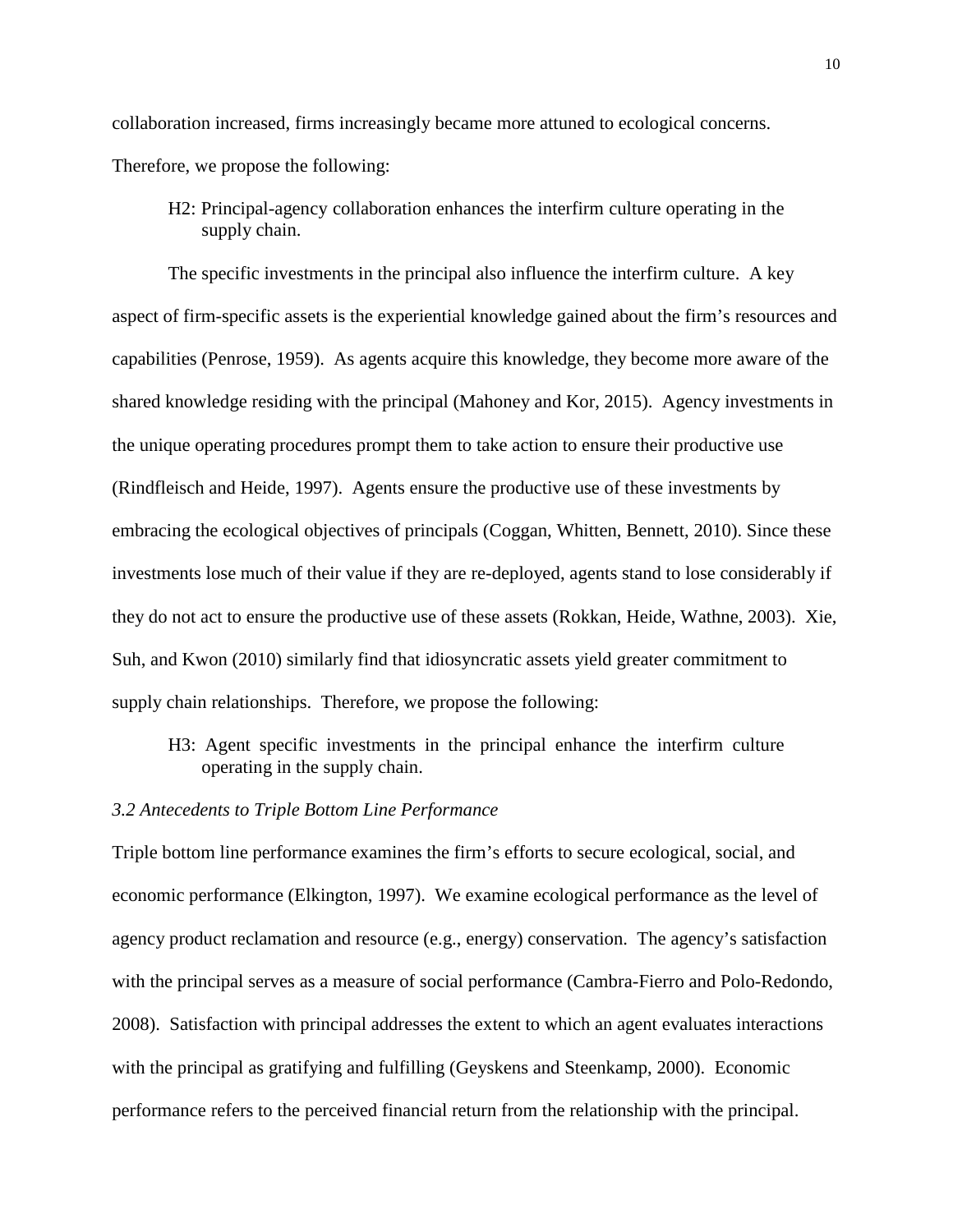collaboration increased, firms increasingly became more attuned to ecological concerns.

Therefore, we propose the following:

H2: Principal-agency collaboration enhances the interfirm culture operating in the supply chain.

The specific investments in the principal also influence the interfirm culture. A key aspect of firm-specific assets is the experiential knowledge gained about the firm's resources and capabilities (Penrose, 1959). As agents acquire this knowledge, they become more aware of the shared knowledge residing with the principal (Mahoney and Kor, 2015). Agency investments in the unique operating procedures prompt them to take action to ensure their productive use (Rindfleisch and Heide, 1997). Agents ensure the productive use of these investments by embracing the ecological objectives of principals (Coggan, Whitten, Bennett, 2010). Since these investments lose much of their value if they are re-deployed, agents stand to lose considerably if they do not act to ensure the productive use of these assets (Rokkan, Heide, Wathne, 2003). Xie, Suh, and Kwon (2010) similarly find that idiosyncratic assets yield greater commitment to supply chain relationships. Therefore, we propose the following:

H3: Agent specific investments in the principal enhance the interfirm culture operating in the supply chain.

#### *3.2 Antecedents to Triple Bottom Line Performance*

Triple bottom line performance examines the firm's efforts to secure ecological, social, and economic performance (Elkington, 1997). We examine ecological performance as the level of agency product reclamation and resource (e.g., energy) conservation. The agency's satisfaction with the principal serves as a measure of social performance (Cambra-Fierro and Polo-Redondo, 2008). Satisfaction with principal addresses the extent to which an agent evaluates interactions with the principal as gratifying and fulfilling (Geyskens and Steenkamp, 2000). Economic performance refers to the perceived financial return from the relationship with the principal.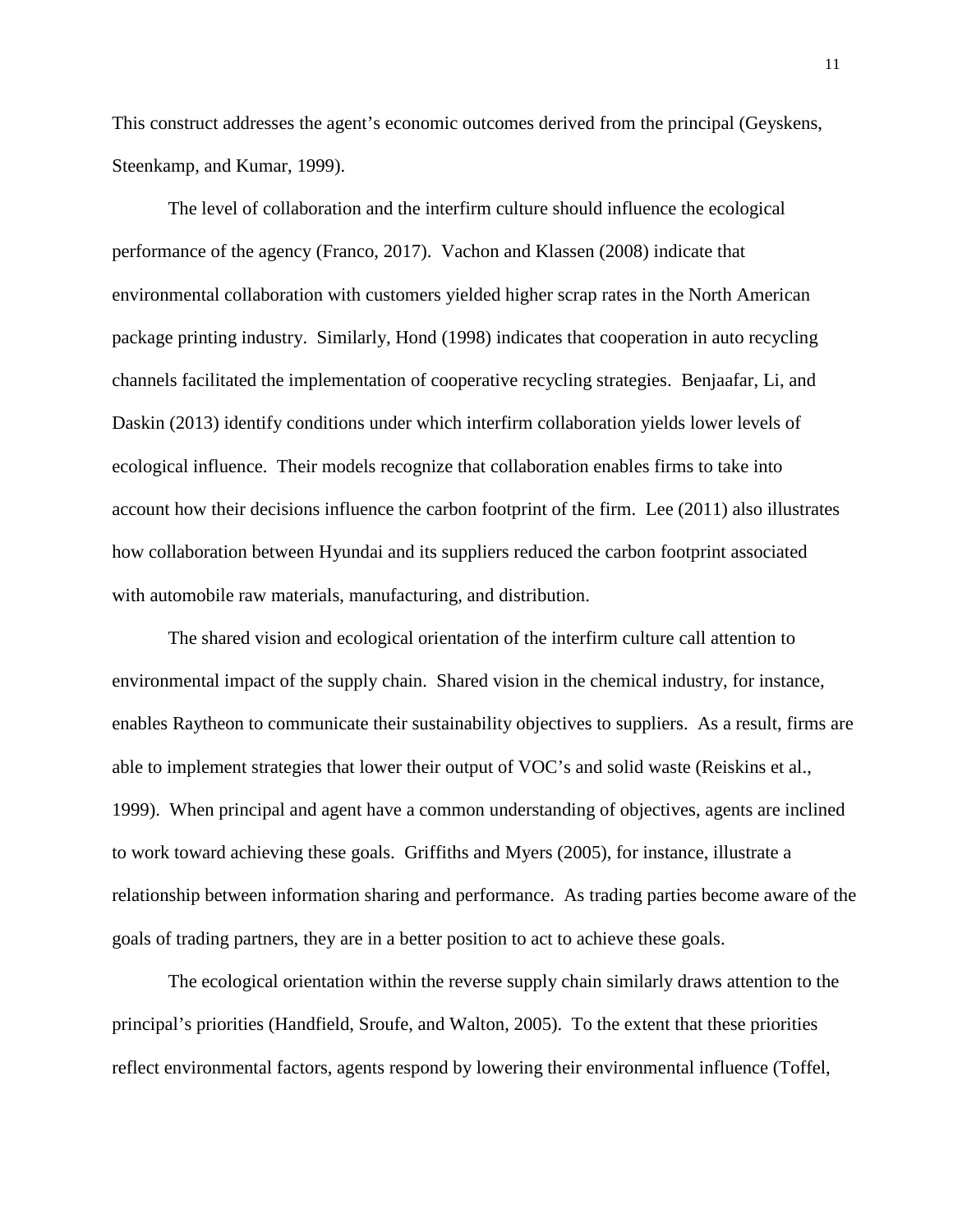This construct addresses the agent's economic outcomes derived from the principal (Geyskens, Steenkamp, and Kumar, 1999).

The level of collaboration and the interfirm culture should influence the ecological performance of the agency (Franco, 2017). Vachon and Klassen (2008) indicate that environmental collaboration with customers yielded higher scrap rates in the North American package printing industry. Similarly, Hond (1998) indicates that cooperation in auto recycling channels facilitated the implementation of cooperative recycling strategies. Benjaafar, Li, and Daskin (2013) identify conditions under which interfirm collaboration yields lower levels of ecological influence. Their models recognize that collaboration enables firms to take into account how their decisions influence the carbon footprint of the firm. Lee (2011) also illustrates how collaboration between Hyundai and its suppliers reduced the carbon footprint associated with automobile raw materials, manufacturing, and distribution.

The shared vision and ecological orientation of the interfirm culture call attention to environmental impact of the supply chain. Shared vision in the chemical industry, for instance, enables Raytheon to communicate their sustainability objectives to suppliers. As a result, firms are able to implement strategies that lower their output of VOC's and solid waste (Reiskins et al., 1999). When principal and agent have a common understanding of objectives, agents are inclined to work toward achieving these goals. Griffiths and Myers (2005), for instance, illustrate a relationship between information sharing and performance. As trading parties become aware of the goals of trading partners, they are in a better position to act to achieve these goals.

The ecological orientation within the reverse supply chain similarly draws attention to the principal's priorities (Handfield, Sroufe, and Walton, 2005). To the extent that these priorities reflect environmental factors, agents respond by lowering their environmental influence (Toffel,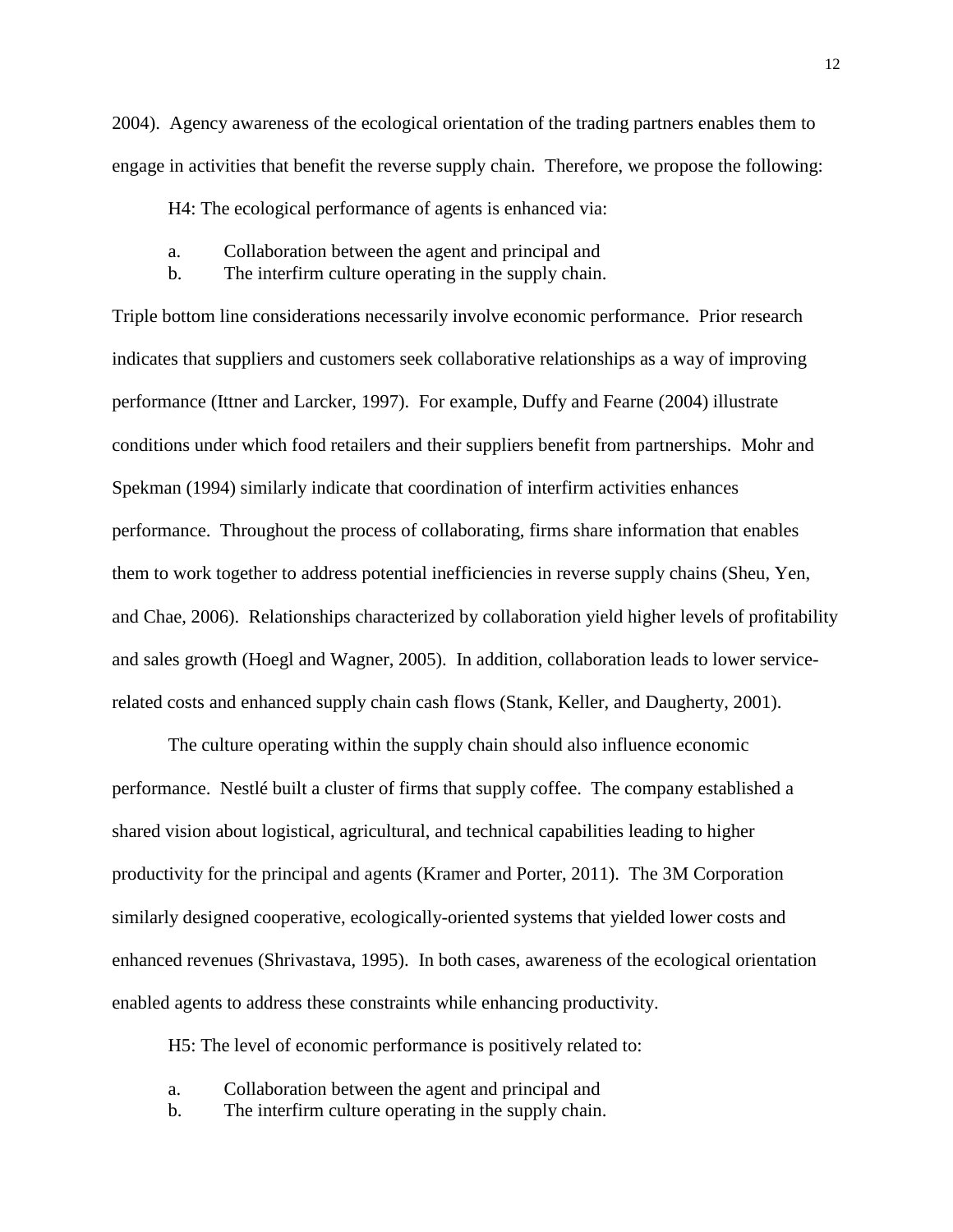2004). Agency awareness of the ecological orientation of the trading partners enables them to engage in activities that benefit the reverse supply chain. Therefore, we propose the following:

H4: The ecological performance of agents is enhanced via:

- a. Collaboration between the agent and principal and
- b. The interfirm culture operating in the supply chain.

Triple bottom line considerations necessarily involve economic performance. Prior research indicates that suppliers and customers seek collaborative relationships as a way of improving performance (Ittner and Larcker, 1997). For example, Duffy and Fearne (2004) illustrate conditions under which food retailers and their suppliers benefit from partnerships. Mohr and Spekman (1994) similarly indicate that coordination of interfirm activities enhances performance. Throughout the process of collaborating, firms share information that enables them to work together to address potential inefficiencies in reverse supply chains (Sheu, Yen, and Chae, 2006). Relationships characterized by collaboration yield higher levels of profitability and sales growth (Hoegl and Wagner, 2005). In addition, collaboration leads to lower servicerelated costs and enhanced supply chain cash flows (Stank, Keller, and Daugherty, 2001).

The culture operating within the supply chain should also influence economic performance. Nestlé built a cluster of firms that supply coffee. The company established a shared vision about logistical, agricultural, and technical capabilities leading to higher productivity for the principal and agents (Kramer and Porter, 2011). The 3M Corporation similarly designed cooperative, ecologically-oriented systems that yielded lower costs and enhanced revenues (Shrivastava, 1995). In both cases, awareness of the ecological orientation enabled agents to address these constraints while enhancing productivity.

H5: The level of economic performance is positively related to:

- a. Collaboration between the agent and principal and
- b. The interfirm culture operating in the supply chain.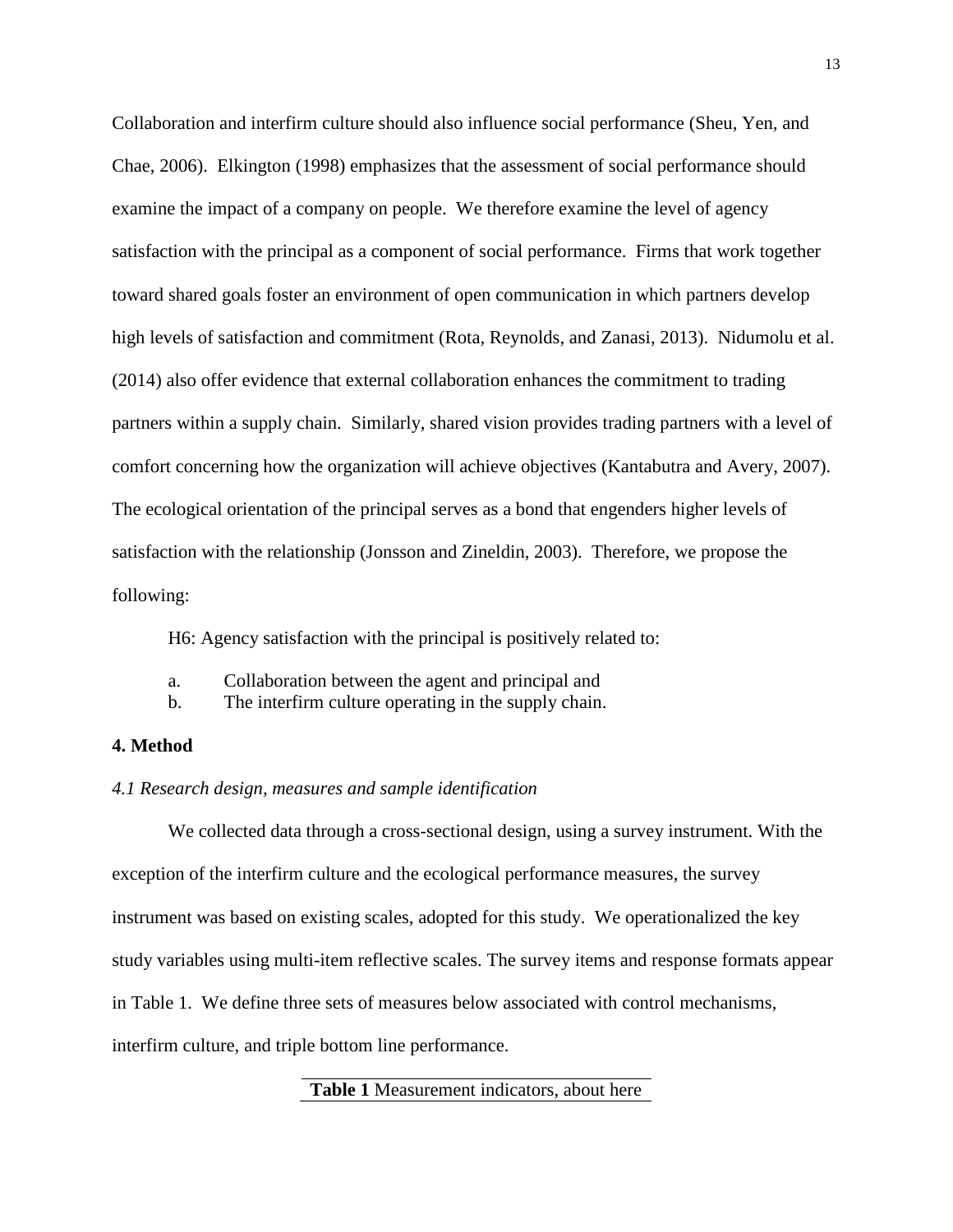Collaboration and interfirm culture should also influence social performance (Sheu, Yen, and Chae, 2006). Elkington (1998) emphasizes that the assessment of social performance should examine the impact of a company on people. We therefore examine the level of agency satisfaction with the principal as a component of social performance. Firms that work together toward shared goals foster an environment of open communication in which partners develop high levels of satisfaction and commitment (Rota, Reynolds, and Zanasi, 2013). Nidumolu et al. (2014) also offer evidence that external collaboration enhances the commitment to trading partners within a supply chain. Similarly, shared vision provides trading partners with a level of comfort concerning how the organization will achieve objectives (Kantabutra and Avery, 2007). The ecological orientation of the principal serves as a bond that engenders higher levels of satisfaction with the relationship (Jonsson and Zineldin, 2003). Therefore, we propose the following:

H6: Agency satisfaction with the principal is positively related to:

- a. Collaboration between the agent and principal and
- b. The interfirm culture operating in the supply chain.

## **4. Method**

## *4.1 Research design, measures and sample identification*

We collected data through a cross-sectional design, using a survey instrument. With the exception of the interfirm culture and the ecological performance measures, the survey instrument was based on existing scales, adopted for this study. We operationalized the key study variables using multi-item reflective scales. The survey items and response formats appear in Table 1. We define three sets of measures below associated with control mechanisms, interfirm culture, and triple bottom line performance.

## **Table 1** Measurement indicators, about here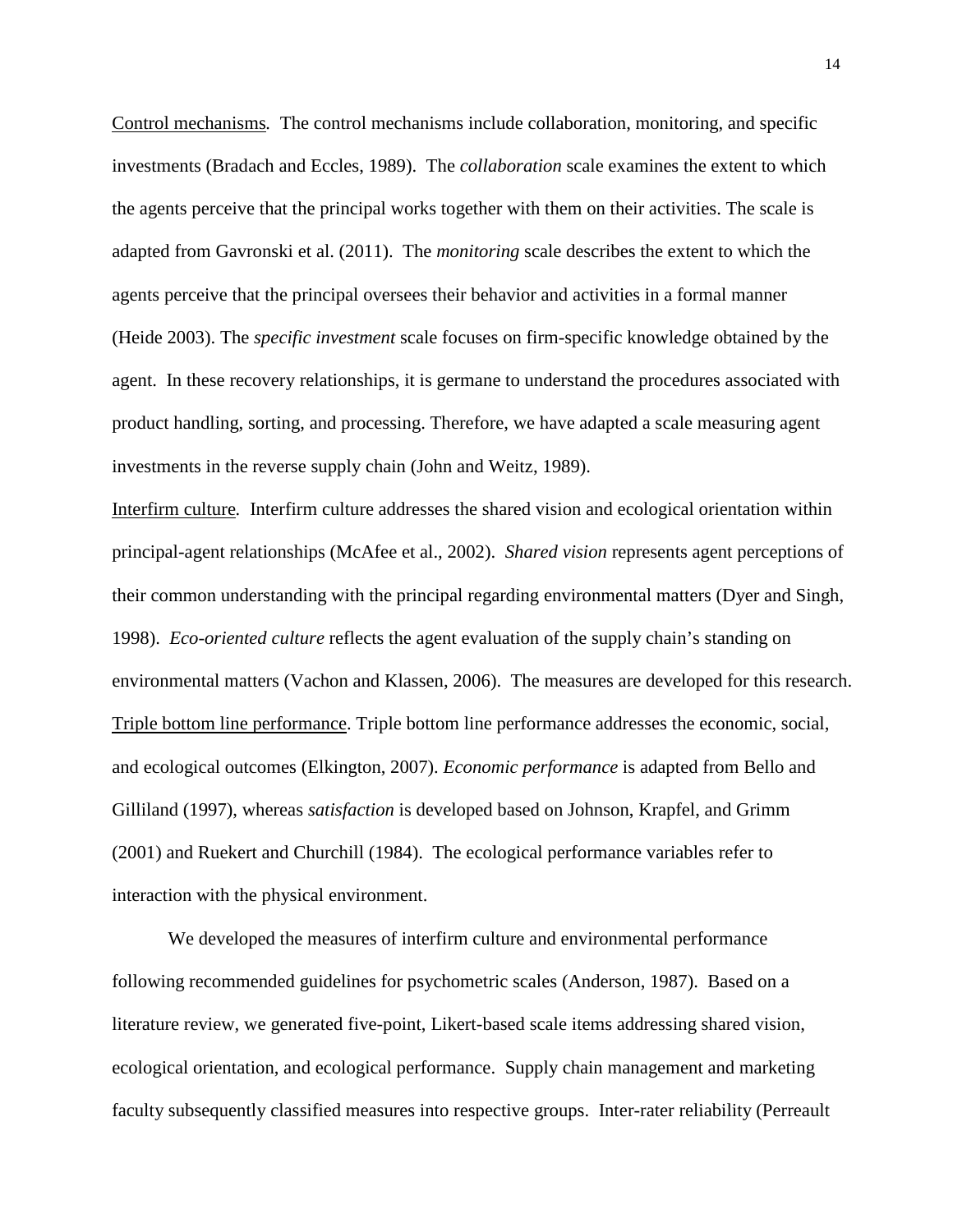Control mechanisms*.* The control mechanisms include collaboration, monitoring, and specific investments (Bradach and Eccles, 1989). The *collaboration* scale examines the extent to which the agents perceive that the principal works together with them on their activities. The scale is adapted from Gavronski et al. (2011). The *monitoring* scale describes the extent to which the agents perceive that the principal oversees their behavior and activities in a formal manner (Heide 2003). The *specific investment* scale focuses on firm-specific knowledge obtained by the agent. In these recovery relationships, it is germane to understand the procedures associated with product handling, sorting, and processing. Therefore, we have adapted a scale measuring agent investments in the reverse supply chain (John and Weitz, 1989).

Interfirm culture*.* Interfirm culture addresses the shared vision and ecological orientation within principal-agent relationships (McAfee et al.*,* 2002). *Shared vision* represents agent perceptions of their common understanding with the principal regarding environmental matters (Dyer and Singh, 1998). *Eco-oriented culture* reflects the agent evaluation of the supply chain's standing on environmental matters (Vachon and Klassen, 2006). The measures are developed for this research. Triple bottom line performance. Triple bottom line performance addresses the economic, social, and ecological outcomes (Elkington, 2007). *Economic performance* is adapted from Bello and Gilliland (1997), whereas *satisfaction* is developed based on Johnson, Krapfel, and Grimm (2001) and Ruekert and Churchill (1984). The ecological performance variables refer to interaction with the physical environment.

We developed the measures of interfirm culture and environmental performance following recommended guidelines for psychometric scales (Anderson, 1987). Based on a literature review, we generated five-point, Likert-based scale items addressing shared vision, ecological orientation, and ecological performance. Supply chain management and marketing faculty subsequently classified measures into respective groups. Inter-rater reliability (Perreault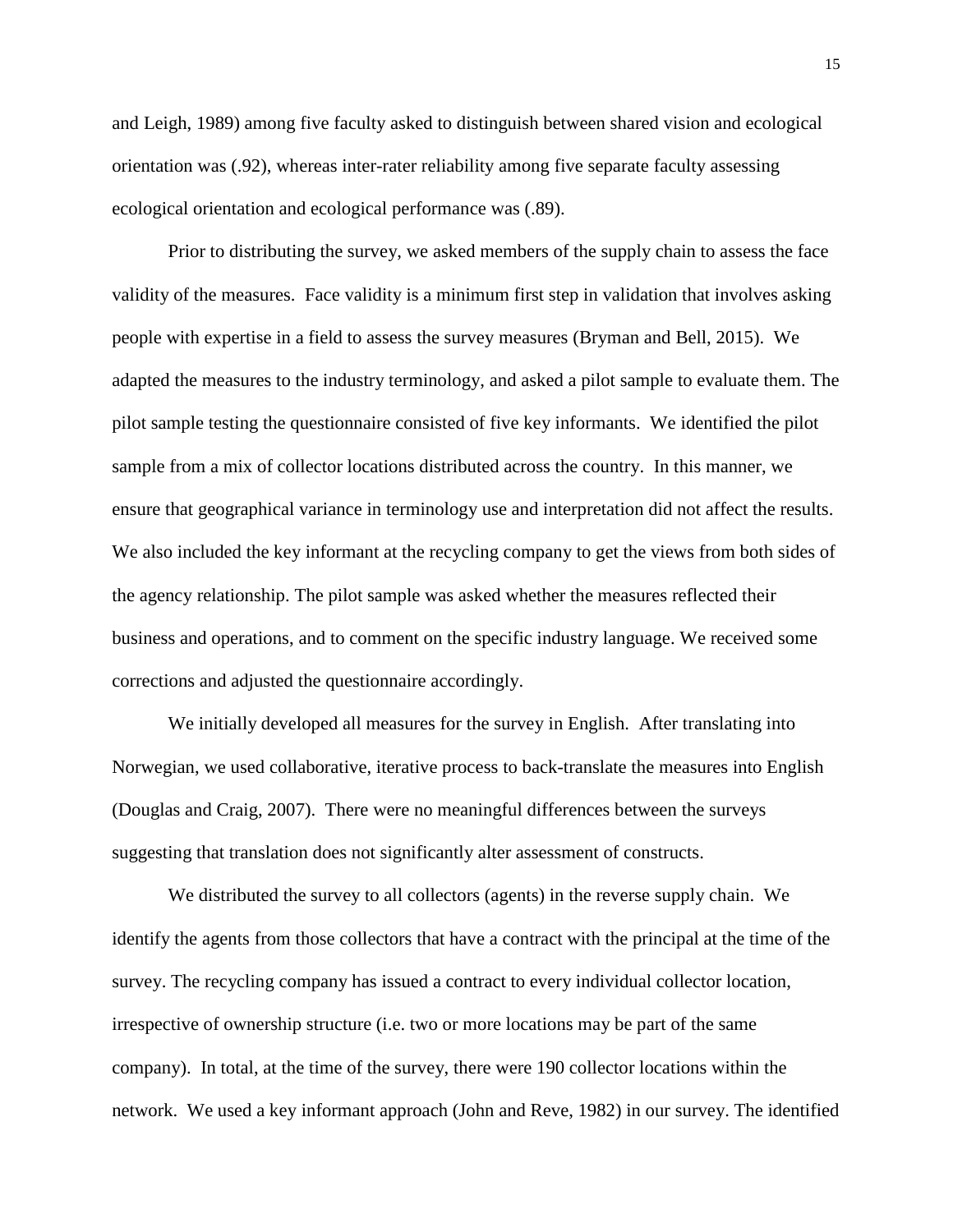and Leigh, 1989) among five faculty asked to distinguish between shared vision and ecological orientation was (.92), whereas inter-rater reliability among five separate faculty assessing ecological orientation and ecological performance was (.89).

Prior to distributing the survey, we asked members of the supply chain to assess the face validity of the measures. Face validity is a minimum first step in validation that involves asking people with expertise in a field to assess the survey measures (Bryman and Bell, 2015). We adapted the measures to the industry terminology, and asked a pilot sample to evaluate them. The pilot sample testing the questionnaire consisted of five key informants. We identified the pilot sample from a mix of collector locations distributed across the country. In this manner, we ensure that geographical variance in terminology use and interpretation did not affect the results. We also included the key informant at the recycling company to get the views from both sides of the agency relationship. The pilot sample was asked whether the measures reflected their business and operations, and to comment on the specific industry language. We received some corrections and adjusted the questionnaire accordingly.

We initially developed all measures for the survey in English. After translating into Norwegian, we used collaborative, iterative process to back-translate the measures into English (Douglas and Craig, 2007). There were no meaningful differences between the surveys suggesting that translation does not significantly alter assessment of constructs.

We distributed the survey to all collectors (agents) in the reverse supply chain. We identify the agents from those collectors that have a contract with the principal at the time of the survey. The recycling company has issued a contract to every individual collector location, irrespective of ownership structure (i.e. two or more locations may be part of the same company). In total, at the time of the survey, there were 190 collector locations within the network. We used a key informant approach (John and Reve, 1982) in our survey. The identified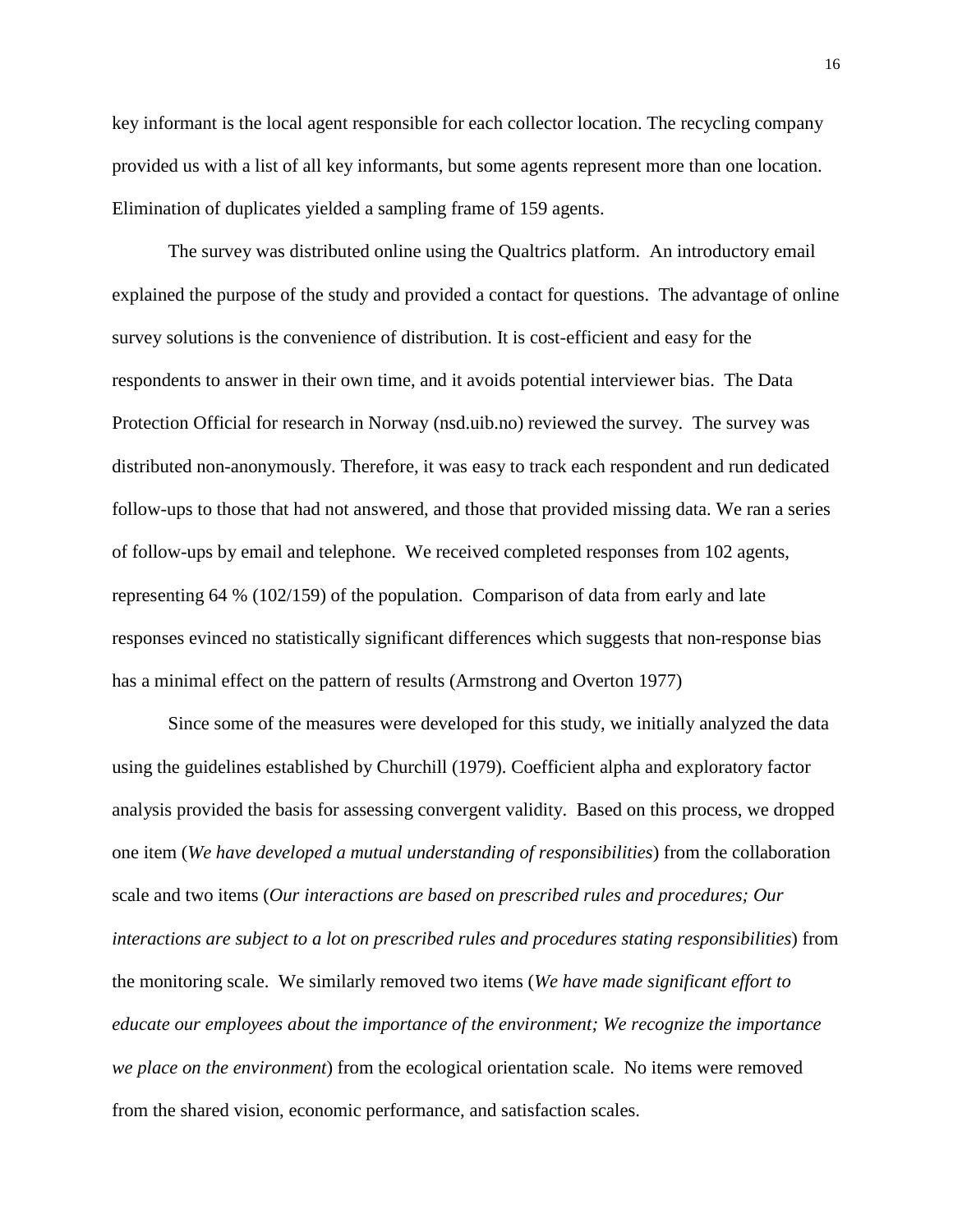key informant is the local agent responsible for each collector location. The recycling company provided us with a list of all key informants, but some agents represent more than one location. Elimination of duplicates yielded a sampling frame of 159 agents.

The survey was distributed online using the Qualtrics platform. An introductory email explained the purpose of the study and provided a contact for questions. The advantage of online survey solutions is the convenience of distribution. It is cost-efficient and easy for the respondents to answer in their own time, and it avoids potential interviewer bias. The Data Protection Official for research in Norway (nsd.uib.no) reviewed the survey. The survey was distributed non-anonymously. Therefore, it was easy to track each respondent and run dedicated follow-ups to those that had not answered, and those that provided missing data. We ran a series of follow-ups by email and telephone. We received completed responses from 102 agents, representing 64 % (102/159) of the population. Comparison of data from early and late responses evinced no statistically significant differences which suggests that non-response bias has a minimal effect on the pattern of results (Armstrong and Overton 1977)

Since some of the measures were developed for this study, we initially analyzed the data using the guidelines established by Churchill (1979). Coefficient alpha and exploratory factor analysis provided the basis for assessing convergent validity. Based on this process, we dropped one item (*We have developed a mutual understanding of responsibilities*) from the collaboration scale and two items (*Our interactions are based on prescribed rules and procedures; Our interactions are subject to a lot on prescribed rules and procedures stating responsibilities*) from the monitoring scale. We similarly removed two items (*We have made significant effort to educate our employees about the importance of the environment; We recognize the importance we place on the environment*) from the ecological orientation scale. No items were removed from the shared vision, economic performance, and satisfaction scales.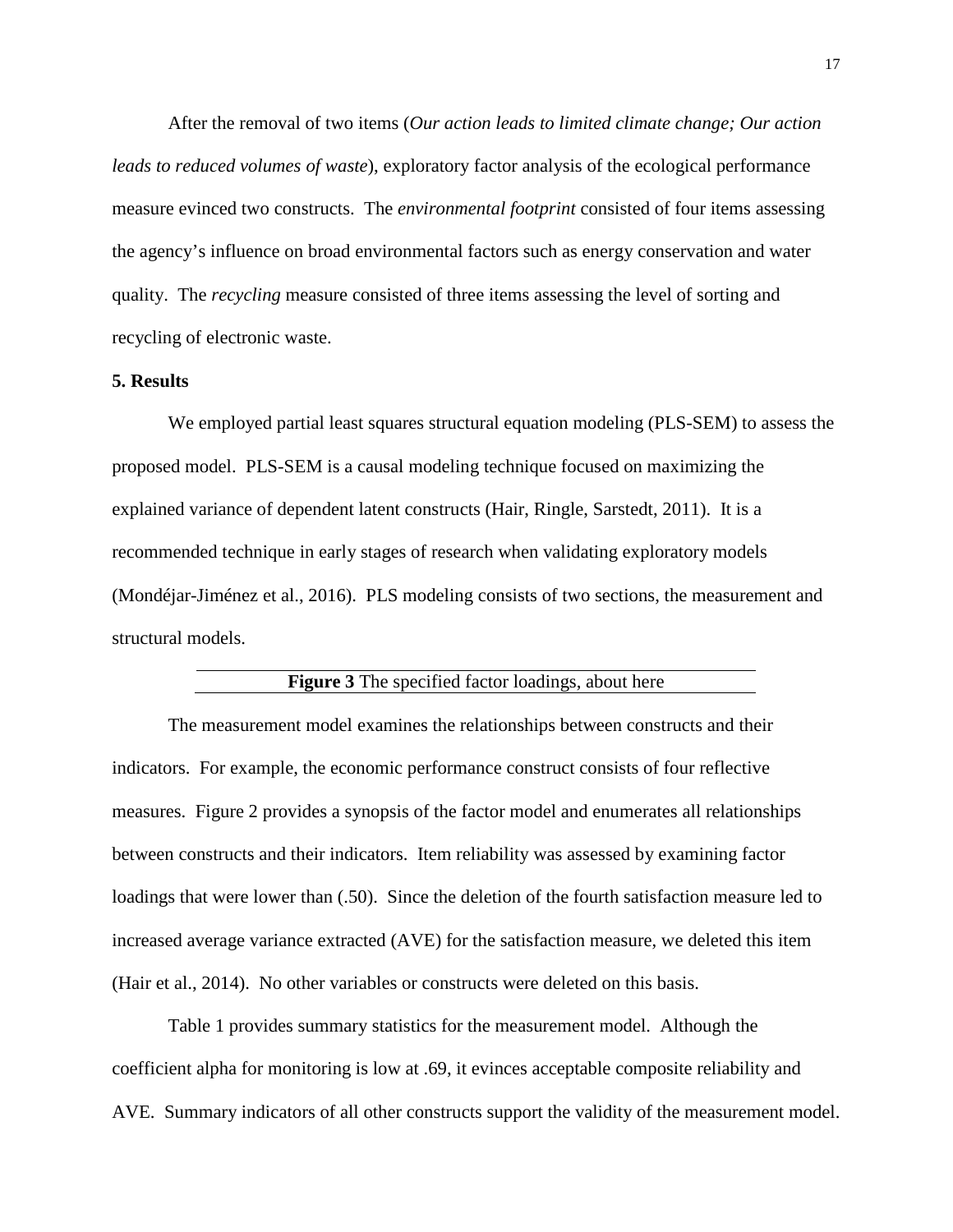After the removal of two items (*Our action leads to limited climate change; Our action leads to reduced volumes of waste*), exploratory factor analysis of the ecological performance measure evinced two constructs. The *environmental footprint* consisted of four items assessing the agency's influence on broad environmental factors such as energy conservation and water quality. The *recycling* measure consisted of three items assessing the level of sorting and recycling of electronic waste.

#### **5. Results**

We employed partial least squares structural equation modeling (PLS-SEM) to assess the proposed model. PLS-SEM is a causal modeling technique focused on maximizing the explained variance of dependent latent constructs (Hair, Ringle, Sarstedt, 2011). It is a recommended technique in early stages of research when validating exploratory models (Mondéjar-Jiménez et al., 2016). PLS modeling consists of two sections, the measurement and structural models.

#### **Figure 3** The specified factor loadings, about here

The measurement model examines the relationships between constructs and their indicators. For example, the economic performance construct consists of four reflective measures. Figure 2 provides a synopsis of the factor model and enumerates all relationships between constructs and their indicators. Item reliability was assessed by examining factor loadings that were lower than  $(.50)$ . Since the deletion of the fourth satisfaction measure led to increased average variance extracted (AVE) for the satisfaction measure, we deleted this item (Hair et al., 2014). No other variables or constructs were deleted on this basis.

Table 1 provides summary statistics for the measurement model. Although the coefficient alpha for monitoring is low at .69, it evinces acceptable composite reliability and AVE. Summary indicators of all other constructs support the validity of the measurement model.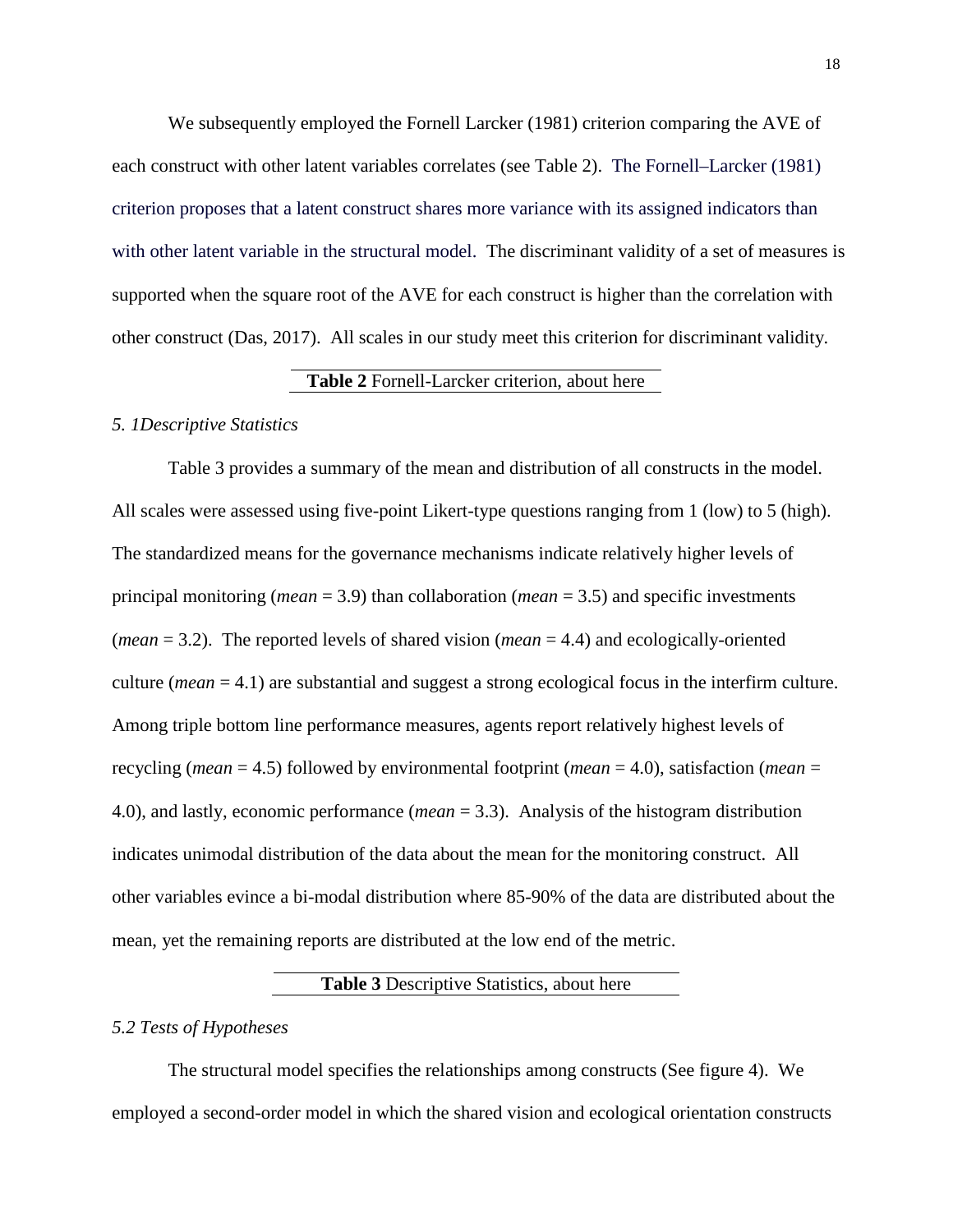We subsequently employed the Fornell Larcker (1981) criterion comparing the AVE of each construct with other latent variables correlates (see Table 2). The Fornell–Larcker (1981) criterion proposes that a latent construct shares more variance with its assigned indicators than with other latent variable in the structural model. The discriminant validity of a set of measures is supported when the square root of the AVE for each construct is higher than the correlation with other construct (Das, 2017). All scales in our study meet this criterion for discriminant validity.

## **Table 2** Fornell-Larcker criterion, about here

#### *5. 1Descriptive Statistics*

Table 3 provides a summary of the mean and distribution of all constructs in the model. All scales were assessed using five-point Likert-type questions ranging from 1 (low) to 5 (high). The standardized means for the governance mechanisms indicate relatively higher levels of principal monitoring (*mean* = 3.9) than collaboration (*mean* = 3.5) and specific investments (*mean* = 3.2). The reported levels of shared vision (*mean* = 4.4) and ecologically-oriented culture (*mean* = 4.1) are substantial and suggest a strong ecological focus in the interfirm culture. Among triple bottom line performance measures, agents report relatively highest levels of recycling (*mean* = 4.5) followed by environmental footprint (*mean* = 4.0), satisfaction (*mean* = 4.0), and lastly, economic performance (*mean* = 3.3). Analysis of the histogram distribution indicates unimodal distribution of the data about the mean for the monitoring construct. All other variables evince a bi-modal distribution where 85-90% of the data are distributed about the mean, yet the remaining reports are distributed at the low end of the metric.

#### **Table 3** Descriptive Statistics, about here

#### *5.2 Tests of Hypotheses*

The structural model specifies the relationships among constructs (See figure 4). We employed a second-order model in which the shared vision and ecological orientation constructs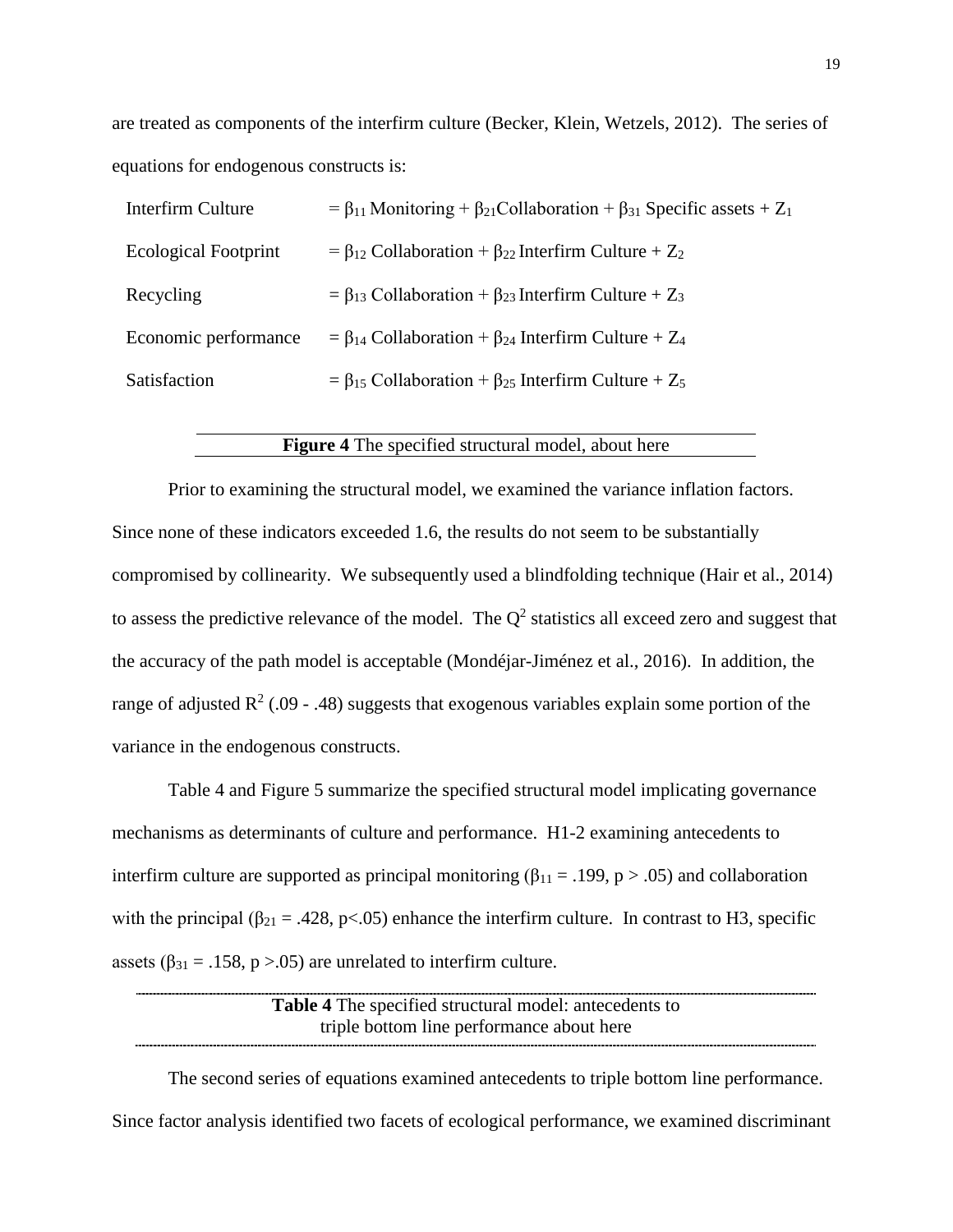are treated as components of the interfirm culture (Becker, Klein, Wetzels, 2012). The series of equations for endogenous constructs is:

| Interfirm Culture           | $= \beta_{11}$ Monitoring + $\beta_{21}$ Collaboration + $\beta_{31}$ Specific assets + Z <sub>1</sub> |
|-----------------------------|--------------------------------------------------------------------------------------------------------|
| <b>Ecological Footprint</b> | = $\beta_{12}$ Collaboration + $\beta_{22}$ Interfirm Culture + $Z_2$                                  |
| Recycling                   | $= \beta_{13}$ Collaboration + $\beta_{23}$ Interfirm Culture + Z <sub>3</sub>                         |
| Economic performance        | $= \beta_{14}$ Collaboration + $\beta_{24}$ Interfirm Culture + Z <sub>4</sub>                         |
| Satisfaction                | = $\beta_{15}$ Collaboration + $\beta_{25}$ Interfirm Culture + Z <sub>5</sub>                         |

## **Figure 4** The specified structural model, about here

Prior to examining the structural model, we examined the variance inflation factors. Since none of these indicators exceeded 1.6, the results do not seem to be substantially compromised by collinearity. We subsequently used a blindfolding technique (Hair et al., 2014) to assess the predictive relevance of the model. The  $Q<sup>2</sup>$  statistics all exceed zero and suggest that the accuracy of the path model is acceptable (Mondéjar-Jiménez et al., 2016). In addition, the range of adjusted  $\mathbb{R}^2$  (.09 - .48) suggests that exogenous variables explain some portion of the variance in the endogenous constructs.

Table 4 and Figure 5 summarize the specified structural model implicating governance mechanisms as determinants of culture and performance. H1-2 examining antecedents to interfirm culture are supported as principal monitoring ( $\beta_{11} = .199$ , p > .05) and collaboration with the principal ( $\beta_{21} = .428$ , p<.05) enhance the interfirm culture. In contrast to H3, specific assets ( $\beta_{31} = .158$ , p > .05) are unrelated to interfirm culture.

> **Table 4** The specified structural model: antecedents to triple bottom line performance about here

The second series of equations examined antecedents to triple bottom line performance. Since factor analysis identified two facets of ecological performance, we examined discriminant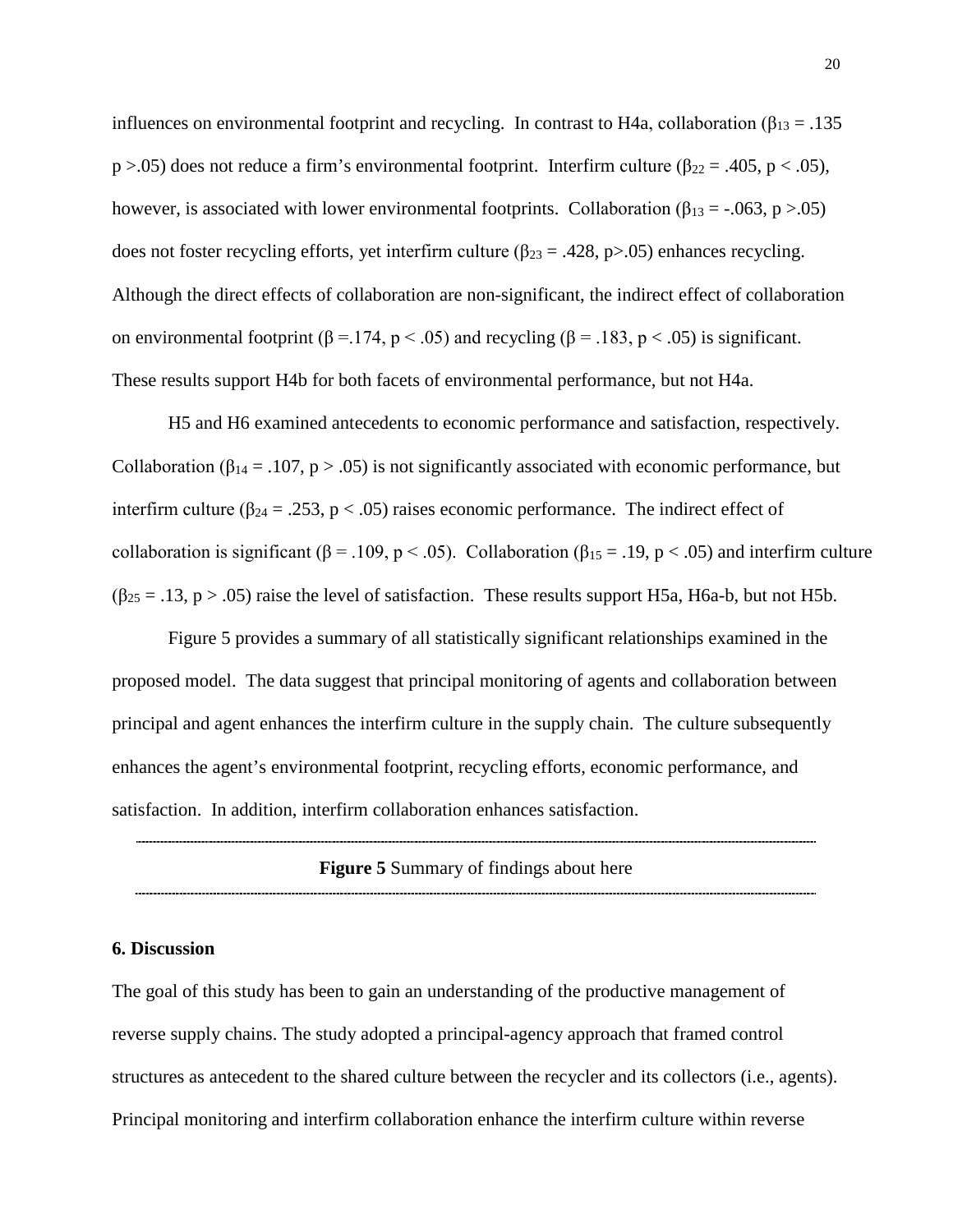influences on environmental footprint and recycling. In contrast to H4a, collaboration ( $\beta_{13} = .135$ ) p >.05) does not reduce a firm's environmental footprint. Interfirm culture ( $\beta_{22} = .405$ , p < .05), however, is associated with lower environmental footprints. Collaboration ( $\beta_{13} = -0.063$ , p > .05) does not foster recycling efforts, yet interfirm culture ( $\beta_{23} = .428$ , p>.05) enhances recycling. Although the direct effects of collaboration are non-significant, the indirect effect of collaboration on environmental footprint (β = .174, p < .05) and recycling (β = .183, p < .05) is significant. These results support H4b for both facets of environmental performance, but not H4a.

H5 and H6 examined antecedents to economic performance and satisfaction, respectively. Collaboration ( $\beta_{14} = .107$ , p > .05) is not significantly associated with economic performance, but interfirm culture ( $\beta_{24} = .253$ ,  $p < .05$ ) raises economic performance. The indirect effect of collaboration is significant ( $\beta$  = .109, p < .05). Collaboration ( $\beta_{15}$  = .19, p < .05) and interfirm culture  $(\beta_{25} = .13, p > .05)$  raise the level of satisfaction. These results support H5a, H6a-b, but not H5b.

Figure 5 provides a summary of all statistically significant relationships examined in the proposed model. The data suggest that principal monitoring of agents and collaboration between principal and agent enhances the interfirm culture in the supply chain. The culture subsequently enhances the agent's environmental footprint, recycling efforts, economic performance, and satisfaction. In addition, interfirm collaboration enhances satisfaction.

**Figure 5** Summary of findings about here

#### **6. Discussion**

The goal of this study has been to gain an understanding of the productive management of reverse supply chains. The study adopted a principal-agency approach that framed control structures as antecedent to the shared culture between the recycler and its collectors (i.e., agents). Principal monitoring and interfirm collaboration enhance the interfirm culture within reverse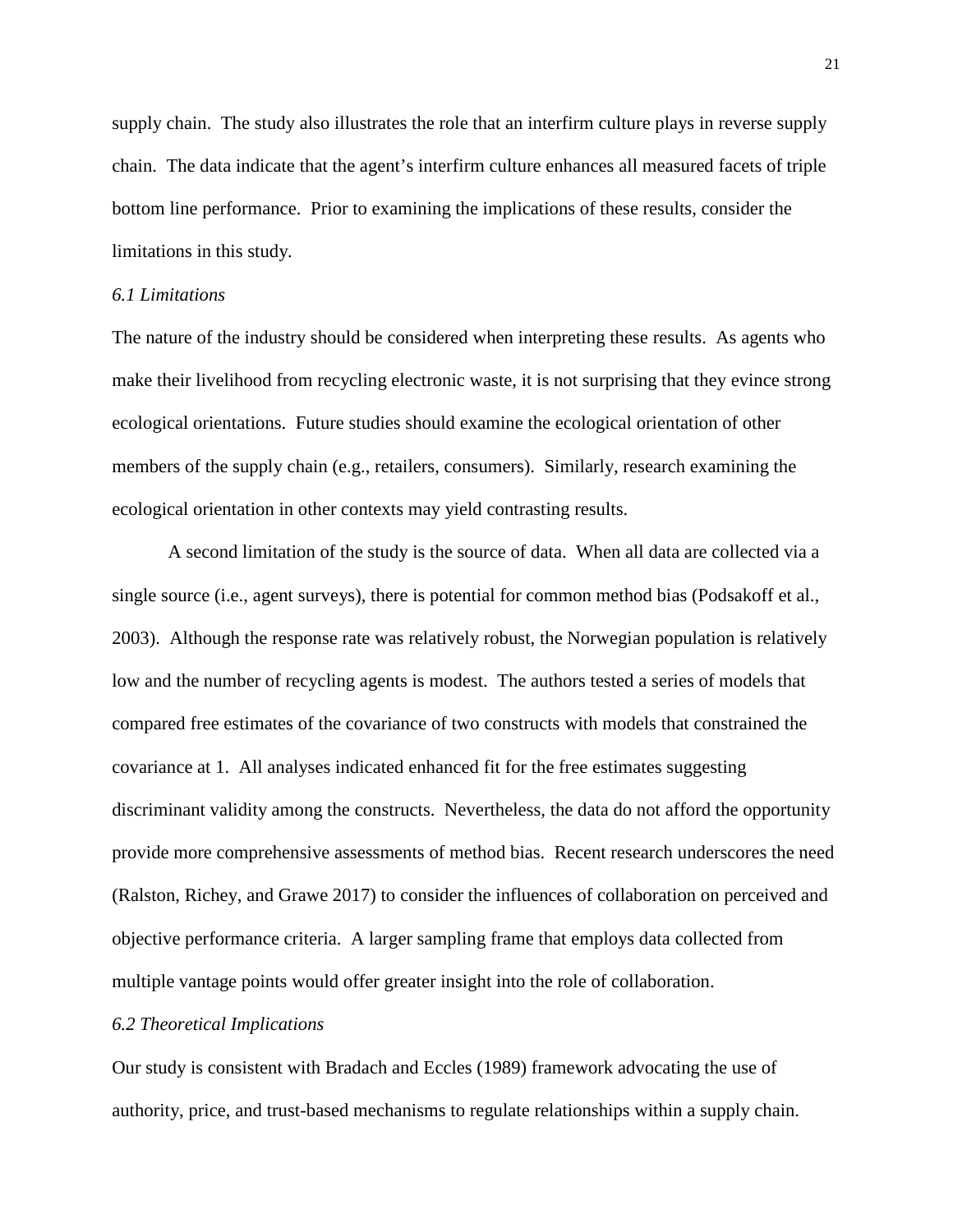supply chain. The study also illustrates the role that an interfirm culture plays in reverse supply chain. The data indicate that the agent's interfirm culture enhances all measured facets of triple bottom line performance. Prior to examining the implications of these results, consider the limitations in this study.

## *6.1 Limitations*

The nature of the industry should be considered when interpreting these results. As agents who make their livelihood from recycling electronic waste, it is not surprising that they evince strong ecological orientations. Future studies should examine the ecological orientation of other members of the supply chain (e.g., retailers, consumers). Similarly, research examining the ecological orientation in other contexts may yield contrasting results.

A second limitation of the study is the source of data. When all data are collected via a single source (i.e., agent surveys), there is potential for common method bias (Podsakoff et al., 2003). Although the response rate was relatively robust, the Norwegian population is relatively low and the number of recycling agents is modest. The authors tested a series of models that compared free estimates of the covariance of two constructs with models that constrained the covariance at 1. All analyses indicated enhanced fit for the free estimates suggesting discriminant validity among the constructs. Nevertheless, the data do not afford the opportunity provide more comprehensive assessments of method bias. Recent research underscores the need (Ralston, Richey, and Grawe 2017) to consider the influences of collaboration on perceived and objective performance criteria. A larger sampling frame that employs data collected from multiple vantage points would offer greater insight into the role of collaboration.

#### *6.2 Theoretical Implications*

Our study is consistent with Bradach and Eccles (1989) framework advocating the use of authority, price, and trust-based mechanisms to regulate relationships within a supply chain.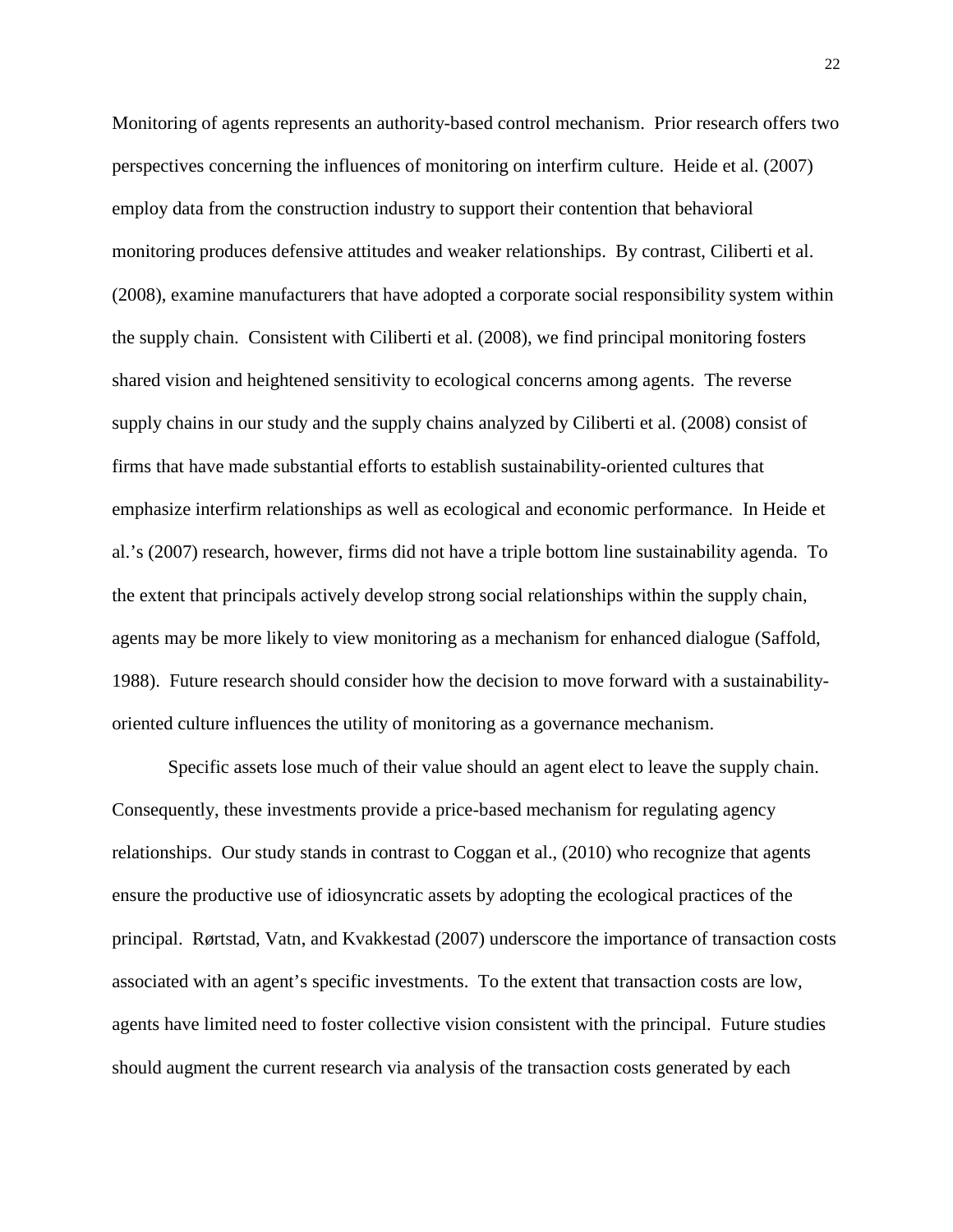Monitoring of agents represents an authority-based control mechanism. Prior research offers two perspectives concerning the influences of monitoring on interfirm culture. Heide et al. (2007) employ data from the construction industry to support their contention that behavioral monitoring produces defensive attitudes and weaker relationships. By contrast, Ciliberti et al. (2008), examine manufacturers that have adopted a corporate social responsibility system within the supply chain. Consistent with Ciliberti et al. (2008), we find principal monitoring fosters shared vision and heightened sensitivity to ecological concerns among agents. The reverse supply chains in our study and the supply chains analyzed by Ciliberti et al. (2008) consist of firms that have made substantial efforts to establish sustainability-oriented cultures that emphasize interfirm relationships as well as ecological and economic performance. In Heide et al.'s (2007) research, however, firms did not have a triple bottom line sustainability agenda. To the extent that principals actively develop strong social relationships within the supply chain, agents may be more likely to view monitoring as a mechanism for enhanced dialogue (Saffold, 1988). Future research should consider how the decision to move forward with a sustainabilityoriented culture influences the utility of monitoring as a governance mechanism.

Specific assets lose much of their value should an agent elect to leave the supply chain. Consequently, these investments provide a price-based mechanism for regulating agency relationships. Our study stands in contrast to Coggan et al., (2010) who recognize that agents ensure the productive use of idiosyncratic assets by adopting the ecological practices of the principal. Rørtstad, Vatn, and Kvakkestad (2007) underscore the importance of transaction costs associated with an agent's specific investments. To the extent that transaction costs are low, agents have limited need to foster collective vision consistent with the principal. Future studies should augment the current research via analysis of the transaction costs generated by each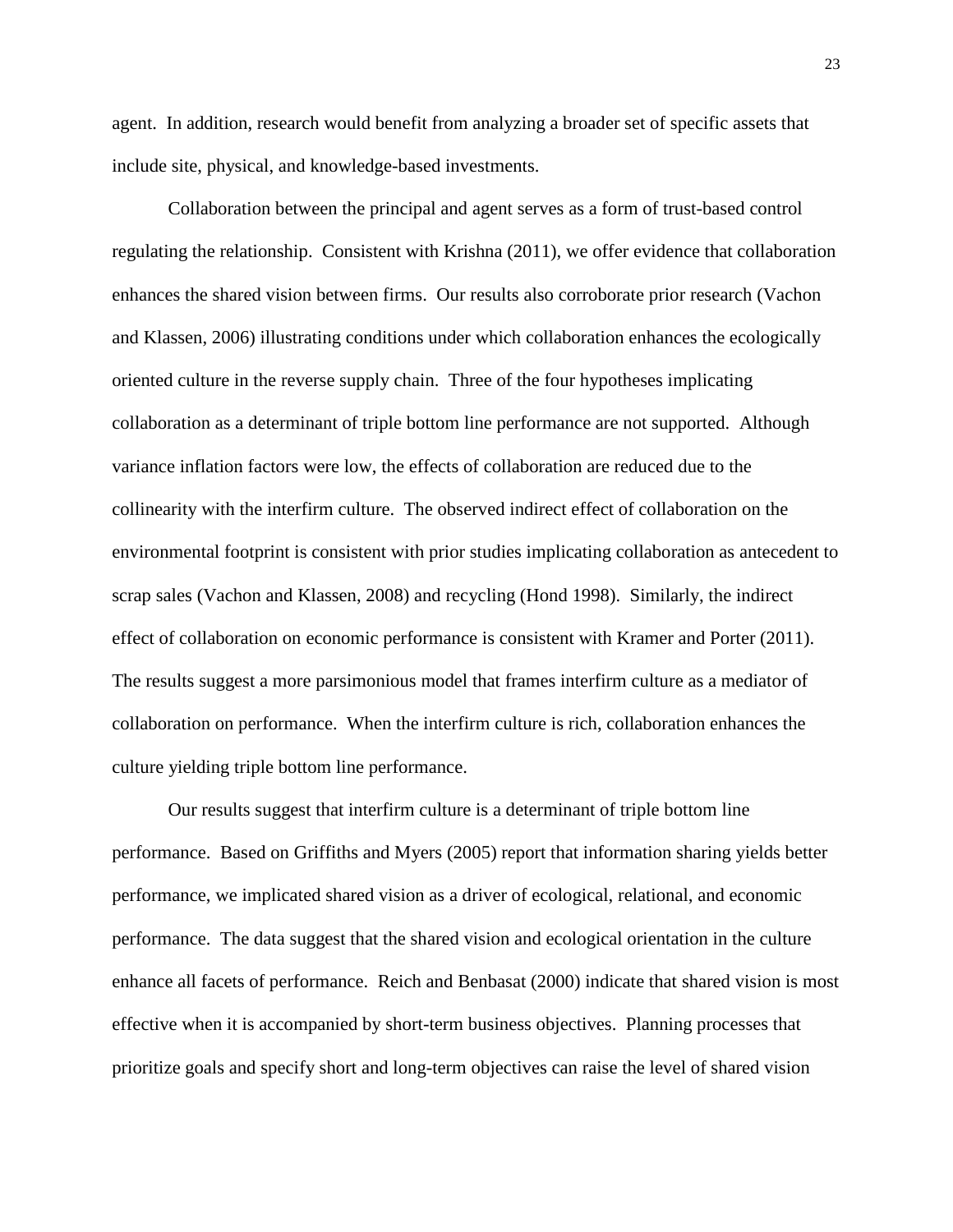agent. In addition, research would benefit from analyzing a broader set of specific assets that include site, physical, and knowledge-based investments.

Collaboration between the principal and agent serves as a form of trust-based control regulating the relationship. Consistent with Krishna (2011), we offer evidence that collaboration enhances the shared vision between firms. Our results also corroborate prior research (Vachon and Klassen, 2006) illustrating conditions under which collaboration enhances the ecologically oriented culture in the reverse supply chain. Three of the four hypotheses implicating collaboration as a determinant of triple bottom line performance are not supported. Although variance inflation factors were low, the effects of collaboration are reduced due to the collinearity with the interfirm culture. The observed indirect effect of collaboration on the environmental footprint is consistent with prior studies implicating collaboration as antecedent to scrap sales (Vachon and Klassen, 2008) and recycling (Hond 1998). Similarly, the indirect effect of collaboration on economic performance is consistent with Kramer and Porter (2011). The results suggest a more parsimonious model that frames interfirm culture as a mediator of collaboration on performance. When the interfirm culture is rich, collaboration enhances the culture yielding triple bottom line performance.

Our results suggest that interfirm culture is a determinant of triple bottom line performance. Based on Griffiths and Myers (2005) report that information sharing yields better performance, we implicated shared vision as a driver of ecological, relational, and economic performance. The data suggest that the shared vision and ecological orientation in the culture enhance all facets of performance. Reich and Benbasat (2000) indicate that shared vision is most effective when it is accompanied by short-term business objectives. Planning processes that prioritize goals and specify short and long-term objectives can raise the level of shared vision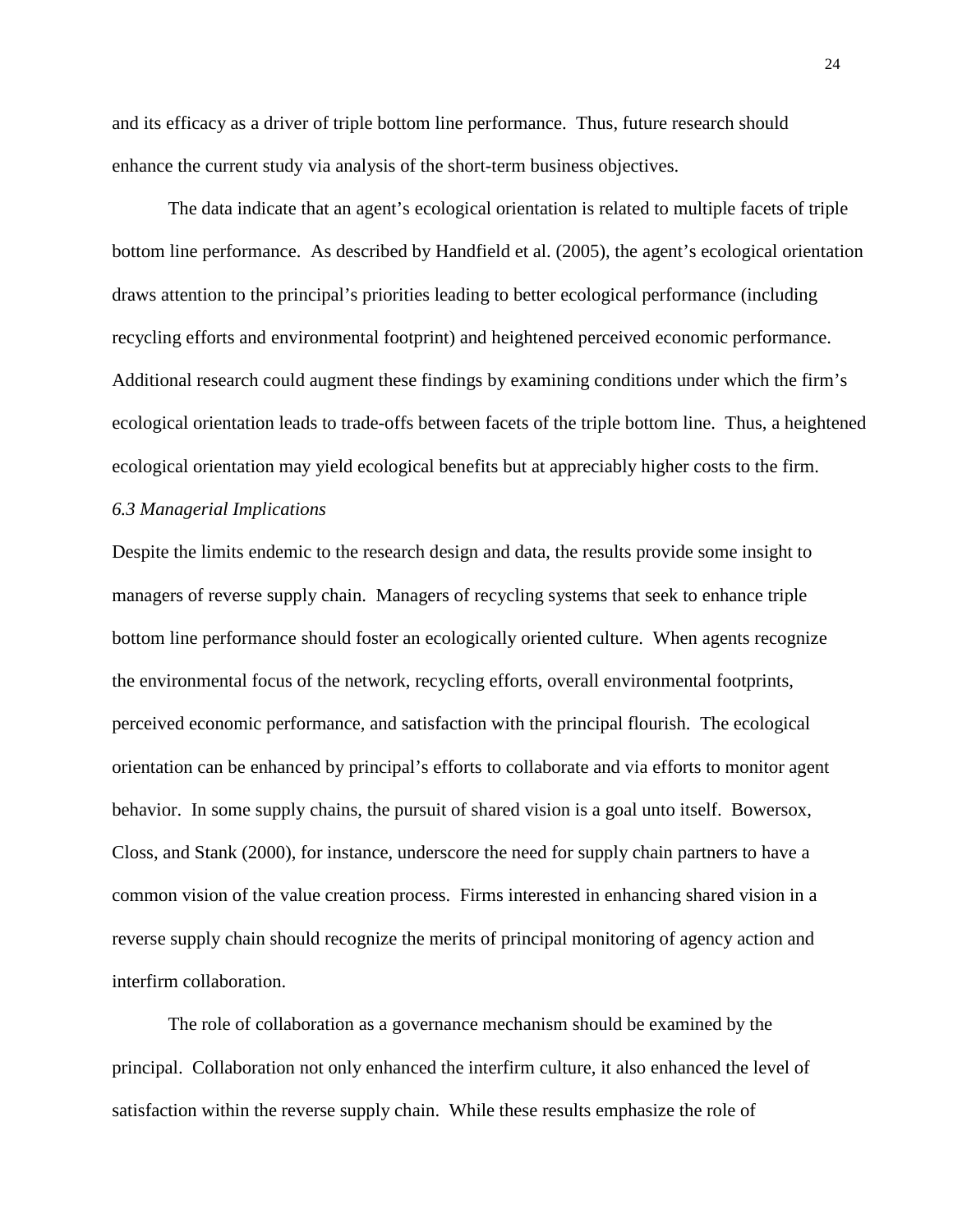and its efficacy as a driver of triple bottom line performance. Thus, future research should enhance the current study via analysis of the short-term business objectives.

The data indicate that an agent's ecological orientation is related to multiple facets of triple bottom line performance. As described by Handfield et al. (2005), the agent's ecological orientation draws attention to the principal's priorities leading to better ecological performance (including recycling efforts and environmental footprint) and heightened perceived economic performance. Additional research could augment these findings by examining conditions under which the firm's ecological orientation leads to trade-offs between facets of the triple bottom line. Thus, a heightened ecological orientation may yield ecological benefits but at appreciably higher costs to the firm.

### *6.3 Managerial Implications*

Despite the limits endemic to the research design and data, the results provide some insight to managers of reverse supply chain. Managers of recycling systems that seek to enhance triple bottom line performance should foster an ecologically oriented culture. When agents recognize the environmental focus of the network, recycling efforts, overall environmental footprints, perceived economic performance, and satisfaction with the principal flourish. The ecological orientation can be enhanced by principal's efforts to collaborate and via efforts to monitor agent behavior. In some supply chains, the pursuit of shared vision is a goal unto itself. Bowersox, Closs, and Stank (2000), for instance, underscore the need for supply chain partners to have a common vision of the value creation process. Firms interested in enhancing shared vision in a reverse supply chain should recognize the merits of principal monitoring of agency action and interfirm collaboration.

The role of collaboration as a governance mechanism should be examined by the principal. Collaboration not only enhanced the interfirm culture, it also enhanced the level of satisfaction within the reverse supply chain. While these results emphasize the role of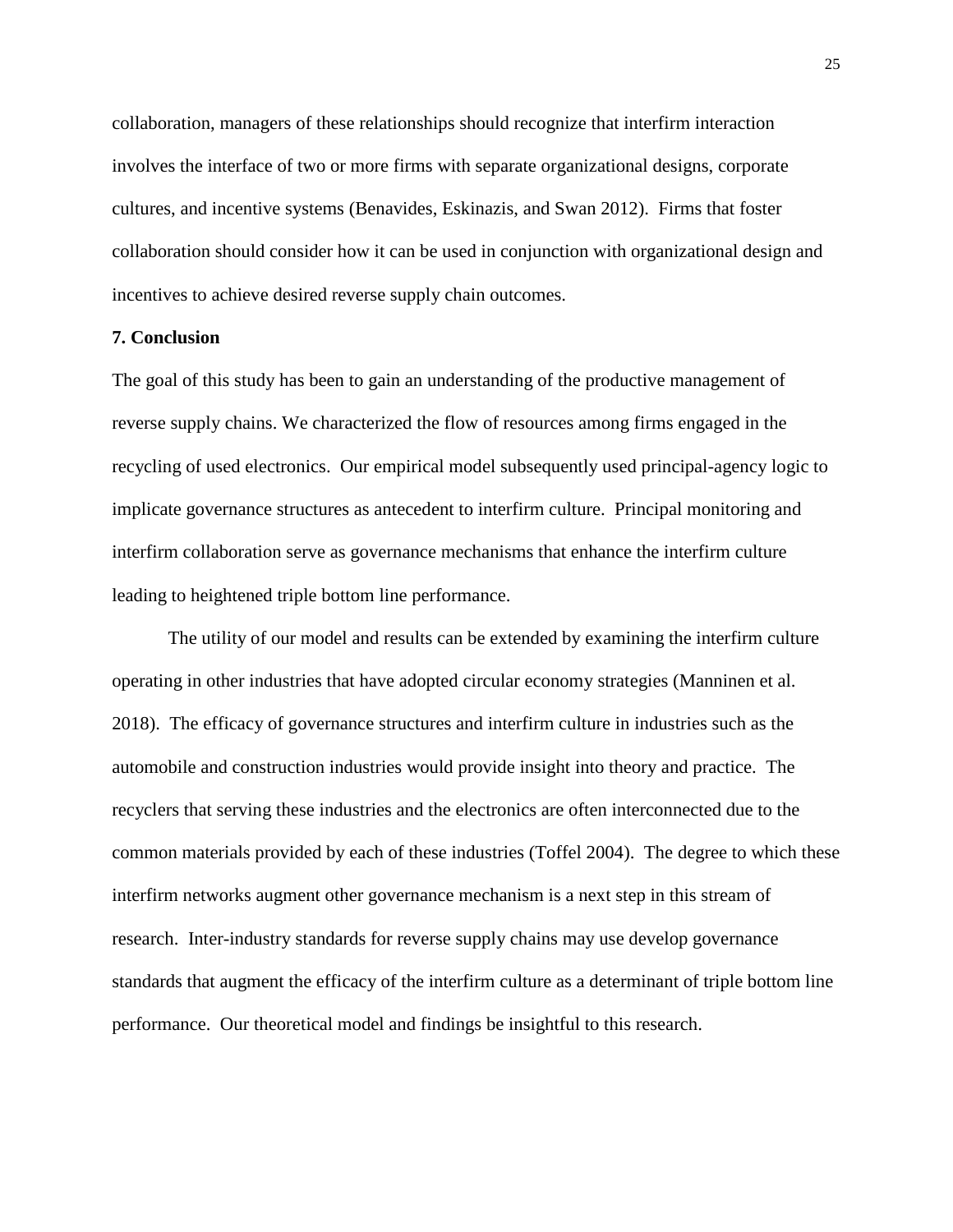collaboration, managers of these relationships should recognize that interfirm interaction involves the interface of two or more firms with separate organizational designs, corporate cultures, and incentive systems (Benavides, Eskinazis, and Swan 2012). Firms that foster collaboration should consider how it can be used in conjunction with organizational design and incentives to achieve desired reverse supply chain outcomes.

#### **7. Conclusion**

The goal of this study has been to gain an understanding of the productive management of reverse supply chains. We characterized the flow of resources among firms engaged in the recycling of used electronics. Our empirical model subsequently used principal-agency logic to implicate governance structures as antecedent to interfirm culture. Principal monitoring and interfirm collaboration serve as governance mechanisms that enhance the interfirm culture leading to heightened triple bottom line performance.

The utility of our model and results can be extended by examining the interfirm culture operating in other industries that have adopted circular economy strategies (Manninen et al. 2018). The efficacy of governance structures and interfirm culture in industries such as the automobile and construction industries would provide insight into theory and practice. The recyclers that serving these industries and the electronics are often interconnected due to the common materials provided by each of these industries (Toffel 2004). The degree to which these interfirm networks augment other governance mechanism is a next step in this stream of research. Inter-industry standards for reverse supply chains may use develop governance standards that augment the efficacy of the interfirm culture as a determinant of triple bottom line performance. Our theoretical model and findings be insightful to this research.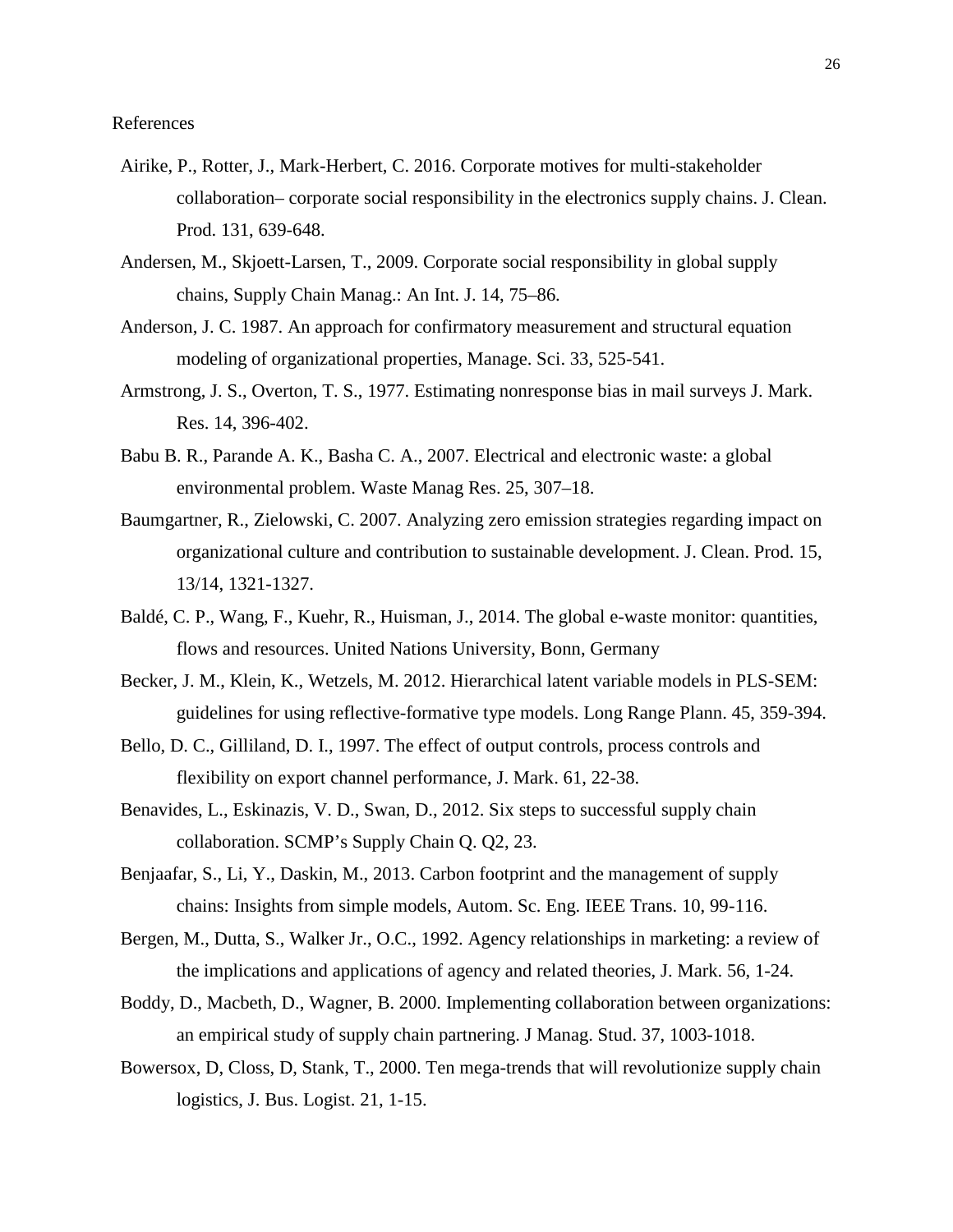- Airike, P., Rotter, J., Mark-Herbert, C. 2016. Corporate motives for multi-stakeholder collaboration– corporate social responsibility in the electronics supply chains. J. Clean. Prod. 131, 639-648.
- Andersen, M., Skjoett-Larsen, T., 2009. Corporate social responsibility in global supply chains, Supply Chain Manag.: An Int. J. 14, 75–86.
- Anderson, J. C. 1987. An approach for confirmatory measurement and structural equation modeling of organizational properties, Manage. Sci. 33, 525-541.
- Armstrong, J. S., Overton, T. S., 1977. Estimating nonresponse bias in mail surveys J. Mark. Res. 14, 396-402.
- Babu B. R., Parande A. K., Basha C. A., 2007. Electrical and electronic waste: a global environmental problem. Waste Manag Res. 25, 307–18.
- Baumgartner, R., Zielowski, C. 2007. Analyzing zero emission strategies regarding impact on organizational culture and contribution to sustainable development. J. Clean. Prod. 15, 13/14, 1321-1327.
- Baldé, C. P., Wang, F., Kuehr, R., Huisman, J., 2014. The global e-waste monitor: quantities, flows and resources. United Nations University, Bonn, Germany
- Becker, J. M., Klein, K., Wetzels, M. 2012. Hierarchical latent variable models in PLS-SEM: guidelines for using reflective-formative type models. Long Range Plann. 45, 359-394.
- Bello, D. C., Gilliland, D. I., 1997. The effect of output controls, process controls and flexibility on export channel performance, J. Mark. 61, 22-38.
- Benavides, L., Eskinazis, V. D., Swan, D., 2012. Six steps to successful supply chain collaboration. SCMP's Supply Chain Q. Q2, 23.
- Benjaafar, S., Li, Y., Daskin, M., 2013. Carbon footprint and the management of supply chains: Insights from simple models, Autom. Sc. Eng. IEEE Trans. 10, 99-116.
- Bergen, M., Dutta, S., Walker Jr., O.C., 1992. Agency relationships in marketing: a review of the implications and applications of agency and related theories, J. Mark. 56, 1-24.
- Boddy, D., Macbeth, D., Wagner, B. 2000. Implementing collaboration between organizations: an empirical study of supply chain partnering. J Manag. Stud. 37, 1003-1018.
- Bowersox, D, Closs, D, Stank, T., 2000. Ten mega-trends that will revolutionize supply chain logistics, J. Bus. Logist. 21, 1-15.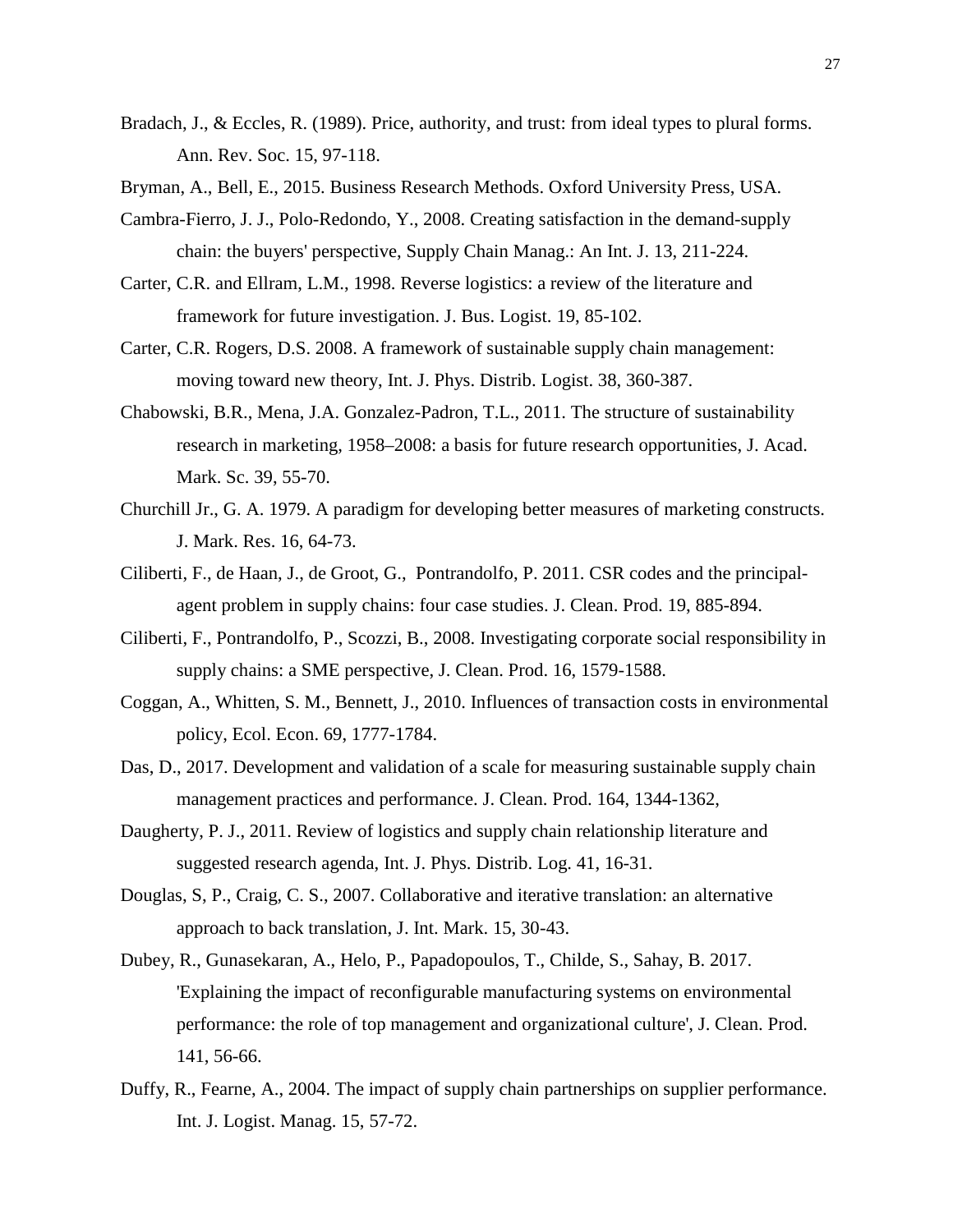- Bradach, J., & Eccles, R. (1989). Price, authority, and trust: from ideal types to plural forms. Ann. Rev. Soc. 15, 97-118.
- Bryman, A., Bell, E., 2015. Business Research Methods. Oxford University Press, USA.
- Cambra-Fierro, J. J., Polo-Redondo, Y., 2008. Creating satisfaction in the demand-supply chain: the buyers' perspective, Supply Chain Manag.: An Int. J. 13, 211-224.
- Carter, C.R. and Ellram, L.M., 1998. Reverse logistics: a review of the literature and framework for future investigation. J. Bus. Logist. 19, 85-102.
- Carter, C.R. Rogers, D.S. 2008. A framework of sustainable supply chain management: moving toward new theory, Int. J. Phys. Distrib. Logist. 38, 360-387.
- Chabowski, B.R., Mena, J.A. Gonzalez-Padron, T.L., 2011. The structure of sustainability research in marketing, 1958–2008: a basis for future research opportunities, J. Acad. Mark. Sc. 39, 55-70.
- Churchill Jr., G. A. 1979. A paradigm for developing better measures of marketing constructs. J. Mark. Res. 16, 64-73.
- Ciliberti, F., de Haan, J., de Groot, G., Pontrandolfo, P. 2011. CSR codes and the principalagent problem in supply chains: four case studies. J. Clean. Prod. 19, 885-894.
- Ciliberti, F., Pontrandolfo, P., Scozzi, B., 2008. Investigating corporate social responsibility in supply chains: a SME perspective, J. Clean. Prod. 16, 1579-1588.
- Coggan, A., Whitten, S. M., Bennett, J., 2010. Influences of transaction costs in environmental policy, Ecol. Econ. 69, 1777-1784.
- Das, D., 2017. Development and validation of a scale for measuring sustainable supply chain management practices and performance. J. Clean. Prod. 164, 1344-1362,
- Daugherty, P. J., 2011. Review of logistics and supply chain relationship literature and suggested research agenda, Int. J. Phys. Distrib. Log. 41, 16-31.
- Douglas, S, P., Craig, C. S., 2007. Collaborative and iterative translation: an alternative approach to back translation, J. Int. Mark. 15, 30-43.
- Dubey, R., Gunasekaran, A., Helo, P., Papadopoulos, T., Childe, S., Sahay, B. 2017. 'Explaining the impact of reconfigurable manufacturing systems on environmental performance: the role of top management and organizational culture', J. Clean. Prod. 141, 56-66.
- Duffy, R., Fearne, A., 2004. The impact of supply chain partnerships on supplier performance. Int. J. Logist. Manag. 15, 57-72.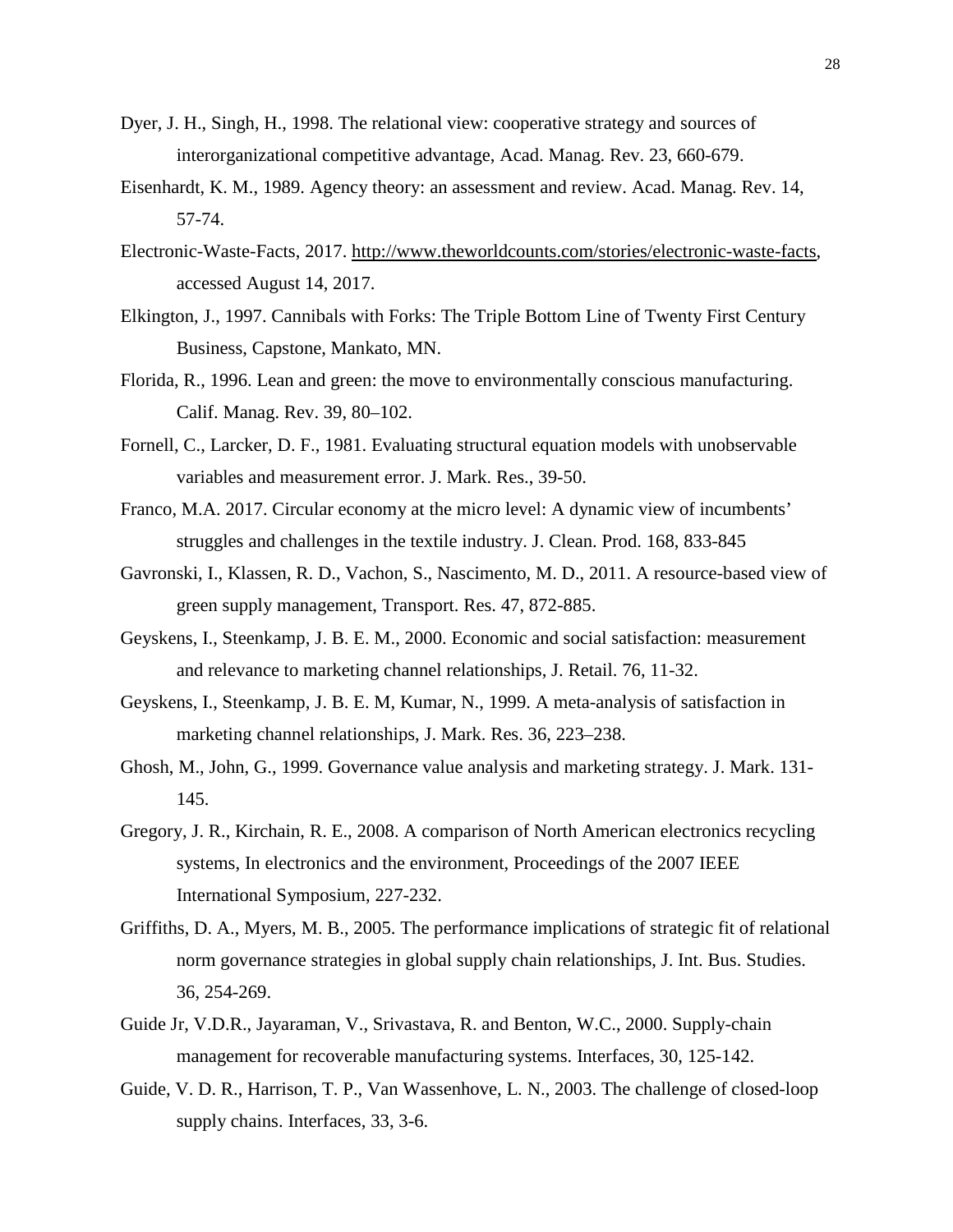- Dyer, J. H., Singh, H., 1998. The relational view: cooperative strategy and sources of interorganizational competitive advantage, Acad. Manag. Rev. 23, 660-679.
- Eisenhardt, K. M., 1989. Agency theory: an assessment and review. Acad. Manag. Rev. 14, 57-74.
- Electronic-Waste-Facts, 2017. [http://www.theworldcounts.com/stories/electronic-waste-facts,](http://www.theworldcounts.com/stories/Electronic-Waste-Facts) accessed August 14, 2017.
- Elkington, J., 1997. Cannibals with Forks: The Triple Bottom Line of Twenty First Century Business, Capstone, Mankato, MN.
- Florida, R., 1996. Lean and green: the move to environmentally conscious manufacturing. Calif. Manag. Rev. 39, 80–102.
- Fornell, C., Larcker, D. F., 1981. Evaluating structural equation models with unobservable variables and measurement error. J. Mark. Res., 39-50.
- Franco, M.A. 2017. Circular economy at the micro level: A dynamic view of incumbents' struggles and challenges in the textile industry. J. Clean. Prod. 168, 833-845
- Gavronski, I., Klassen, R. D., Vachon, S., Nascimento, M. D., 2011. A resource-based view of green supply management, Transport. Res. 47, 872-885.
- Geyskens, I., Steenkamp, J. B. E. M., 2000. Economic and social satisfaction: measurement and relevance to marketing channel relationships, J. Retail. 76, 11-32.
- Geyskens, I., Steenkamp, J. B. E. M, Kumar, N., 1999. A meta-analysis of satisfaction in marketing channel relationships, J. Mark. Res. 36, 223–238.
- Ghosh, M., John, G., 1999. Governance value analysis and marketing strategy. J. Mark. 131- 145.
- Gregory, J. R., Kirchain, R. E., 2008. A comparison of North American electronics recycling systems, In electronics and the environment, Proceedings of the 2007 IEEE International Symposium, 227-232.
- Griffiths, D. A., Myers, M. B., 2005. The performance implications of strategic fit of relational norm governance strategies in global supply chain relationships, J. Int. Bus. Studies. 36, 254-269.
- Guide Jr, V.D.R., Jayaraman, V., Srivastava, R. and Benton, W.C., 2000. Supply-chain management for recoverable manufacturing systems. Interfaces, 30, 125-142.
- Guide, V. D. R., Harrison, T. P., Van Wassenhove, L. N., 2003. The challenge of closed-loop supply chains. Interfaces, 33, 3-6.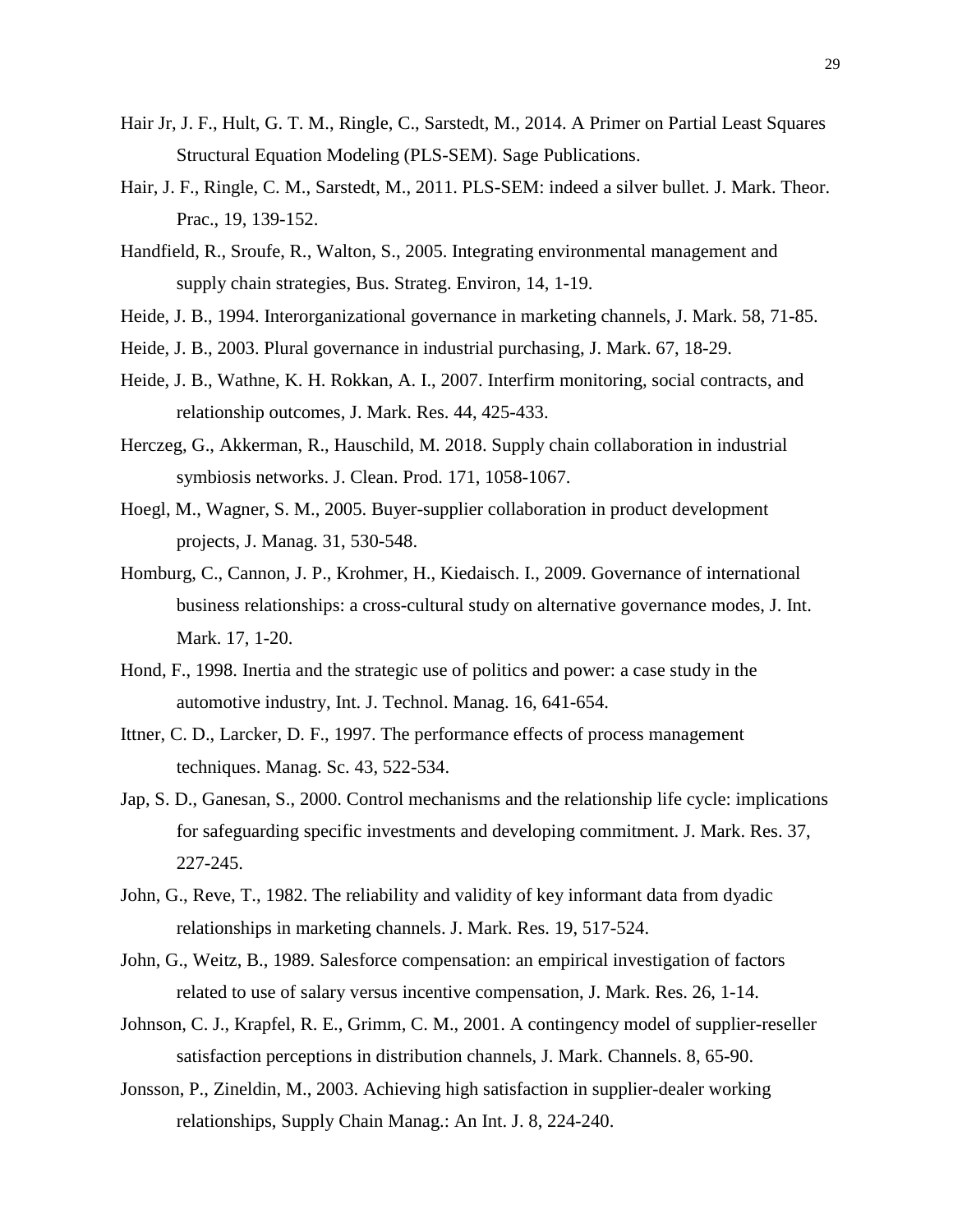- Hair Jr, J. F., Hult, G. T. M., Ringle, C., Sarstedt, M., 2014. A Primer on Partial Least Squares Structural Equation Modeling (PLS-SEM). Sage Publications.
- Hair, J. F., Ringle, C. M., Sarstedt, M., 2011. PLS-SEM: indeed a silver bullet. J. Mark. Theor. Prac., 19, 139-152.
- Handfield, R., Sroufe, R., Walton, S., 2005. Integrating environmental management and supply chain strategies, Bus. Strateg. Environ, 14, 1-19.
- Heide, J. B., 1994. Interorganizational governance in marketing channels, J. Mark. 58, 71-85.
- Heide, J. B., 2003. Plural governance in industrial purchasing, J. Mark. 67, 18-29.
- Heide, J. B., Wathne, K. H. Rokkan, A. I., 2007. Interfirm monitoring, social contracts, and relationship outcomes, J. Mark. Res. 44, 425-433.
- Herczeg, G., Akkerman, R., Hauschild, M. 2018. Supply chain collaboration in industrial symbiosis networks. J. Clean. Prod. 171, 1058-1067.
- Hoegl, M., Wagner, S. M., 2005. Buyer-supplier collaboration in product development projects, J. Manag. 31, 530-548.
- Homburg, C., Cannon, J. P., Krohmer, H., Kiedaisch. I., 2009. Governance of international business relationships: a cross-cultural study on alternative governance modes, J. Int. Mark. 17, 1-20.
- Hond, F., 1998. Inertia and the strategic use of politics and power: a case study in the automotive industry, Int. J. Technol. Manag. 16, 641-654.
- Ittner, C. D., Larcker, D. F., 1997. The performance effects of process management techniques. Manag. Sc. 43, 522-534.
- Jap, S. D., Ganesan, S., 2000. Control mechanisms and the relationship life cycle: implications for safeguarding specific investments and developing commitment. J. Mark. Res. 37, 227-245.
- John, G., Reve, T., 1982. The reliability and validity of key informant data from dyadic relationships in marketing channels. J. Mark. Res. 19, 517-524.
- John, G., Weitz, B., 1989. Salesforce compensation: an empirical investigation of factors related to use of salary versus incentive compensation, J. Mark. Res. 26, 1-14.
- Johnson, C. J., Krapfel, R. E., Grimm, C. M., 2001. A contingency model of supplier-reseller satisfaction perceptions in distribution channels, J. Mark. Channels. 8, 65-90.
- Jonsson, P., Zineldin, M., 2003. Achieving high satisfaction in supplier-dealer working relationships, Supply Chain Manag.: An Int. J. 8, 224-240.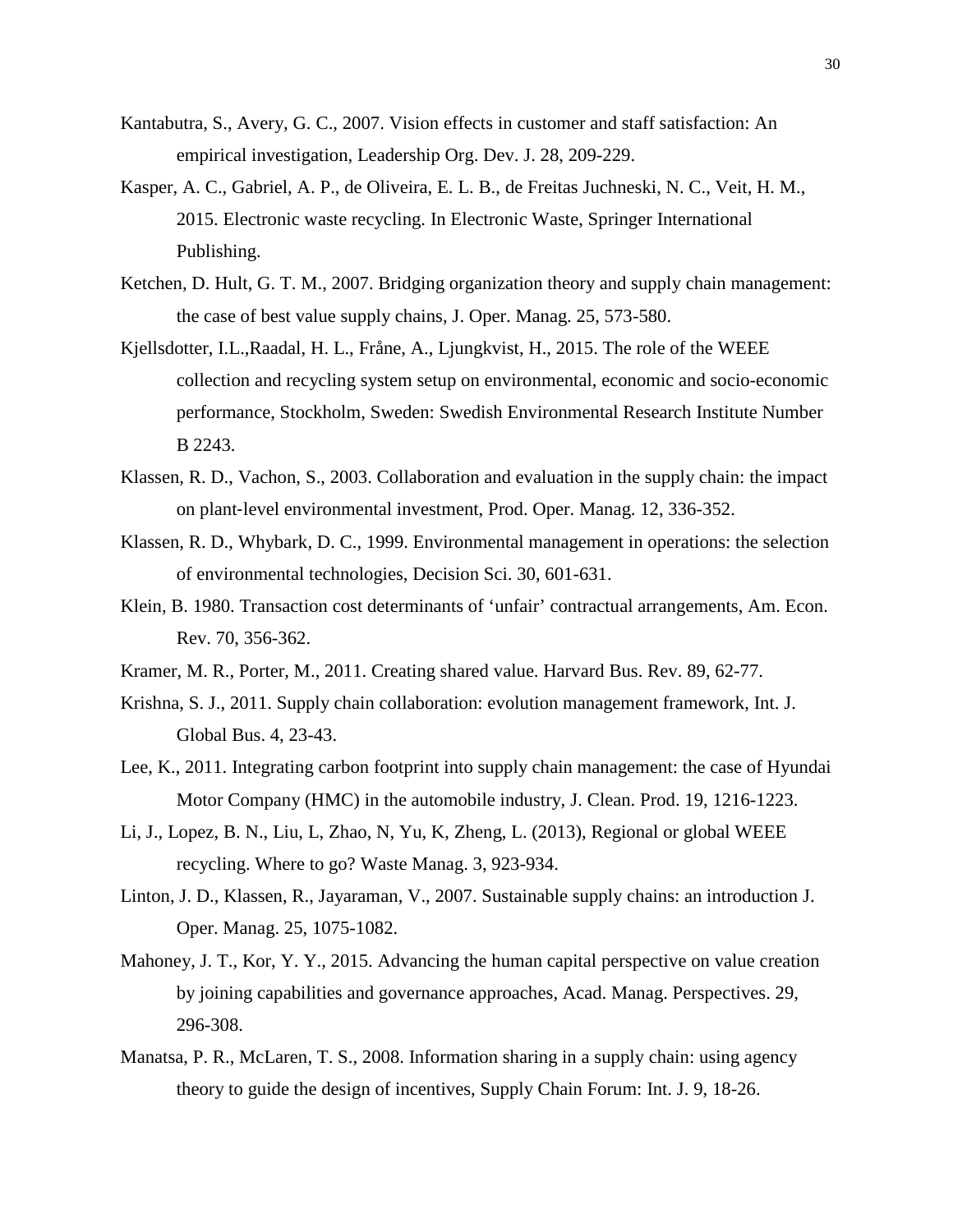- Kantabutra, S., Avery, G. C., 2007. Vision effects in customer and staff satisfaction: An empirical investigation, Leadership Org. Dev. J. 28, 209-229.
- Kasper, A. C., Gabriel, A. P., de Oliveira, E. L. B., de Freitas Juchneski, N. C., Veit, H. M., 2015. Electronic waste recycling. In Electronic Waste, Springer International Publishing.
- Ketchen, D. Hult, G. T. M., 2007. Bridging organization theory and supply chain management: the case of best value supply chains, J. Oper. Manag. 25, 573-580.
- Kjellsdotter, I.L.,Raadal, H. L., Fråne, A., Ljungkvist, H., 2015. The role of the WEEE collection and recycling system setup on environmental, economic and socio-economic performance, Stockholm, Sweden: Swedish Environmental Research Institute Number B 2243.
- Klassen, R. D., Vachon, S., 2003. Collaboration and evaluation in the supply chain: the impact on plant‐level environmental investment, Prod. Oper. Manag. 12, 336-352.
- Klassen, R. D., Whybark, D. C., 1999. Environmental management in operations: the selection of environmental technologies, Decision Sci. 30, 601-631.
- Klein, B. 1980. Transaction cost determinants of 'unfair' contractual arrangements, Am. Econ. Rev. 70, 356-362.
- Kramer, M. R., Porter, M., 2011. Creating shared value. Harvard Bus. Rev. 89, 62-77.
- Krishna, S. J., 2011. Supply chain collaboration: evolution management framework, Int. J. Global Bus. 4, 23-43.
- Lee, K., 2011. Integrating carbon footprint into supply chain management: the case of Hyundai Motor Company (HMC) in the automobile industry, J. Clean. Prod. 19, 1216-1223.
- Li, J., Lopez, B. N., Liu, L, Zhao, N, Yu, K, Zheng, L. (2013), Regional or global WEEE recycling. Where to go? Waste Manag. 3, 923-934.
- Linton, J. D., Klassen, R., Jayaraman, V., 2007. Sustainable supply chains: an introduction J. Oper. Manag. 25, 1075-1082.
- Mahoney, J. T., Kor, Y. Y., 2015. Advancing the human capital perspective on value creation by joining capabilities and governance approaches, Acad. Manag. Perspectives. 29, 296-308.
- Manatsa, P. R., McLaren, T. S., 2008. Information sharing in a supply chain: using agency theory to guide the design of incentives, Supply Chain Forum: Int. J. 9, 18-26.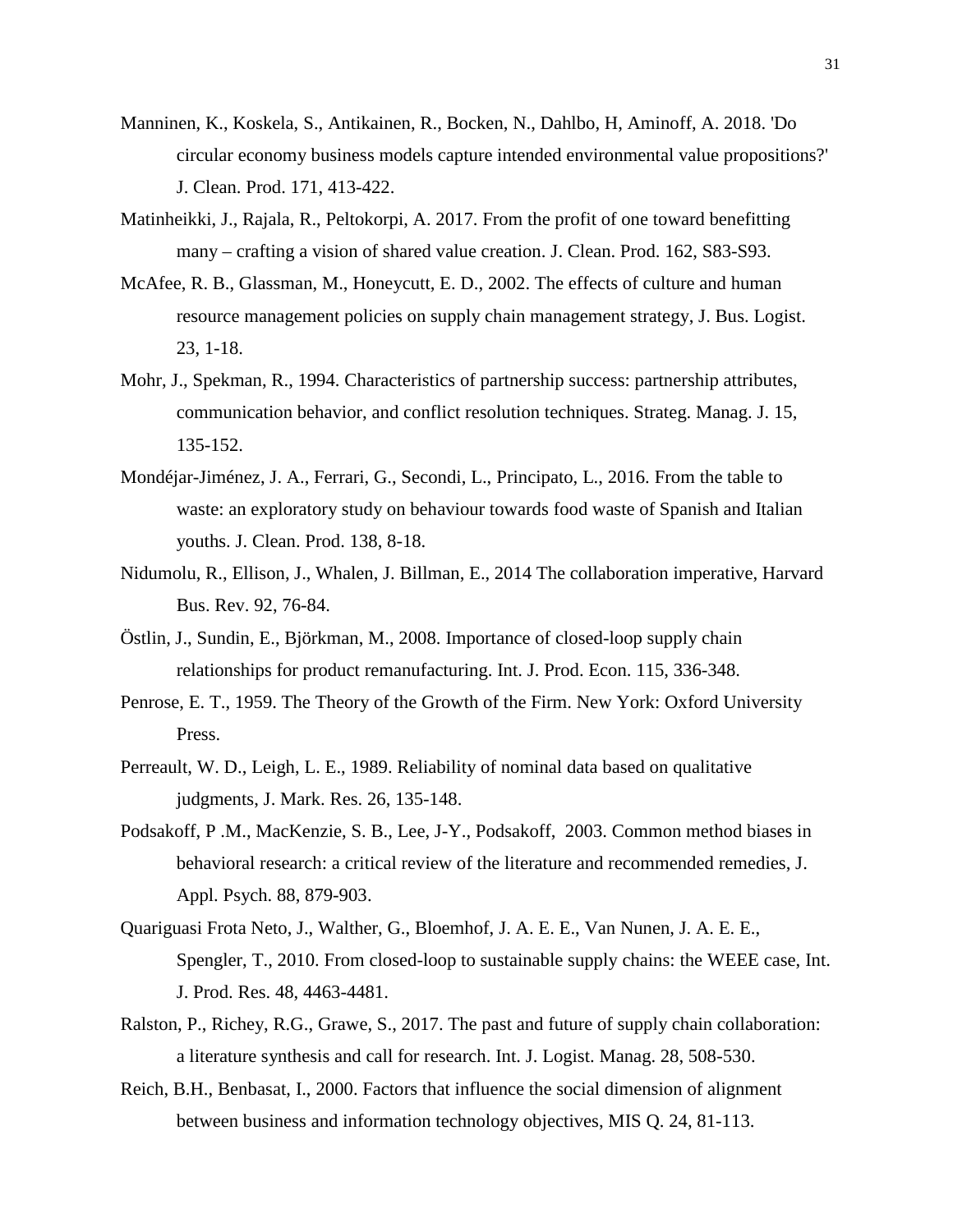- Manninen, K., Koskela, S., Antikainen, R., Bocken, N., Dahlbo, H, Aminoff, A. 2018. 'Do circular economy business models capture intended environmental value propositions?' J. Clean. Prod. 171, 413-422.
- Matinheikki, J., Rajala, R., Peltokorpi, A. 2017. From the profit of one toward benefitting many – crafting a vision of shared value creation. J. Clean. Prod. 162, S83-S93.
- McAfee, R. B., Glassman, M., Honeycutt, E. D., 2002. The effects of culture and human resource management policies on supply chain management strategy, J. Bus. Logist. 23, 1-18.
- Mohr, J., Spekman, R., 1994. Characteristics of partnership success: partnership attributes, communication behavior, and conflict resolution techniques. Strateg. Manag. J. 15, 135-152.
- Mondéjar-Jiménez, J. A., Ferrari, G., Secondi, L., Principato, L., 2016. From the table to waste: an exploratory study on behaviour towards food waste of Spanish and Italian youths. J. Clean. Prod. 138, 8-18.
- Nidumolu, R., Ellison, J., Whalen, J. Billman, E., 2014 The collaboration imperative, Harvard Bus. Rev. 92, 76-84.
- Östlin, J., Sundin, E., Björkman, M., 2008. Importance of closed-loop supply chain relationships for product remanufacturing. Int. J. Prod. Econ. 115, 336-348.
- Penrose, E. T., 1959. The Theory of the Growth of the Firm. New York: Oxford University Press.
- Perreault, W. D., Leigh, L. E., 1989. Reliability of nominal data based on qualitative judgments, J. Mark. Res. 26, 135-148.
- Podsakoff, P .M., MacKenzie, S. B., Lee, J-Y., Podsakoff, 2003. Common method biases in behavioral research: a critical review of the literature and recommended remedies, J. Appl. Psych. 88, 879-903.
- Quariguasi Frota Neto, J., Walther, G., Bloemhof, J. A. E. E., Van Nunen, J. A. E. E., Spengler, T., 2010. From closed-loop to sustainable supply chains: the WEEE case, Int. J. Prod. Res. 48, 4463-4481.
- Ralston, P., Richey, R.G., Grawe, S., 2017. The past and future of supply chain collaboration: a literature synthesis and call for research. Int. J. Logist. Manag. 28, 508-530.
- Reich, B.H., Benbasat, I., 2000. Factors that influence the social dimension of alignment between business and information technology objectives, MIS Q. 24, 81-113.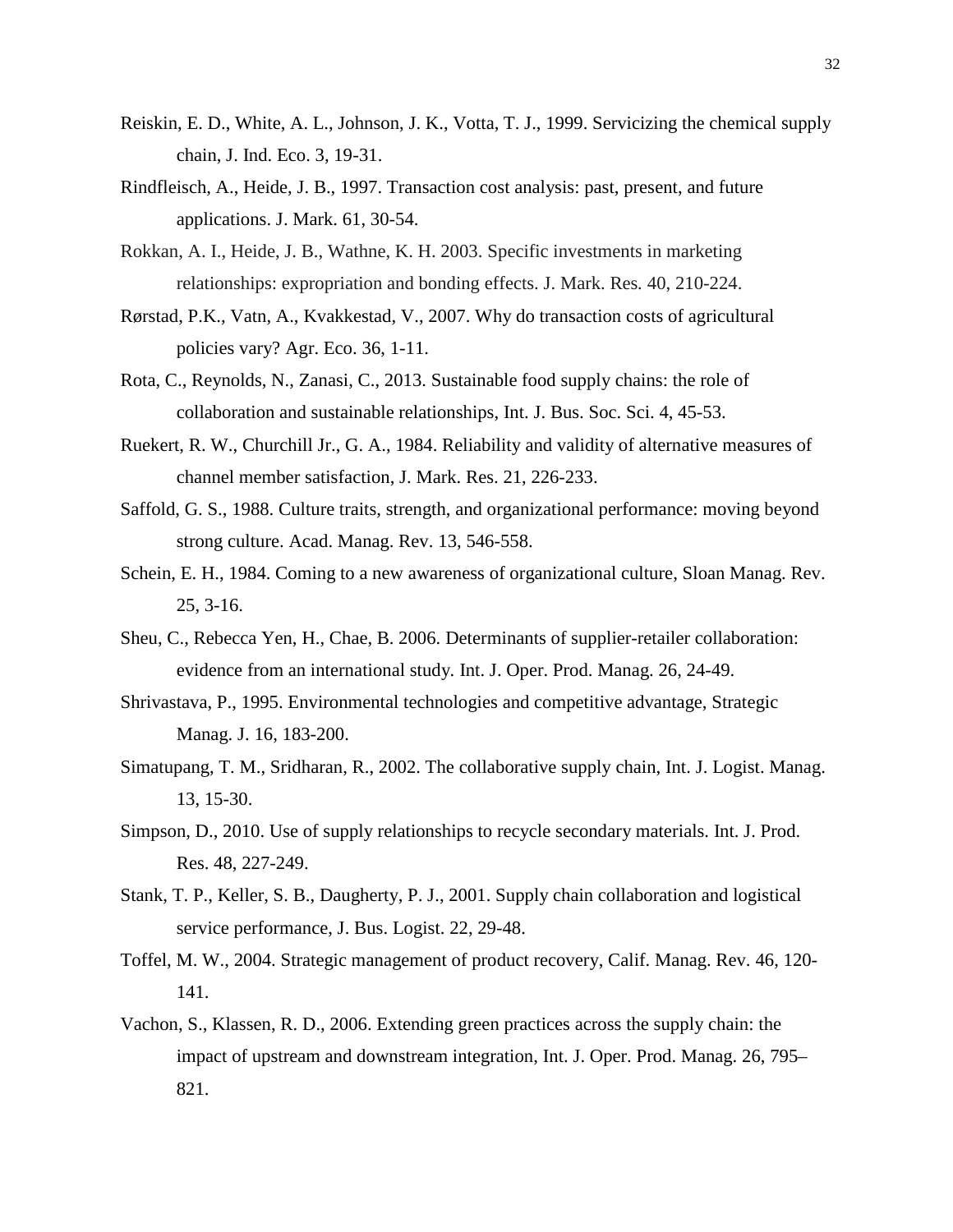- Reiskin, E. D., White, A. L., Johnson, J. K., Votta, T. J., 1999. Servicizing the chemical supply chain, J. Ind. Eco. 3, 19-31.
- Rindfleisch, A., Heide, J. B., 1997. Transaction cost analysis: past, present, and future applications. J. Mark. 61, 30-54.
- Rokkan, A. I., Heide, J. B., Wathne, K. H. 2003. Specific investments in marketing relationships: expropriation and bonding effects. J. Mark. Res*.* 40, 210-224.
- Rørstad, P.K., Vatn, A., Kvakkestad, V., 2007. Why do transaction costs of agricultural policies vary? Agr. Eco. 36, 1-11.
- Rota, C., Reynolds, N., Zanasi, C., 2013. Sustainable food supply chains: the role of collaboration and sustainable relationships, Int. J. Bus. Soc. Sci. 4, 45-53.
- Ruekert, R. W., Churchill Jr., G. A., 1984. Reliability and validity of alternative measures of channel member satisfaction, J. Mark. Res. 21, 226-233.
- Saffold, G. S., 1988. Culture traits, strength, and organizational performance: moving beyond strong culture. Acad. Manag. Rev. 13, 546-558.
- Schein, E. H., 1984. Coming to a new awareness of organizational culture, Sloan Manag. Rev. 25, 3-16.
- Sheu, C., Rebecca Yen, H., Chae, B. 2006. Determinants of supplier-retailer collaboration: evidence from an international study. Int. J. Oper. Prod. Manag. 26, 24-49.
- Shrivastava, P., 1995. Environmental technologies and competitive advantage, Strategic Manag. J. 16, 183-200.
- Simatupang, T. M., Sridharan, R., 2002. The collaborative supply chain, Int. J. Logist. Manag. 13, 15-30.
- Simpson, D., 2010. Use of supply relationships to recycle secondary materials. Int. J. Prod. Res. 48, 227-249.
- Stank, T. P., Keller, S. B., Daugherty, P. J., 2001. Supply chain collaboration and logistical service performance, J. Bus. Logist. 22, 29-48.
- Toffel, M. W., 2004. Strategic management of product recovery, Calif. Manag. Rev. 46, 120- 141.
- Vachon, S., Klassen, R. D., 2006. Extending green practices across the supply chain: the impact of upstream and downstream integration, Int. J. Oper. Prod. Manag. 26, 795– 821.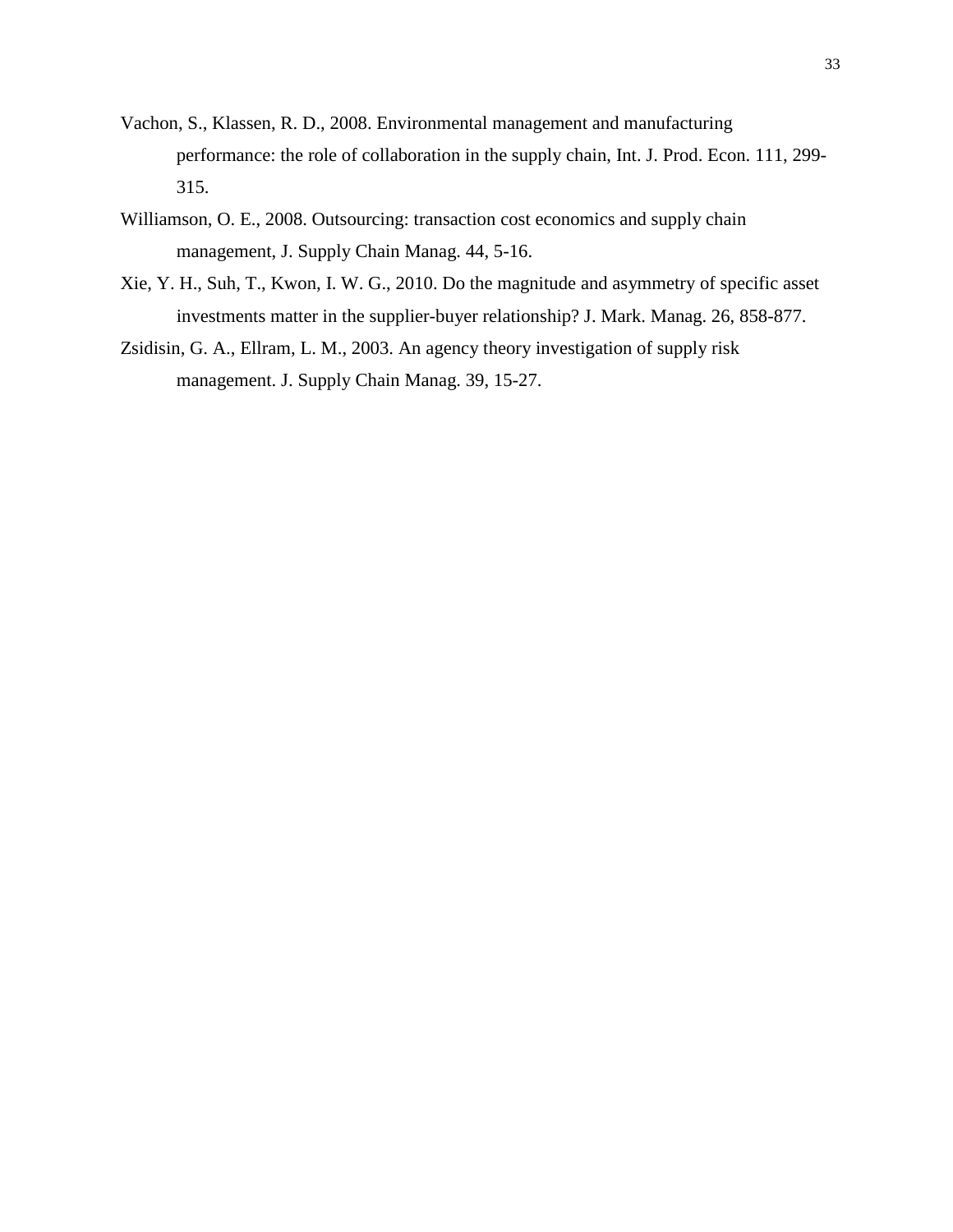- Vachon, S., Klassen, R. D., 2008. Environmental management and manufacturing performance: the role of collaboration in the supply chain, Int. J. Prod. Econ. 111, 299- 315.
- Williamson, O. E., 2008. Outsourcing: transaction cost economics and supply chain management, J. Supply Chain Manag. 44, 5-16.
- Xie, Y. H., Suh, T., Kwon, I. W. G., 2010. Do the magnitude and asymmetry of specific asset investments matter in the supplier-buyer relationship? J. Mark. Manag. 26, 858-877.
- Zsidisin, G. A., Ellram, L. M., 2003. An agency theory investigation of supply risk management. J. Supply Chain Manag. 39, 15-27.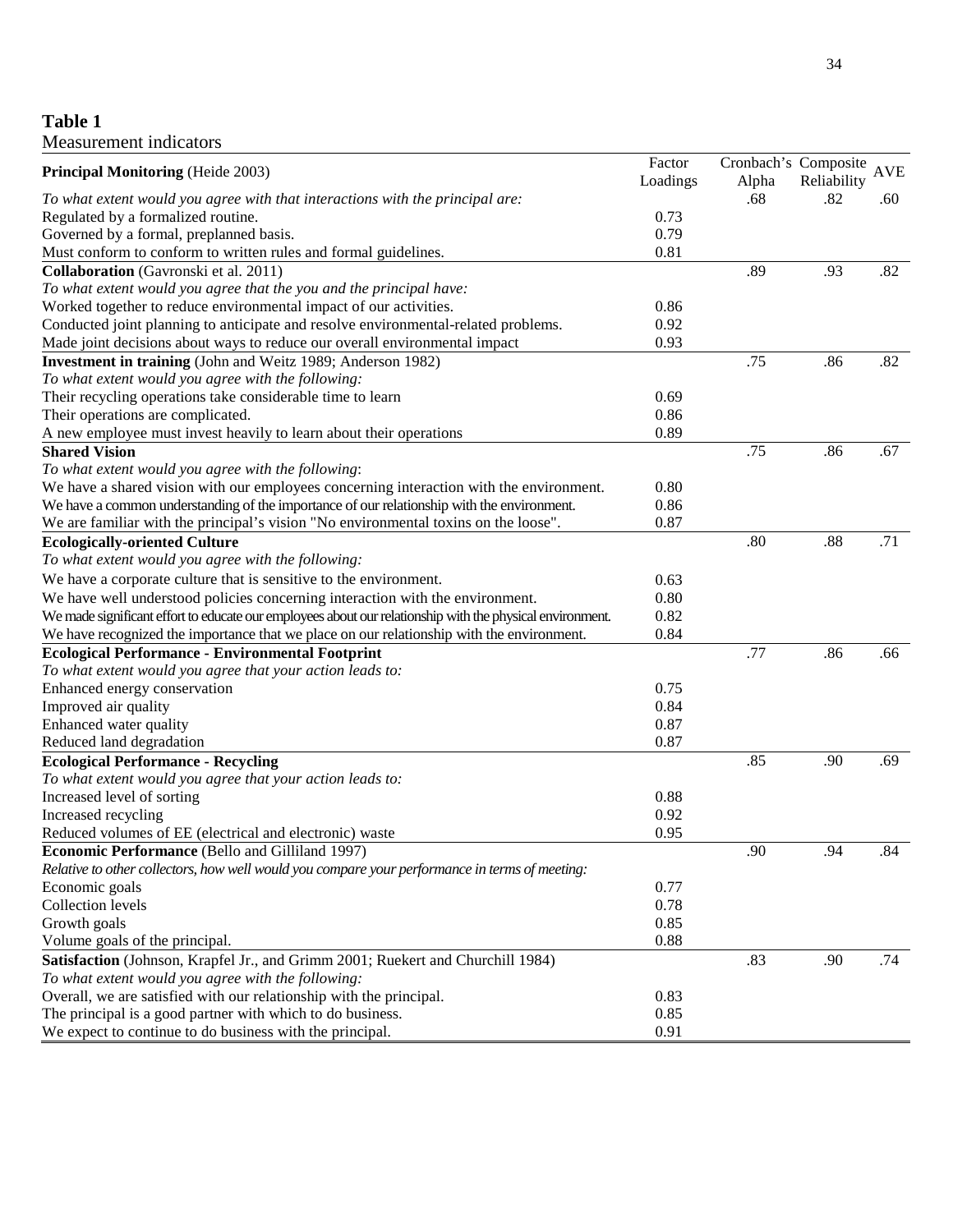## **Table 1** Measurement indicators

| <b>Principal Monitoring (Heide 2003)</b>                                                                  | Factor   |       | Cronbach's Composite | <b>AVE</b> |
|-----------------------------------------------------------------------------------------------------------|----------|-------|----------------------|------------|
|                                                                                                           | Loadings | Alpha | Reliability          |            |
| To what extent would you agree with that interactions with the principal are:                             |          | .68   | .82                  | .60        |
| Regulated by a formalized routine.                                                                        | 0.73     |       |                      |            |
| Governed by a formal, preplanned basis.                                                                   | 0.79     |       |                      |            |
| Must conform to conform to written rules and formal guidelines.                                           | 0.81     |       |                      |            |
| Collaboration (Gavronski et al. 2011)                                                                     |          | .89   | .93                  | .82        |
| To what extent would you agree that the you and the principal have:                                       |          |       |                      |            |
| Worked together to reduce environmental impact of our activities.                                         | 0.86     |       |                      |            |
| Conducted joint planning to anticipate and resolve environmental-related problems.                        | 0.92     |       |                      |            |
| Made joint decisions about ways to reduce our overall environmental impact                                | 0.93     |       |                      |            |
| Investment in training (John and Weitz 1989; Anderson 1982)                                               |          | .75   | .86                  | .82        |
| To what extent would you agree with the following:                                                        |          |       |                      |            |
| Their recycling operations take considerable time to learn                                                | 0.69     |       |                      |            |
| Their operations are complicated.                                                                         | 0.86     |       |                      |            |
| A new employee must invest heavily to learn about their operations                                        | 0.89     |       |                      |            |
| <b>Shared Vision</b>                                                                                      |          | .75   | .86                  | .67        |
| To what extent would you agree with the following:                                                        |          |       |                      |            |
| We have a shared vision with our employees concerning interaction with the environment.                   | 0.80     |       |                      |            |
| We have a common understanding of the importance of our relationship with the environment.                | 0.86     |       |                      |            |
| We are familiar with the principal's vision "No environmental toxins on the loose".                       | 0.87     |       |                      |            |
| <b>Ecologically-oriented Culture</b>                                                                      |          | .80   | .88                  | .71        |
| To what extent would you agree with the following:                                                        |          |       |                      |            |
| We have a corporate culture that is sensitive to the environment.                                         | 0.63     |       |                      |            |
| We have well understood policies concerning interaction with the environment.                             | 0.80     |       |                      |            |
| We made significant effort to educate our employees about our relationship with the physical environment. | 0.82     |       |                      |            |
| We have recognized the importance that we place on our relationship with the environment.                 | 0.84     |       |                      |            |
| <b>Ecological Performance - Environmental Footprint</b>                                                   |          | .77   | .86                  | .66        |
| To what extent would you agree that your action leads to:                                                 |          |       |                      |            |
| Enhanced energy conservation                                                                              | 0.75     |       |                      |            |
| Improved air quality                                                                                      | 0.84     |       |                      |            |
| Enhanced water quality                                                                                    | 0.87     |       |                      |            |
| Reduced land degradation                                                                                  | 0.87     |       |                      |            |
| <b>Ecological Performance - Recycling</b>                                                                 |          | .85   | .90                  | .69        |
| To what extent would you agree that your action leads to:                                                 |          |       |                      |            |
| Increased level of sorting                                                                                | 0.88     |       |                      |            |
| Increased recycling                                                                                       | 0.92     |       |                      |            |
| Reduced volumes of EE (electrical and electronic) waste                                                   | 0.95     |       |                      |            |
| <b>Economic Performance</b> (Bello and Gilliland 1997)                                                    |          | .90   | .94                  | .84        |
| Relative to other collectors, how well would you compare your performance in terms of meeting:            |          |       |                      |            |
|                                                                                                           | 0.77     |       |                      |            |
| Economic goals<br>Collection levels                                                                       | 0.78     |       |                      |            |
|                                                                                                           | 0.85     |       |                      |            |
| Growth goals                                                                                              |          |       |                      |            |
| Volume goals of the principal.                                                                            | 0.88     |       |                      |            |
| Satisfaction (Johnson, Krapfel Jr., and Grimm 2001; Ruekert and Churchill 1984)                           |          | .83   | .90                  | .74        |
| To what extent would you agree with the following:                                                        |          |       |                      |            |
| Overall, we are satisfied with our relationship with the principal.                                       | 0.83     |       |                      |            |
| The principal is a good partner with which to do business.                                                | 0.85     |       |                      |            |
| We expect to continue to do business with the principal.                                                  | 0.91     |       |                      |            |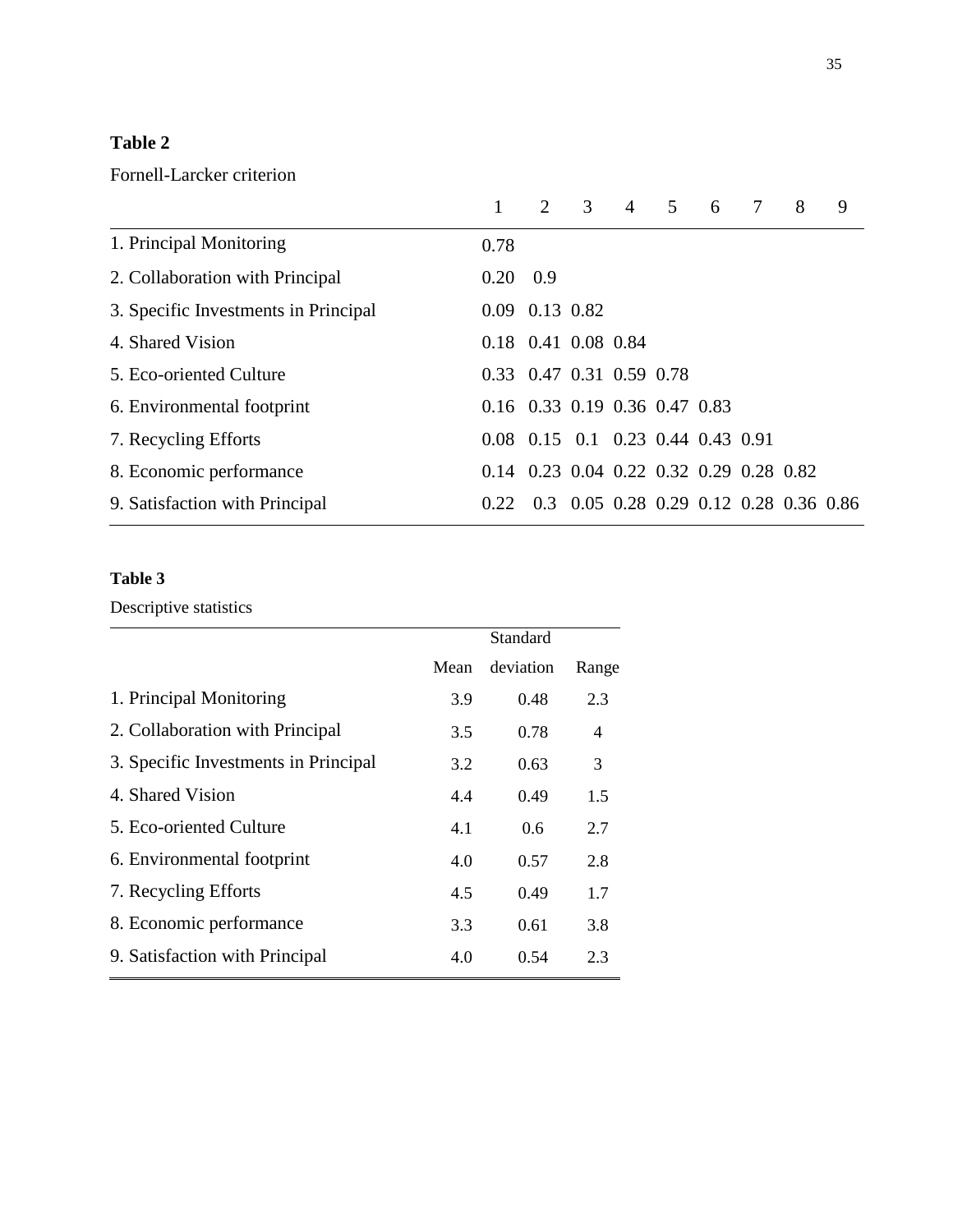## **Table 2**

## Fornell-Larcker criterion

|                                      |                  |                                         | 3 | $\overline{4}$ | 5 | 6 | $\tau$ | 8 | 9                                      |
|--------------------------------------|------------------|-----------------------------------------|---|----------------|---|---|--------|---|----------------------------------------|
| 1. Principal Monitoring              | 0.78             |                                         |   |                |   |   |        |   |                                        |
| 2. Collaboration with Principal      | $0.20 \quad 0.9$ |                                         |   |                |   |   |        |   |                                        |
| 3. Specific Investments in Principal |                  | 0.09 0.13 0.82                          |   |                |   |   |        |   |                                        |
| 4. Shared Vision                     |                  | 0.18 0.41 0.08 0.84                     |   |                |   |   |        |   |                                        |
| 5. Eco-oriented Culture              |                  | 0.33 0.47 0.31 0.59 0.78                |   |                |   |   |        |   |                                        |
| 6. Environmental footprint           |                  | 0.16 0.33 0.19 0.36 0.47 0.83           |   |                |   |   |        |   |                                        |
| 7. Recycling Efforts                 |                  | 0.08 0.15 0.1 0.23 0.44 0.43 0.91       |   |                |   |   |        |   |                                        |
| 8. Economic performance              |                  | 0.14 0.23 0.04 0.22 0.32 0.29 0.28 0.82 |   |                |   |   |        |   |                                        |
| 9. Satisfaction with Principal       | 0.22.            |                                         |   |                |   |   |        |   | 0.3 0.05 0.28 0.29 0.12 0.28 0.36 0.86 |

## **Table 3**

## Descriptive statistics

|                                      |      | Standard  |       |
|--------------------------------------|------|-----------|-------|
|                                      | Mean | deviation | Range |
| 1. Principal Monitoring              | 3.9  | 0.48      | 2.3   |
| 2. Collaboration with Principal      | 3.5  | 0.78      | 4     |
| 3. Specific Investments in Principal | 3.2  | 0.63      | 3     |
| 4. Shared Vision                     | 4.4  | 0.49      | 1.5   |
| 5. Eco-oriented Culture              | 4.1  | 0.6       | 2.7   |
| 6. Environmental footprint           | 4.0  | 0.57      | 2.8   |
| 7. Recycling Efforts                 | 4.5  | 0.49      | 1.7   |
| 8. Economic performance              | 3.3  | 0.61      | 3.8   |
| 9. Satisfaction with Principal       | 4.0  | 0.54      | 2.3   |
|                                      |      |           |       |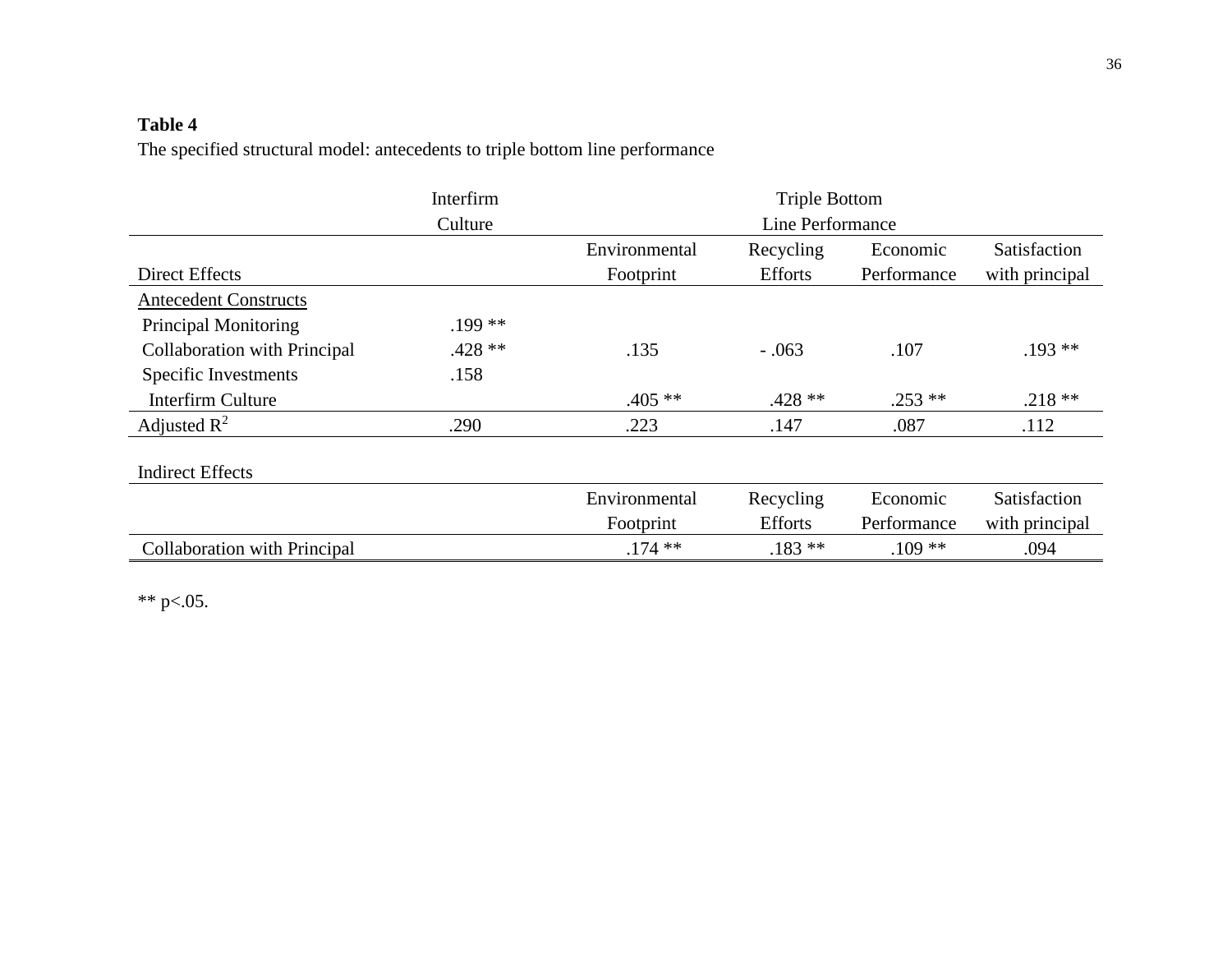# **Table 4**

The specified structural model: antecedents to triple bottom line performance

|                              | Interfirm | <b>Triple Bottom</b> |                |             |                |  |
|------------------------------|-----------|----------------------|----------------|-------------|----------------|--|
|                              | Culture   | Line Performance     |                |             |                |  |
|                              |           | Environmental        | Recycling      | Economic    | Satisfaction   |  |
| <b>Direct Effects</b>        |           | Footprint            | <b>Efforts</b> | Performance | with principal |  |
| <b>Antecedent Constructs</b> |           |                      |                |             |                |  |
| <b>Principal Monitoring</b>  | $.199**$  |                      |                |             |                |  |
| Collaboration with Principal | $.428**$  | .135                 | $-.063$        | .107        | $.193**$       |  |
| Specific Investments         | .158      |                      |                |             |                |  |
| <b>Interfirm Culture</b>     |           | $.405**$             | $.428**$       | $.253$ **   | $.218**$       |  |
| Adjusted $\mathbb{R}^2$      | .290      | .223                 | .147           | .087        | .112           |  |
| <b>Indirect Effects</b>      |           |                      |                |             |                |  |
|                              |           | Environmental        | Recycling      | Economic    | Satisfaction   |  |
|                              |           | Footprint            | <b>Efforts</b> | Performance | with principal |  |
| Collaboration with Principal |           | $.174$ **            | $.183**$       | $.109**$    | .094           |  |

\*\* p<.05.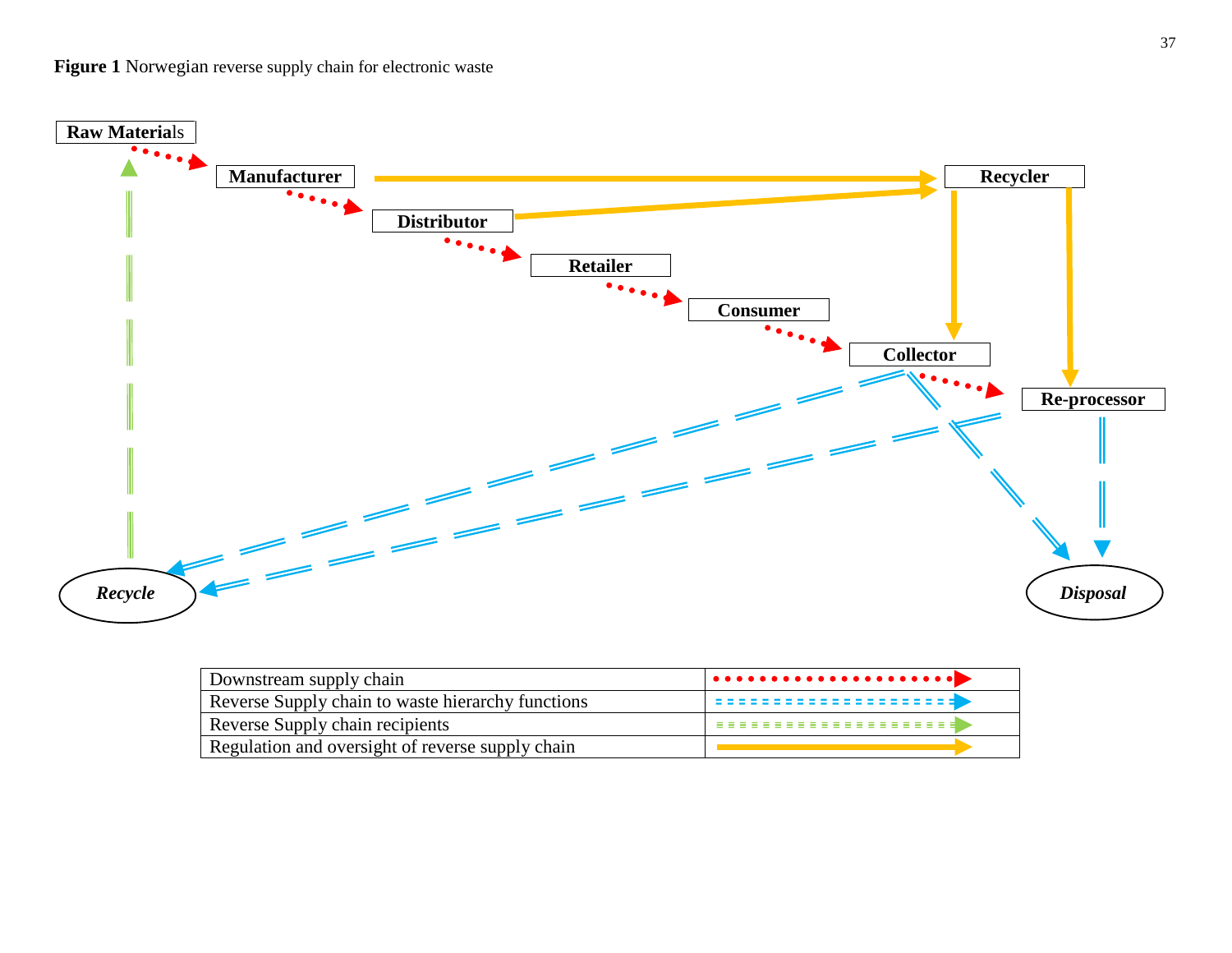

| Downstream supply chain                           |                  |
|---------------------------------------------------|------------------|
| Reverse Supply chain to waste hierarchy functions | ---------------- |
| Reverse Supply chain recipients                   |                  |
| Regulation and oversight of reverse supply chain  |                  |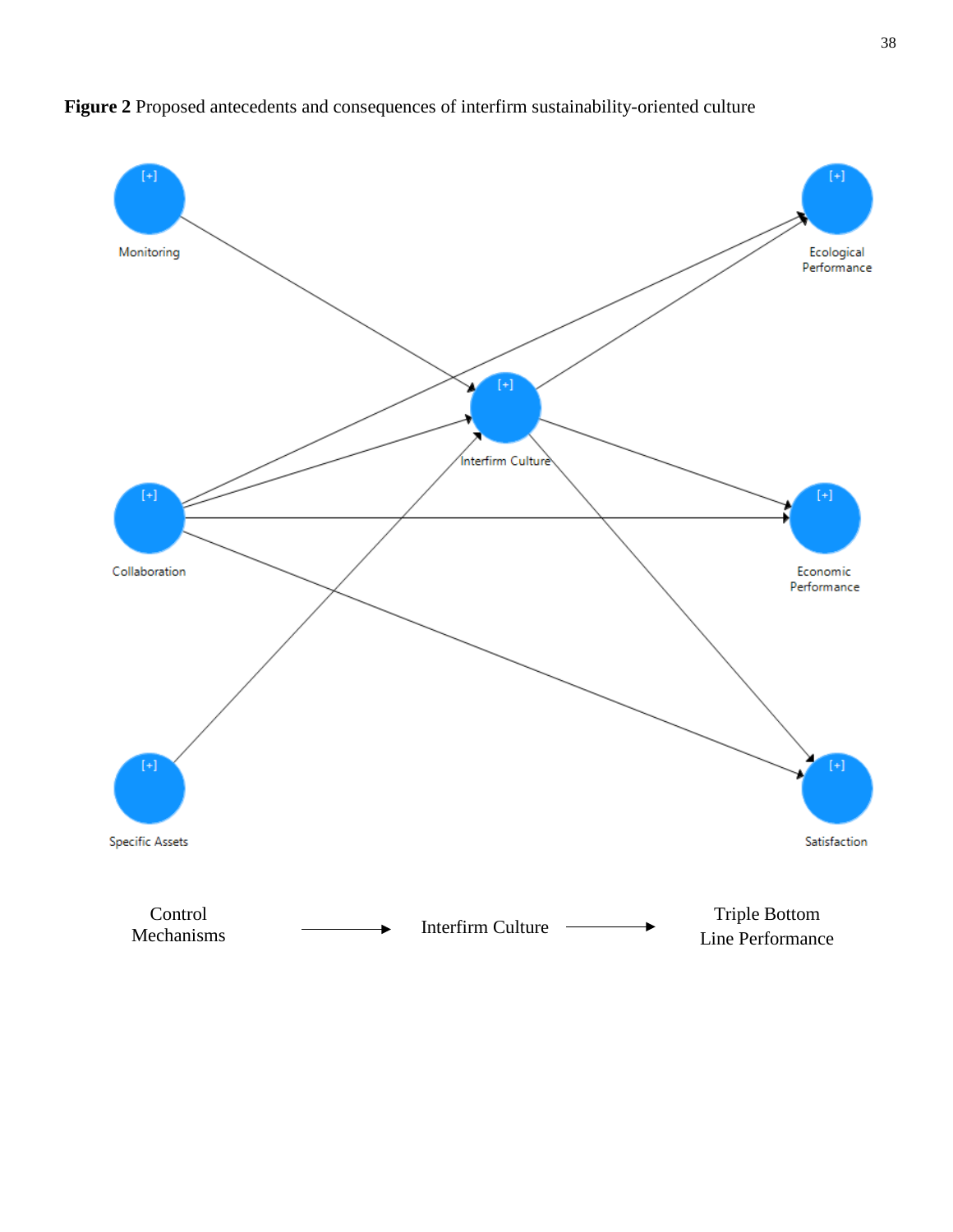

**Figure 2** Proposed antecedents and consequences of interfirm sustainability-oriented culture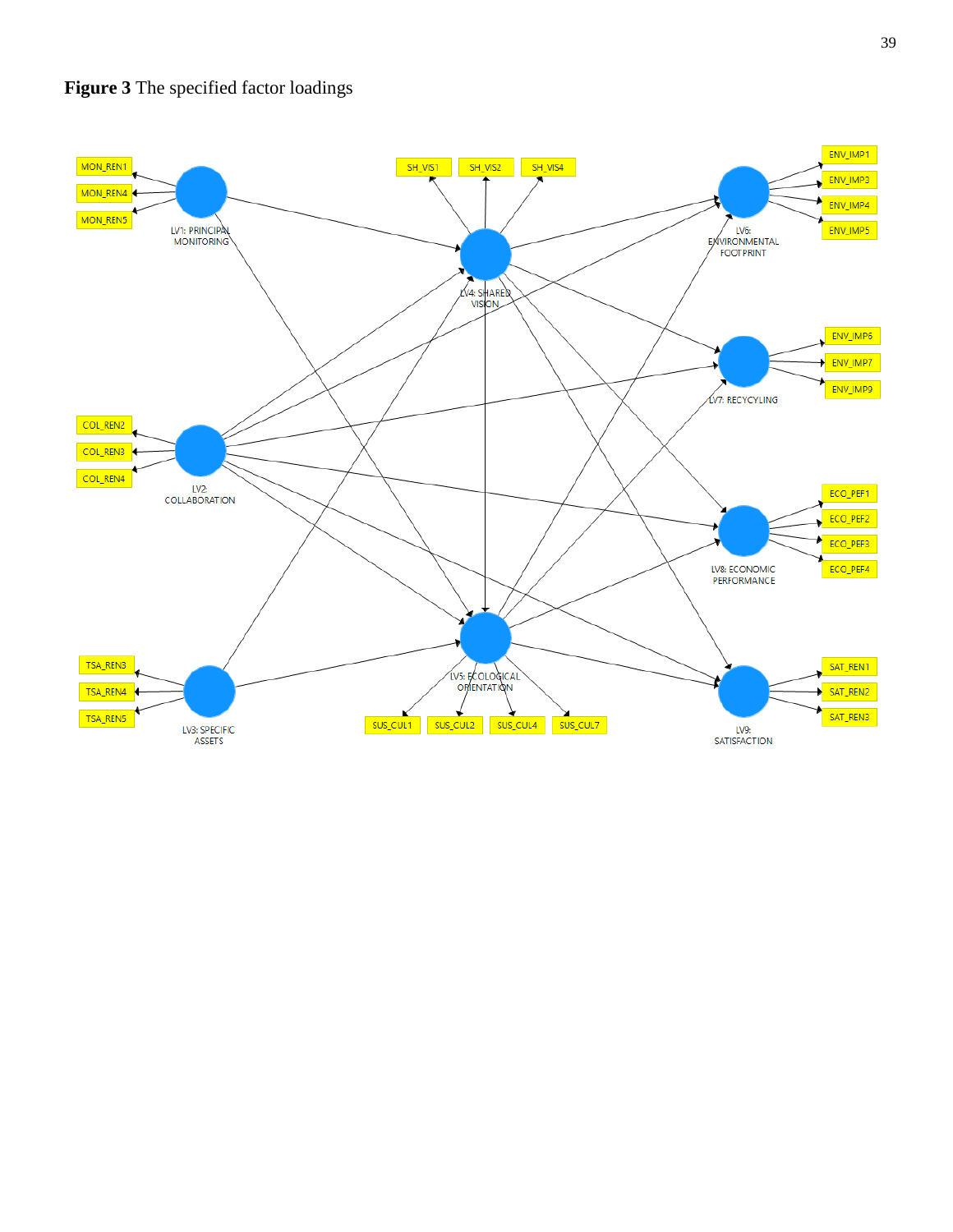

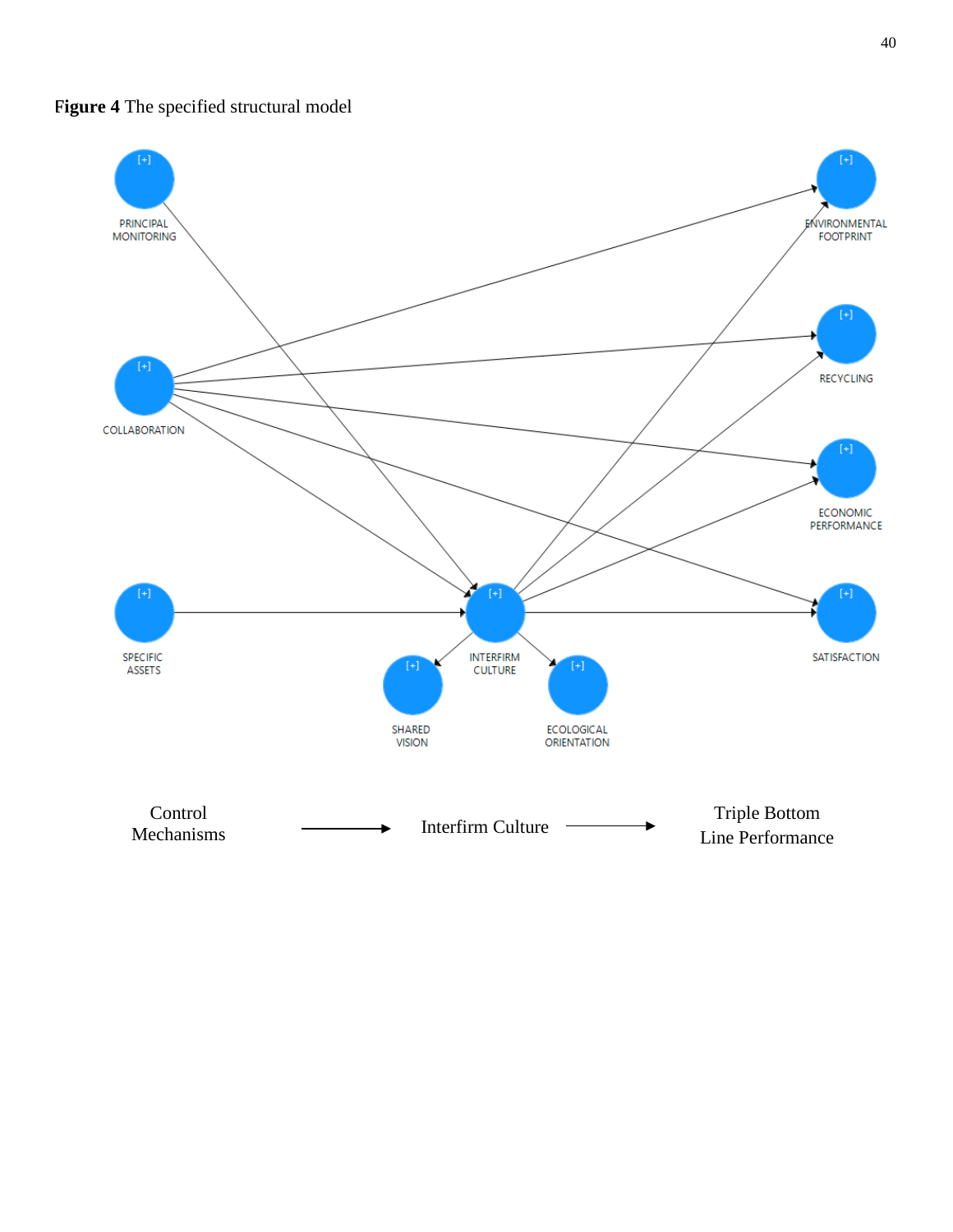**Figure 4** The specified structural model